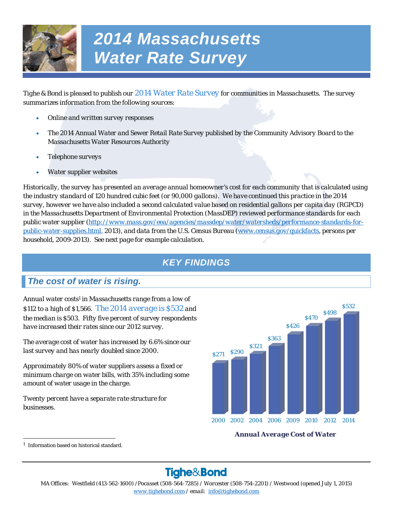

# *2014 Massachusetts Water Rate Survey*

*Tighe & Bond is pleased to publish our 2014 Water Rate Survey for communities in Massachusetts. The survey summarizes information from the following sources:* 

- *Online and written survey responses*
- *The 2014 Annual Water and Sewer Retail Rate Survey published by the Community Advisory Board to the Massachusetts Water Resources Authority*
- *Telephone surveys*
- *Water supplier websites*

*Historically, the survey has presented an average annual homeowner's cost for each community that is calculated using the industry standard of 120 hundred cubic feet (or 90,000 gallons). We have continued this practice in the 2014 survey, however we have also included a second calculated value based on residential gallons per capita day (RGPCD) in the Massachusetts Department of Environmental Protection (MassDEP) reviewed performance standards for each public water supplier (http://www.mass.gov/eea/agencies/massdep/water/watersheds/performance-standards-forpublic-water-supplies.html, 2013), and data from the U.S. Census Bureau (www.census.gov/quickfacts, persons per household, 2009-2013). See next page for example calculation.* 

# *KEY FINDINGS*

# *The cost of water is rising.*

*Annual water costs1 in Massachusetts range from a low of \$112 to a high of \$1,566. The 2014 average is \$532 and the median is \$503. Fifty five percent of survey respondents have increased their rates since our 2012 survey.* 

*The average cost of water has increased by 6.6% since our last survey and has nearly doubled since 2000.* 

*Approximately 80% of water suppliers assess a fixed or minimum charge on water bills, with 35% including some amount of water usage in the charge.* 

*Twenty percent have a separate rate structure for businesses.* 



# *Annual Average Cost of Water*

# Tighe&Bond

*MA Offices: Westfield (413-562-1600) /Pocasset (508-564-7285) / Worcester (508-754-2201) / Westwood (opened July 1, 2015) www.tighebond.com / email: info@tighebond.com* 

*<sup>1</sup>* Information based on historical standard.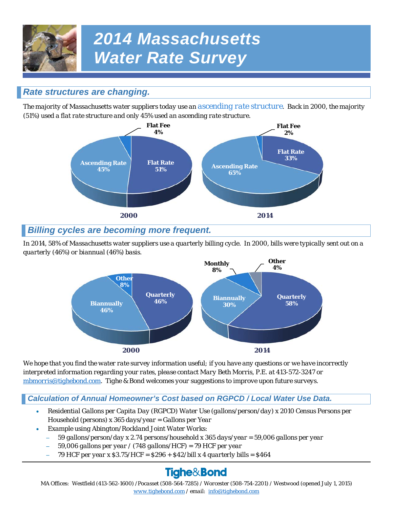

# *2014 Massachusetts Water Rate Survey*

# *Rate structures are changing.*

*The majority of Massachusetts water suppliers today use an ascending rate structure. Back in 2000, the majority (51%) used a flat rate structure and only 45% used an ascending rate structure.* 



# *Billing cycles are becoming more frequent.*

*In 2014, 58% of Massachusetts water suppliers use a quarterly billing cycle. In 2000, bills were typically sent out on a quarterly (46%) or biannual (46%) basis.* 



*We hope that you find the water rate survey information useful; if you have any questions or we have incorrectly interpreted information regarding your rates, please contact Mary Beth Morris, P.E. at 413-572-3247 or mbmorris@tighebond.com. Tighe & Bond welcomes your suggestions to improve upon future surveys.* 

# *Calculation of Annual Homeowner's Cost based on RGPCD / Local Water Use Data.*

- *Residential Gallons per Capita Day (RGPCD) Water Use (gallons/person/day) x 2010 Census Persons per Household (persons) x 365 days/year = Gallons per Year*
- *Example using Abington/Rockland Joint Water Works:* 
	- *59 gallons/person/day x 2.74 persons/household x 365 days/year = 59,006 gallons per year*
	- *59,006 gallons per year / (748 gallons/HCF) = 79 HCF per year*
	- *79 HCF per year x \$3.75/HCF = \$296 + \$42/bill x 4 quarterly bills = \$464*

# Tighe&Bond

*MA Offices: Westfield (413-562-1600) /Pocasset (508-564-7285) / Worcester (508-754-2201) / Westwood (opened July 1, 2015) www.tighebond.com / email: info@tighebond.com*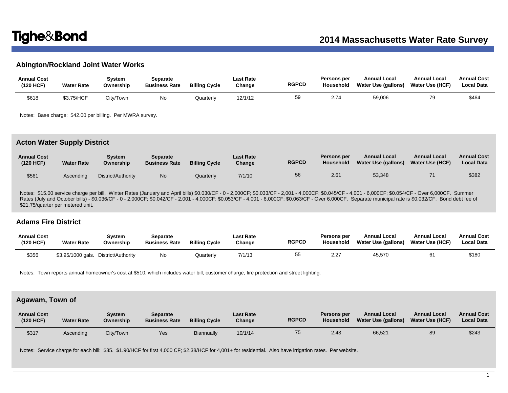### **Abington/Rockland Joint Water Works**

| <b>Annual Cost</b><br>(120 HCF) | <b>Water Rate</b> | Svstem<br>Ownership | Separate<br><b>Business Rate</b> | <b>Billing Cycle</b> | <b>Last Rate</b><br>Change | <b>RGPCD</b> | Persons per<br>Household | <b>Annual Local</b><br>Water Use (gallons) | <b>Annual Local</b><br><b>Water Use (HCF)</b> | <b>Annual Cost</b><br><b>Local Data</b> |
|---------------------------------|-------------------|---------------------|----------------------------------|----------------------|----------------------------|--------------|--------------------------|--------------------------------------------|-----------------------------------------------|-----------------------------------------|
| \$618                           | \$3.75/HCF        | City/Town           | No                               | Quarterly            | 12/1/12                    | 59           | 2.74                     | 59,006                                     | 70                                            | \$464                                   |

Notes: Base charge: \$42.00 per billing. Per MWRA survey.

### **Acton Water Supply District**

| <b>Annual Cost</b><br>(120 HCF) | <b>Water Rate</b> | Svstem<br>Ownership | Separate<br><b>Business Rate</b> | <b>Billing Cycle</b> | <b>Last Rate</b><br>Change | <b>RGPCD</b> | Persons per<br>Household | <b>Annual Local</b><br>Water Use (gallons) | <b>Annual Local</b><br><b>Water Use (HCF)</b> | <b>Annual Cost</b><br><b>Local Data</b> |
|---------------------------------|-------------------|---------------------|----------------------------------|----------------------|----------------------------|--------------|--------------------------|--------------------------------------------|-----------------------------------------------|-----------------------------------------|
| \$561                           | Ascendina         | District/Authority  | <b>No</b>                        | Quarterlv            | 7/1/10                     | 56           | 2.61                     | 53,348                                     |                                               | \$382                                   |

Notes: \$15.00 service charge per bill. Winter Rates (January and April bills) \$0.030/CF - 0 - 2,000CF; \$0.033/CF - 2,001 - 4,000CF; \$0.044/CF - 4,001 - 6,000CF; \$0.054/CF - Over 6,000CF. Summer Rates (July and October bills) - \$0.036/CF - 0 - 2,000CF; \$0.042/CF - 2,001 - 4,000CF; \$0.053/CF - 4,001 - 6,000CF; \$0.063/CF - Over 6,000CF. Separate municipal rate is \$0.032/CF. Bond debt fee of \$21.75/quarter per metered unit.

### **Adams Fire District**

| <b>Annual Cost</b><br>(120 HCF) | <b>Water Rate</b> | Svstem<br>Ownership                  | Separate<br><b>Business Rate</b> | <b>Billing Cycle</b> | <b>Last Rate</b><br>Change | <b>RGPCD</b> | <b>Persons per</b><br><b>Household</b> | <b>Annual Local</b><br>Water Use (gallons) | <b>Annual Local</b><br>Water Use (HCF) | <b>Annual Cost</b><br><b>Local Data</b> |
|---------------------------------|-------------------|--------------------------------------|----------------------------------|----------------------|----------------------------|--------------|----------------------------------------|--------------------------------------------|----------------------------------------|-----------------------------------------|
| \$356                           |                   | \$3.95/1000 gals. District/Authority | No                               | Quarterly            | 7/1/13                     |              | 2.27                                   | 45.570                                     | 61                                     | \$180                                   |

Notes: Town reports annual homeowner's cost at \$510, which includes water bill, customer charge, fire protection and street lighting.

### **Agawam, Town of**

| <b>Annual Cost</b><br>(120 HCF) | <b>Water Rate</b> | Svstem<br>Ownership | <b>Separate</b><br><b>Business Rate</b> | <b>Billing Cycle</b> | <b>Last Rate</b><br>Change | <b>RGPCD</b> | <b>Persons per</b><br><b>Household</b> | <b>Annual Local</b><br>Water Use (gallons) | <b>Annual Local</b><br>Water Use (HCF) | <b>Annual Cost</b><br><b>Local Data</b> |
|---------------------------------|-------------------|---------------------|-----------------------------------------|----------------------|----------------------------|--------------|----------------------------------------|--------------------------------------------|----------------------------------------|-----------------------------------------|
| \$317                           | Ascending         | City/Town           | Yes                                     | Biannually           | 10/1/14                    | 75           | 2.43                                   | 66,521                                     | 89                                     | \$243                                   |

Notes: Service charge for each bill: \$35. \$1.90/HCF for first 4,000 CF; \$2.38/HCF for 4,001+ for residential. Also have irrigation rates. Per website.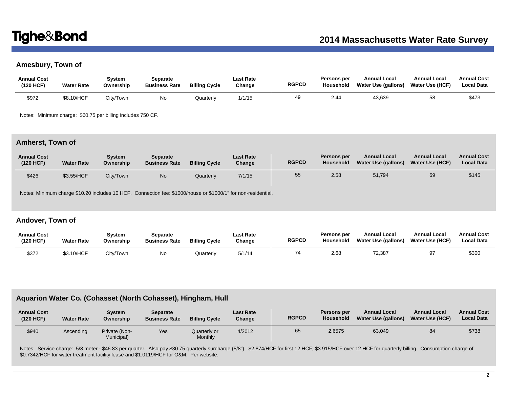# **Amesbury, Town of**

| <b>Annual Cost</b><br>(120 HCF) | <b>Water Rate</b> | Svstem<br>Ownership | Separate<br><b>Business Rate</b> | <b>Billing Cycle</b> | Last Rate<br>Change | <b>RGPCD</b> | Persons per<br>Household | <b>Annual Local</b><br>Water Use (gallons) | <b>Annual Local</b><br><b>Water Use (HCF)</b> | <b>Annual Cost</b><br><b>Local Data</b> |
|---------------------------------|-------------------|---------------------|----------------------------------|----------------------|---------------------|--------------|--------------------------|--------------------------------------------|-----------------------------------------------|-----------------------------------------|
| \$972                           | \$8.10/HCF        | City/Town           | No                               | Quarterly            | 1/1/15              | 49           | 2.44                     | 43,639                                     | 58                                            | \$473                                   |

Notes: Minimum charge: \$60.75 per billing includes 750 CF.

### **Amherst, Town of**

| <b>Annual Cost</b><br>(120 HCF) | <b>Water Rate</b> | Svstem<br>Ownership | <b>Separate</b><br><b>Business Rate</b> | <b>Billing Cycle</b> | <b>Last Rate</b><br>Change | <b>RGPCD</b> | Persons per<br><b>Household</b> | <b>Annual Local</b><br>Water Use (gallons) | <b>Annual Local</b><br><b>Water Use (HCF)</b> | <b>Annual Cost</b><br><b>Local Data</b> |
|---------------------------------|-------------------|---------------------|-----------------------------------------|----------------------|----------------------------|--------------|---------------------------------|--------------------------------------------|-----------------------------------------------|-----------------------------------------|
| \$426                           | \$3.55/HCF        | City/Town           | No                                      | Quarterly            | 7/1/15                     | 55           | 2.58                            | 51,794                                     | 69                                            | \$145                                   |

Notes: Minimum charge \$10.20 includes 10 HCF. Connection fee: \$1000/house or \$1000/1" for non-residential.

## **Andover, Town of**

| <b>Annual Cost</b><br>(120 HCF) | <b>Water Rate</b> | System<br>Ownership | Separate<br><b>Business Rate</b> | <b>Billing Cycle</b> | <b>Last Rate</b><br>Change | <b>RGPCD</b> | Persons per<br><b>Household</b> | <b>Annual Local</b><br>Water Use (gallons) | <b>Annual Local</b><br><b>Water Use (HCF)</b> | <b>Annual Cost</b><br><b>Local Data</b> |
|---------------------------------|-------------------|---------------------|----------------------------------|----------------------|----------------------------|--------------|---------------------------------|--------------------------------------------|-----------------------------------------------|-----------------------------------------|
| \$372                           | \$3.10/HCF        | City/Town           | No.                              | Quarterly            | 5/1/14                     | 74           | 2.68                            | 72,387                                     | 97                                            | \$300                                   |

# **Aquarion Water Co. (Cohasset (North Cohasset), Hingham, Hull**

| <b>Annual Cost</b><br>(120 HCF) | <b>Water Rate</b> | System<br>Ownership         | <b>Separate</b><br><b>Business Rate</b> | <b>Billing Cycle</b>    | <b>Last Rate</b><br>Change | <b>RGPCD</b> | Persons per<br>Household | <b>Annual Local</b><br><b>Water Use (gallons)</b> | <b>Annual Local</b><br><b>Water Use (HCF)</b> | <b>Annual Cost</b><br><b>Local Data</b> |
|---------------------------------|-------------------|-----------------------------|-----------------------------------------|-------------------------|----------------------------|--------------|--------------------------|---------------------------------------------------|-----------------------------------------------|-----------------------------------------|
| \$940                           | Ascending         | Private (Non-<br>Municipal) | Yes                                     | Quarterly or<br>Monthly | 4/2012                     | 65           | 2.6575                   | 63,049                                            | 84                                            | \$738                                   |

Notes: Service charge: 5/8 meter - \$46.83 per quarter. Also pay \$30.75 quarterly surcharge (5/8"). \$2.874/HCF for first 12 HCF; \$3.915/HCF over 12 HCF for quarterly billing. Consumption charge of \$0.7342/HCF for water treatment facility lease and \$1.0119/HCF for O&M. Per website.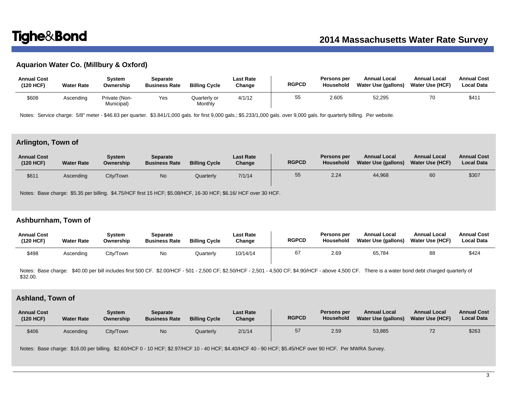# **Aquarion Water Co. (Millbury & Oxford)**

| <b>Annual Cost</b><br>(120 HCF) | <b>Water Rate</b> | Svstem<br>Ownership         | Separate<br><b>Business Rate</b> | <b>Billing Cycle</b>    | Last Rate<br>Change | <b>RGPCD</b> | Persons per<br>Household | <b>Annual Local</b><br>Water Use (gallons) | <b>Annual Local</b><br>Water Use (HCF) | <b>Annual Cost</b><br><b>Local Data</b> |
|---------------------------------|-------------------|-----------------------------|----------------------------------|-------------------------|---------------------|--------------|--------------------------|--------------------------------------------|----------------------------------------|-----------------------------------------|
| \$608                           | Ascending         | Private (Non-<br>Municipal) | Yes                              | Quarterly or<br>Monthly | 4/1/12              | 55           | 2.605                    | 52,295                                     | 70                                     | \$411                                   |

Notes: Service charge: 5/8" meter - \$46.83 per quarter. \$3.841/1,000 gals. for first 9,000 gals.; \$5.233/1,000 gals. over 9,000 gals. for quarterly billing. Per website.

### **Arlington, Town of**

| <b>Annual Cost</b><br>(120 HCF) | <b>Water Rate</b> | Svstem<br>Ownership | Separate<br><b>Business Rate</b> | <b>Billing Cycle</b> | <b>Last Rate</b><br>Change | <b>RGPCD</b> | Persons per<br>Household | <b>Annual Local</b><br>Water Use (gallons) | <b>Annual Local</b><br><b>Water Use (HCF)</b> | <b>Annual Cost</b><br><b>Local Data</b> |
|---------------------------------|-------------------|---------------------|----------------------------------|----------------------|----------------------------|--------------|--------------------------|--------------------------------------------|-----------------------------------------------|-----------------------------------------|
| \$61'                           | Ascending         | City/Town           | <b>No</b>                        | Quarterly            | 7/1/14                     | 55           | 2.24                     | 44,968                                     | 60                                            | \$307                                   |

Notes: Base charge: \$5.35 per billing. \$4.75/HCF first 15 HCF; \$5.08/HCF, 16-30 HCF; \$6.16/ HCF over 30 HCF.

# **Ashburnham, Town of**

| <b>Annual Cost</b><br>(120 HCF) | <b>Water Rate</b> | Svstem<br>Ownership | Separate<br><b>Business Rate</b> | <b>Billing Cycle</b> | Last Rate<br>Change | <b>RGPCD</b> | <b>Persons per</b><br>Household | <b>Annual Local</b><br>Water Use (gallons) | <b>Annual Local</b><br><b>Water Use (HCF)</b> | <b>Annual Cost</b><br><b>Local Data</b> |
|---------------------------------|-------------------|---------------------|----------------------------------|----------------------|---------------------|--------------|---------------------------------|--------------------------------------------|-----------------------------------------------|-----------------------------------------|
| \$498                           | Ascending         | City/Town           | No                               | Quarterly            | 10/14/14            | 67           | 2.69                            | 65,784                                     | 88                                            | \$424                                   |

Notes: Base charge: \$40.00 per bill includes first 500 CF. \$2.00/HCF - 501 - 2,500 CF; \$2.50/HCF - 2,501 - 4,500 CF; \$4.90/HCF - above 4,500 CF. There is a water bond debt charged quarterly of \$32.00.

# **Ashland, Town of**

| <b>Annual Cost</b><br>(120 HCF) | <b>Water Rate</b> | Svstem<br>Ownership | <b>Separate</b><br><b>Business Rate</b> | <b>Billing Cycle</b> | <b>Last Rate</b><br>Change | <b>RGPCD</b> | Persons per<br>Household | <b>Annual Local</b><br>Water Use (gallons) | <b>Annual Local</b><br><b>Water Use (HCF)</b> | <b>Annual Cost</b><br><b>Local Data</b> |
|---------------------------------|-------------------|---------------------|-----------------------------------------|----------------------|----------------------------|--------------|--------------------------|--------------------------------------------|-----------------------------------------------|-----------------------------------------|
| \$406                           | Ascending         | City/Town           | N <sub>o</sub>                          | Quarterly            | 2/1/14                     | 57           | 2.59                     | 53,885                                     |                                               | \$263                                   |

Notes: Base charge: \$16.00 per billing. \$2.60/HCF 0 - 10 HCF; \$2.97/HCF 10 - 40 HCF; \$4.40/HCF 40 - 90 HCF; \$5.45/HCF over 90 HCF. Per MWRA Survey.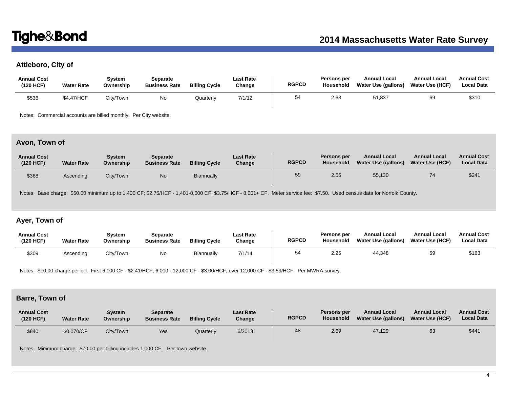# **Attleboro, City of**

| <b>Annual Cost</b><br>(120 HCF) | <b>Water Rate</b> | Svstem<br>Ownership | Separate<br><b>Business Rate</b> | <b>Billing Cycle</b> | Last Rate<br>Change | <b>RGPCD</b> | Persons per<br>Household | <b>Annual Local</b><br>Water Use (gallons) | <b>Annual Local</b><br><b>Water Use (HCF)</b> | <b>Annual Cost</b><br>Local Data |
|---------------------------------|-------------------|---------------------|----------------------------------|----------------------|---------------------|--------------|--------------------------|--------------------------------------------|-----------------------------------------------|----------------------------------|
| \$536                           | \$4.47/HCF        | City/Town           | No.                              | Quarterly            | 7/1/12              | 54           | 2.63                     | 51,837                                     | 69                                            | \$310                            |

Notes: Commercial accounts are billed monthly. Per City website.

# **Avon, Town of**

| <b>Annual Cost</b><br>(120 HCF) | <b>Water Rate</b> | Svstem<br>Ownership | <b>Separate</b><br><b>Business Rate</b> | <b>Billing Cycle</b> | <b>Last Rate</b><br>Change | <b>RGPCD</b> | Persons per<br><b>Household</b> | <b>Annual Local</b><br>Water Use (gallons) | <b>Annual Local</b><br><b>Water Use (HCF)</b> | <b>Annual Cost</b><br><b>Local Data</b> |
|---------------------------------|-------------------|---------------------|-----------------------------------------|----------------------|----------------------------|--------------|---------------------------------|--------------------------------------------|-----------------------------------------------|-----------------------------------------|
| \$368                           | Ascending         | Citv/Town           | <b>No</b>                               | Biannually           |                            | 59           | 2.56                            | 55,130                                     | 74                                            | \$24'                                   |

Notes: Base charge: \$50.00 minimum up to 1,400 CF; \$2.75/HCF - 1,401-8,000 CF; \$3.75/HCF - 8,001+ CF. Meter service fee: \$7.50. Used census data for Norfolk County.

# **Ayer, Town of**

| <b>Annual Cost</b><br>(120 HCF) | <b>Water Rate</b> | Svstem<br>Ownership | Separate<br><b>Business Rate</b> | <b>Billing Cycle</b> | <b>Last Rate</b><br>Change | <b>RGPCD</b> | Persons per<br><b>Household</b> | <b>Annual Local</b><br><b>Water Use (gallons)</b> | <b>Annual Local</b><br><b>Water Use (HCF)</b> | <b>Annual Cost</b><br><b>Local Data</b> |
|---------------------------------|-------------------|---------------------|----------------------------------|----------------------|----------------------------|--------------|---------------------------------|---------------------------------------------------|-----------------------------------------------|-----------------------------------------|
| \$309                           | Ascending         | City/Town           | No                               | Biannually           | 7/1/14                     | 54           | 2.25                            | 44.348                                            | 59                                            | \$163                                   |

Notes: \$10.00 charge per bill. First 6,000 CF - \$2.41/HCF; 6,000 - 12,000 CF - \$3.00/HCF; over 12,000 CF - \$3.53/HCF. Per MWRA survey.

## **Barre, Town of**

| <b>Annual Cost</b><br>(120 HCF) | <b>Water Rate</b> | Svstem<br>Ownership | Separate<br><b>Business Rate</b> | <b>Billing Cycle</b> | <b>Last Rate</b><br>Change | <b>RGPCD</b> | <b>Persons per</b><br><b>Household</b> | <b>Annual Local</b><br><b>Water Use (gallons)</b> | <b>Annual Local</b><br><b>Water Use (HCF)</b> | <b>Annual Cost</b><br><b>Local Data</b> |
|---------------------------------|-------------------|---------------------|----------------------------------|----------------------|----------------------------|--------------|----------------------------------------|---------------------------------------------------|-----------------------------------------------|-----------------------------------------|
| \$840                           | \$0.070/CF        | City/Town           | Yes                              | Quarterly            | 6/2013                     | 48           | 2.69                                   | 47.129                                            | 63                                            | \$441                                   |

Notes: Minimum charge: \$70.00 per billing includes 1,000 CF. Per town website.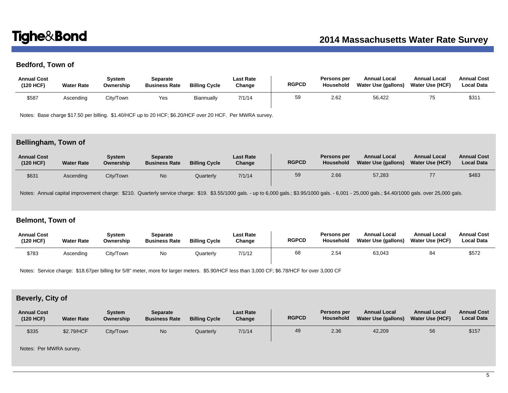# **Bedford, Town of**

| <b>Annual Cost</b><br>(120 HCF) | <b>Water Rate</b> | System<br>Ownership | Separate<br><b>Business Rate</b> | <b>Billing Cycle</b> | Last Rate<br>Change | <b>RGPCD</b> | Persons per<br>Household | <b>Annual Local</b><br>Water Use (gallons) | <b>Annual Local</b><br><b>Water Use (HCF)</b> | <b>Annual Cost</b><br><b>Local Data</b> |
|---------------------------------|-------------------|---------------------|----------------------------------|----------------------|---------------------|--------------|--------------------------|--------------------------------------------|-----------------------------------------------|-----------------------------------------|
| \$587                           | Ascending         | City/Town           | Yes                              | Biannually           | 7/1/14              | 59           | 2.62                     | 56,422                                     | 75                                            | \$31                                    |

Notes: Base charge \$17.50 per billing. \$1.40/HCF up to 20 HCF; \$6.20/HCF over 20 HCF. Per MWRA survey.

# **Bellingham, Town of**

| <b>Annual Cost</b><br>(120 HCF) | <b>Water Rate</b> | System<br>Ownership | <b>Separate</b><br><b>Business Rate</b> | <b>Billing Cycle</b> | <b>Last Rate</b><br>Change | <b>RGPCD</b> | Persons per<br><b>Household</b> | <b>Annual Local</b><br><b>Water Use (gallons)</b> | <b>Annual Local</b><br><b>Water Use (HCF)</b> | <b>Annual Cost</b><br><b>Local Data</b> |
|---------------------------------|-------------------|---------------------|-----------------------------------------|----------------------|----------------------------|--------------|---------------------------------|---------------------------------------------------|-----------------------------------------------|-----------------------------------------|
| \$631                           | Ascending         | City/Town           | <b>No</b>                               | Quarterly            | 7/1/14                     | 59           | 2.66                            | 57,283                                            | 77                                            | \$483                                   |

Notes: Annual capital improvement charge: \$210. Quarterly service charge: \$19. \$3.55/1000 gals. - up to 6,000 gals.; \$3.95/1000 gals. - 6,001 - 25,000 gals.; \$4.40/1000 gals. over 25,000 gals.

# **Belmont, Town of**

| <b>Annual Cost</b><br>(120 HCF) | <b>Water Rate</b> | Svstem<br>Ownership | Separate<br><b>Business Rate</b> | <b>Billing Cycle</b> | <b>Last Rate</b><br>Change | <b>RGPCD</b> | <b>Persons per</b><br>Household | <b>Annual Local</b><br><b>Water Use (gallons)</b> | <b>Annual Local</b><br><b>Water Use (HCF)</b> | <b>Annual Cost</b><br><b>Local Data</b> |
|---------------------------------|-------------------|---------------------|----------------------------------|----------------------|----------------------------|--------------|---------------------------------|---------------------------------------------------|-----------------------------------------------|-----------------------------------------|
| \$783                           | Ascendina         | City/Town           | No                               | Quarterly            | 7/1/12                     | 68           | 2.54                            | 63,043                                            | 84                                            | \$572                                   |

Notes: Service charge: \$18.67per billing for 5/8" meter, more for larger meters. \$5.90/HCF less than 3,000 CF; \$6.78/HCF for over 3,000 CF

# **Beverly, City of**

| <b>Annual Cost</b><br>(120 HCF) | <b>Water Rate</b> | Svstem<br>Ownership | Separate<br><b>Business Rate</b> | <b>Billing Cycle</b> | <b>Last Rate</b><br>Change | <b>RGPCD</b> | <b>Persons per</b><br><b>Household</b> | <b>Annual Local</b><br>Water Use (gallons) | <b>Annual Local</b><br><b>Water Use (HCF)</b> | <b>Annual Cost</b><br><b>Local Data</b> |
|---------------------------------|-------------------|---------------------|----------------------------------|----------------------|----------------------------|--------------|----------------------------------------|--------------------------------------------|-----------------------------------------------|-----------------------------------------|
| \$335                           | \$2.79/HCF        | City/Town           | No                               | Quarterly            | 7/1/14                     | 49           | 2.36                                   | 42,209                                     | 56                                            | \$157                                   |

Notes: Per MWRA survey.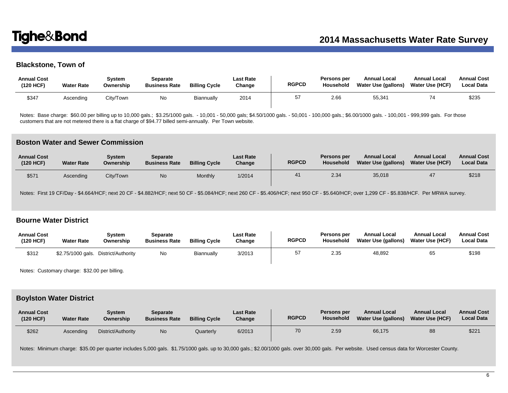# **Blackstone, Town of**

| <b>Annual Cost</b><br>(120 HCF) | <b>Water Rate</b> | Svstem<br>Ownership | Separate<br><b>Business Rate</b> | <b>Billing Cycle</b> | <b>Last Rate</b><br>Change | <b>RGPCD</b> | Persons per<br>Household | <b>Annual Local</b><br>Water Use (gallons) | <b>Annual Local</b><br>Water Use (HCF) | <b>Annual Cost</b><br><b>Local Data</b> |
|---------------------------------|-------------------|---------------------|----------------------------------|----------------------|----------------------------|--------------|--------------------------|--------------------------------------------|----------------------------------------|-----------------------------------------|
| \$347                           | Ascendina         | City/Town           | No                               | Biannually           | 2014                       | 57           | 2.66                     | 55,341                                     |                                        | \$235                                   |

Notes: Base charge: \$60.00 per billing up to 10,000 gals.; \$3.25/1000 gals. - 10,001 - 50,000 gals; \$4.50/1000 gals. - 50,001 - 100,000 gals.; \$6.00/1000 gals. - 100,001 - 999,999 gals. For those customers that are not metered there is a flat charge of \$94.77 billed semi-annually. Per Town website.

### **Boston Water and Sewer Commission**

| <b>Annual Cost</b><br>(120 HCF) | <b>Water Rate</b> | Svstem<br>Ownership | <b>Separate</b><br><b>Business Rate</b> | <b>Billing Cycle</b> | <b>Last Rate</b><br>Change | <b>RGPCD</b> | Persons per<br>Household | <b>Annual Local</b><br>Water Use (gallons) | <b>Annual Local</b><br><b>Water Use (HCF)</b> | <b>Annual Cost</b><br><b>Local Data</b> |
|---------------------------------|-------------------|---------------------|-----------------------------------------|----------------------|----------------------------|--------------|--------------------------|--------------------------------------------|-----------------------------------------------|-----------------------------------------|
| \$57                            | Ascending         | City/Town           | N <sub>0</sub>                          | Monthly              | 1/2014                     | 41           | 2.34                     | 35,018                                     |                                               | \$218                                   |

Notes: First 19 CF/Day - \$4.664/HCF; next 20 CF - \$4.882/HCF; next 50 CF - \$5.084/HCF; next 260 CF - \$5.406/HCF; next 950 CF - \$5.640/HCF; over 1,299 CF - \$5.838/HCF. Per MRWA survey.

## **Bourne Water District**

| <b>Annual Cost</b><br>(120 HCF) | <b>Water Rate</b> | Svstem<br>Ownership                  | Separate<br><b>Business Rate</b> | <b>Billing Cycle</b> | <b>Last Rate</b><br>Change | <b>RGPCD</b> | <b>Persons per</b><br>Household | <b>Annual Local</b><br><b>Water Use (gallons)</b> | <b>Annual Local</b><br><b>Water Use (HCF)</b> | <b>Annual Cost</b><br><b>Local Data</b> |
|---------------------------------|-------------------|--------------------------------------|----------------------------------|----------------------|----------------------------|--------------|---------------------------------|---------------------------------------------------|-----------------------------------------------|-----------------------------------------|
| \$312                           |                   | \$2.75/1000 gals. District/Authority | No                               | Biannually           | 3/2013                     | 57           | 2.35                            | 48,892                                            | 65                                            | \$198                                   |

Notes: Customary charge: \$32.00 per billing.

### **Boylston Water District**

| <b>Annual Cost</b><br>(120 HCF) | <b>Water Rate</b> | Svstem<br>Ownership | <b>Separate</b><br><b>Business Rate</b> | <b>Billing Cycle</b> | <b>Last Rate</b><br>Change | <b>RGPCD</b> | <b>Persons per</b><br><b>Household</b> | <b>Annual Local</b><br><b>Water Use (gallons)</b> | <b>Annual Local</b><br><b>Water Use (HCF)</b> | <b>Annual Cost</b><br><b>Local Data</b> |
|---------------------------------|-------------------|---------------------|-----------------------------------------|----------------------|----------------------------|--------------|----------------------------------------|---------------------------------------------------|-----------------------------------------------|-----------------------------------------|
| \$262                           | Ascendina         | District/Authority  | No                                      | Quarterly            | 6/2013                     | 70           | 2.59                                   | 66,175                                            | 88                                            | \$221                                   |

Notes: Minimum charge: \$35.00 per quarter includes 5,000 gals. \$1.75/1000 gals. up to 30,000 gals.; \$2.00/1000 gals. over 30,000 gals. Per website. Used census data for Worcester County.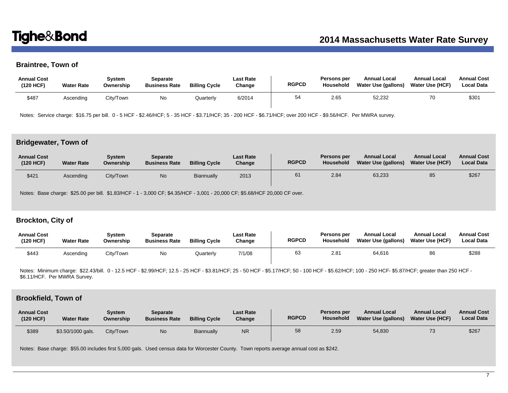# **Braintree, Town of**

| <b>Annual Cost</b><br>(120 HCF) | <b>Water Rate</b> | Svstem<br>Ownership | Separate<br><b>Business Rate</b> | <b>Billing Cycle</b> | Last Rate<br>Change | <b>RGPCD</b> | Persons per<br>Household | <b>Annual Local</b><br>Water Use (gallons) | <b>Annual Local</b><br><b>Water Use (HCF)</b> | <b>Annual Cost</b><br><b>Local Data</b> |
|---------------------------------|-------------------|---------------------|----------------------------------|----------------------|---------------------|--------------|--------------------------|--------------------------------------------|-----------------------------------------------|-----------------------------------------|
| \$487                           | Ascending         | City/Town           | No                               | <b>Juarterly</b>     | 6/2014              | 54           | 2.65                     | 52.232                                     |                                               | \$301                                   |

Notes: Service charge: \$16.75 per bill. 0 - 5 HCF - \$2.46/HCF; 5 - 35 HCF - \$3.71/HCF; 35 - 200 HCF - \$6.71/HCF; over 200 HCF - \$9.56/HCF. Per MWRA survey.

## **Bridgewater, Town of**

| <b>Annual Cost</b><br>(120 HCF) | <b>Water Rate</b> | Svstem<br>Ownership | <b>Separate</b><br><b>Business Rate</b> | <b>Billing Cycle</b> | <b>Last Rate</b><br>Change | <b>RGPCD</b> | Persons per<br>Household | <b>Annual Local</b><br><b>Water Use (gallons)</b> | <b>Annual Local</b><br><b>Water Use (HCF)</b> | <b>Annual Cost</b><br><b>Local Data</b> |
|---------------------------------|-------------------|---------------------|-----------------------------------------|----------------------|----------------------------|--------------|--------------------------|---------------------------------------------------|-----------------------------------------------|-----------------------------------------|
| \$421                           | Ascending         | City/Town           | No                                      | Biannually           | 2013                       | 61           | 2.84                     | 63,233                                            | 85                                            | \$267                                   |

Notes: Base charge: \$25.00 per bill. \$1.83/HCF - 1 - 3,000 CF; \$4.35/HCF - 3,001 - 20,000 CF; \$5.68/HCF 20,000 CF over.

# **Brockton, City of**

| <b>Annual Cost</b><br>(120 HCF) | <b>Water Rate</b> | System<br>Ownership | Separate<br><b>Business Rate</b> | <b>Billing Cycle</b> | <b>Last Rate</b><br>Change | <b>RGPCD</b> | Persons per<br>Household | <b>Annual Local</b><br>Water Use (gallons) | <b>Annual Local</b><br><b>Water Use (HCF)</b> | <b>Annual Cost</b><br>Local Data |
|---------------------------------|-------------------|---------------------|----------------------------------|----------------------|----------------------------|--------------|--------------------------|--------------------------------------------|-----------------------------------------------|----------------------------------|
| \$443                           | Ascending         | City/Town           | No                               | Quarterly            | 7/1/08                     | 63           | 2.81                     | 64.616                                     | 86                                            | \$288                            |

Notes: Minimum charge: \$22.43/bill. 0 - 12.5 HCF - \$2.99/HCF; 12.5 - 25 HCF - \$3.81/HCF; 25 - 50 HCF - \$5.17/HCF; 50 - 100 HCF - \$5.62/HCF; 100 - 250 HCF- \$5.87/HCF; greater than 250 HCF - \$6.11/HCF. Per MWRA Survey.

### **Brookfield, Town of**

| <b>Annual Cost</b><br>(120 HCF) | <b>Water Rate</b> | Svstem<br>Ownership | <b>Separate</b><br><b>Business Rate</b> | <b>Billing Cycle</b> | <b>Last Rate</b><br>Change | <b>RGPCD</b> | Persons per<br>Household | <b>Annual Local</b><br>Water Use (gallons) | <b>Annual Local</b><br>Water Use (HCF) | <b>Annual Cost</b><br><b>Local Data</b> |
|---------------------------------|-------------------|---------------------|-----------------------------------------|----------------------|----------------------------|--------------|--------------------------|--------------------------------------------|----------------------------------------|-----------------------------------------|
| \$389                           | \$3.50/1000 gals. | City/Town           | N <sub>0</sub>                          | Biannually           | <b>NR</b>                  | 58           | 2.59                     | 54,830                                     | 73                                     | \$267                                   |

Notes: Base charge: \$55.00 includes first 5,000 gals. Used census data for Worcester County. Town reports average annual cost as \$242.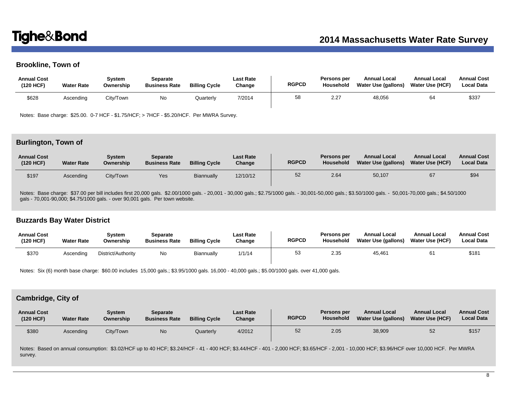# **Brookline, Town of**

| <b>Annual Cost</b><br>(120 HCF) | <b>Water Rate</b> | Svstem<br>Ownership | Separate<br><b>Business Rate</b> | <b>Billing Cycle</b> | Last Rate<br>Change | <b>RGPCD</b> | Persons per<br><b>Household</b> | <b>Annual Local</b><br>Water Use (gallons) | <b>Annual Local</b><br><b>Water Use (HCF)</b> | <b>Annual Cost</b><br><b>Local Data</b> |
|---------------------------------|-------------------|---------------------|----------------------------------|----------------------|---------------------|--------------|---------------------------------|--------------------------------------------|-----------------------------------------------|-----------------------------------------|
| \$628                           | Ascending         | City/Town           | No                               | Quarterly            | 7/2014              | 58           | 2.27                            | 48,056                                     |                                               | \$337                                   |

Notes: Base charge: \$25.00. 0-7 HCF - \$1.75/HCF; > 7HCF - \$5.20/HCF. Per MWRA Survey.

### **Burlington, Town of**

| <b>Annual Cost</b><br>(120 HCF) | <b>Water Rate</b> | Svstem<br>Ownership | Separate<br><b>Business Rate</b> | <b>Billing Cycle</b> | Last Rate<br>Change | <b>RGPCD</b> | Persons per<br>Household | <b>Annual Local</b><br>Water Use (gallons) | <b>Annual Local</b><br><b>Water Use (HCF)</b> | <b>Annual Cost</b><br><b>Local Data</b> |
|---------------------------------|-------------------|---------------------|----------------------------------|----------------------|---------------------|--------------|--------------------------|--------------------------------------------|-----------------------------------------------|-----------------------------------------|
| \$197                           | Ascending         | City/Town           | Yes                              | Biannually           | 12/10/12            | 52           | 2.64                     | 50,107                                     |                                               | \$94                                    |

Notes: Base charge: \$37.00 per bill includes first 20,000 gals. \$2.00/1000 gals. - 20,001 - 30,000 gals.; \$2.75/1000 gals. - 30,001-50,000 gals.; \$3.50/1000 gals. - 50,001-70,000 gals.; \$4.50/1000 gals - 70,001-90,000; \$4.75/1000 gals. - over 90,001 gals. Per town website.

## **Buzzards Bay Water District**

| <b>Annual Cost</b><br>(120 HCF) | <b>Water Rate</b> | Svstem<br>Ownership | Separate<br><b>Business Rate</b> | <b>Billing Cycle</b> | <b>Last Rate</b><br>Change | <b>RGPCD</b> | Persons per<br><b>Household</b> | <b>Annual Local</b><br>Water Use (gallons) | <b>Annual Local</b><br><b>Water Use (HCF)</b> | <b>Annual Cost</b><br><b>Local Data</b> |
|---------------------------------|-------------------|---------------------|----------------------------------|----------------------|----------------------------|--------------|---------------------------------|--------------------------------------------|-----------------------------------------------|-----------------------------------------|
| \$370                           | Ascending         | District/Authority  | No                               | Biannually           | 1/1/14                     | 53           | 2.35                            | 45.461                                     |                                               | \$181                                   |

Notes: Six (6) month base charge: \$60.00 includes 15,000 gals.; \$3.95/1000 gals. 16,000 - 40,000 gals.; \$5.00/1000 gals. over 41,000 gals.

## **Cambridge, City of**

| <b>Annual Cost</b><br>(120 HCF) | <b>Water Rate</b> | Svstem<br>Ownership | Separate<br><b>Business Rate</b> | <b>Billing Cycle</b> | <b>Last Rate</b><br>Change | <b>RGPCD</b> | Persons per<br>Household | <b>Annual Local</b><br>Water Use (gallons) | <b>Annual Local</b><br><b>Water Use (HCF)</b> | <b>Annual Cost</b><br><b>Local Data</b> |
|---------------------------------|-------------------|---------------------|----------------------------------|----------------------|----------------------------|--------------|--------------------------|--------------------------------------------|-----------------------------------------------|-----------------------------------------|
| \$380                           | Ascending         | City/Town           | No                               | Quarterlv            | 4/2012                     | 52           | 2.05                     | 38,909                                     | 52                                            | \$157                                   |
|                                 |                   | --------            |                                  |                      |                            |              |                          |                                            | . <b>. .</b>                                  | $\sim$ $\sim$ $\sim$ $\sim$ $\sim$      |

Notes: Based on annual consumption: \$3.02/HCF up to 40 HCF; \$3.24/HCF - 41 - 400 HCF; \$3.44/HCF - 401 - 2,000 HCF; \$3.65/HCF - 2,001 - 10,000 HCF; \$3.96/HCF over 10,000 HCF. Per MWRA survey.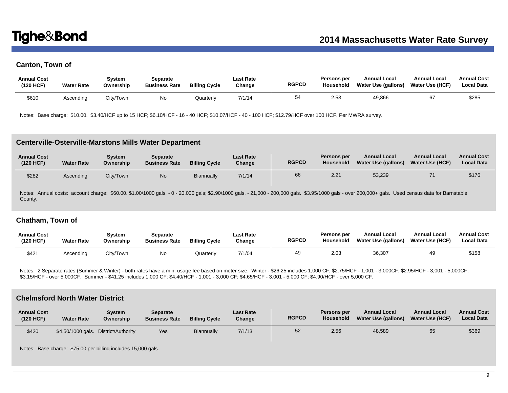# **Canton, Town of**

| <b>Annual Cost</b><br>(120 HCF) | <b>Water Rate</b> | Svstem<br>Ownership | Separate<br><b>Business Rate</b> | <b>Billing Cycle</b> | <b>Last Rate</b><br>Change | <b>RGPCD</b> | Persons per<br>Household | <b>Annual Local</b><br>Water Use (gallons) | <b>Annual Local</b><br><b>Water Use (HCF)</b> | <b>Annual Cost</b><br><b>Local Data</b> |
|---------------------------------|-------------------|---------------------|----------------------------------|----------------------|----------------------------|--------------|--------------------------|--------------------------------------------|-----------------------------------------------|-----------------------------------------|
| \$610                           | Ascending         | City/Town           | No                               | Quarterly            | 7/1/14                     | 54           | 2.53                     | 49,866                                     |                                               | \$285                                   |

Notes: Base charge: \$10.00. \$3.40/HCF up to 15 HCF; \$6.10/HCF - 16 - 40 HCF; \$10.07/HCF - 40 - 100 HCF; \$12.79/HCF over 100 HCF. Per MWRA survey.

### **Centerville-Osterville-Marstons Mills Water Department**

| <b>Annual Cost</b><br>(120 HCF) | <b>Water Rate</b> | Svstem<br>Ownership | Separate<br><b>Business Rate</b> | <b>Billing Cycle</b> | <b>Last Rate</b><br>Change | <b>RGPCD</b> | Persons per<br>Household | <b>Annual Local</b><br>Water Use (gallons) | <b>Annual Local</b><br>Water Use (HCF) | <b>Annual Cost</b><br><b>Local Data</b> |
|---------------------------------|-------------------|---------------------|----------------------------------|----------------------|----------------------------|--------------|--------------------------|--------------------------------------------|----------------------------------------|-----------------------------------------|
| \$282                           | Ascendina         | City/Town           | <b>No</b>                        | Biannually           | 7/1/14                     | 66           | 2.21                     | 53,239                                     |                                        | \$176                                   |

Notes: Annual costs: account charge: \$60.00. \$1.00/1000 gals. - 0 - 20,000 gals; \$2.90/1000 gals. - 21,000 - 200,000 gals. \$3.95/1000 gals - over 200,000+ gals. Used census data for Barnstable County.

## **Chatham, Town of**

| <b>Annual Cost</b><br>(120 HCF) | <b>Water Rate</b> | Svstem<br>Ownership | Separate<br><b>Business Rate</b> | <b>Billing Cycle</b> | <b>Last Rate</b><br>Change | <b>RGPCD</b> | <b>Persons per</b><br><b>Household</b> | <b>Annual Local</b><br><b>Water Use (gallons)</b> | <b>Annual Local</b><br><b>Water Use (HCF)</b> | <b>Annual Cost</b><br><b>Local Data</b> |
|---------------------------------|-------------------|---------------------|----------------------------------|----------------------|----------------------------|--------------|----------------------------------------|---------------------------------------------------|-----------------------------------------------|-----------------------------------------|
| \$421                           | Ascending         | City/Town           | No                               | Quarterly            | 7/1/04                     | 49           | 2.03                                   | 36,307                                            | 49                                            | \$158                                   |

Notes: 2 Separate rates (Summer & Winter) - both rates have a min. usage fee based on meter size. Winter - \$26.25 includes 1,000 CF; \$2.75/HCF - 1,001 - 3,000CF; \$2.95/HCF - 3,001 - 5,000CF; \$3.15/HCF - over 5,000CF. Summer - \$41.25 includes 1,000 CF; \$4.40/HCF - 1,001 - 3,000 CF; \$4.65/HCF - 3,001 - 5,000 CF; \$4.90/HCF - over 5,000 CF.

# **Chelmsford North Water District**

| <b>Annual Cost</b><br>(120 HCF) | <b>Water Rate</b> | Svstem<br>Ownership | <b>Separate</b><br><b>Business Rate</b> | <b>Billing Cycle</b> | <b>Last Rate</b><br>Change | <b>RGPCD</b> | Persons per<br><b>Household</b> | <b>Annual Local</b><br>Water Use (gallons) | <b>Annual Local</b><br><b>Water Use (HCF)</b> | <b>Annual Cost</b><br><b>Local Data</b> |
|---------------------------------|-------------------|---------------------|-----------------------------------------|----------------------|----------------------------|--------------|---------------------------------|--------------------------------------------|-----------------------------------------------|-----------------------------------------|
| \$420                           | \$4.50/1000 gals. | District/Authority  | Yes                                     | Biannually           | 7/1/13                     | 52           | 2.56                            | 48,589                                     | 65                                            | \$369                                   |

Notes: Base charge: \$75.00 per billing includes 15,000 gals.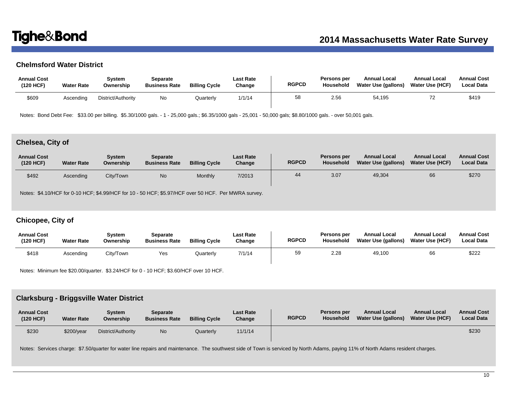# **Chelmsford Water District**

| <b>Annual Cost</b><br>(120 HCF) | <b>Water Rate</b> | Svstem<br>Ownership | Separate<br><b>Business Rate</b> | <b>Billing Cycle</b> | Last Rate<br>Change | <b>RGPCD</b> | Persons per<br>Household | <b>Annual Local</b><br>Water Use (gallons) | <b>Annual Local</b><br><b>Water Use (HCF)</b> | <b>Annual Cost</b><br><b>Local Data</b> |
|---------------------------------|-------------------|---------------------|----------------------------------|----------------------|---------------------|--------------|--------------------------|--------------------------------------------|-----------------------------------------------|-----------------------------------------|
| \$609                           | Ascending         | District/Authority  | No                               | Quarterly            | 1/1/14              | 58           | 2.56                     | 54.195                                     | <u>_</u>                                      | \$419                                   |

Notes: Bond Debt Fee: \$33.00 per billing. \$5.30/1000 gals. - 1 - 25,000 gals.; \$6.35/1000 gals - 25,001 - 50,000 gals; \$8.80/1000 gals. - over 50,001 gals.

# **Chelsea, City of**

| <b>Annual Cost</b><br>(120 HCF) | <b>Water Rate</b> | Svstem<br>Ownership | <b>Separate</b><br><b>Business Rate</b> | <b>Billing Cycle</b> | <b>Last Rate</b><br>Change | <b>RGPCD</b> | Persons per<br>Household | <b>Annual Local</b><br>Water Use (gallons) | <b>Annual Local</b><br><b>Water Use (HCF)</b> | <b>Annual Cost</b><br><b>Local Data</b> |
|---------------------------------|-------------------|---------------------|-----------------------------------------|----------------------|----------------------------|--------------|--------------------------|--------------------------------------------|-----------------------------------------------|-----------------------------------------|
| \$492                           | Ascending         | City/Town           | N <sub>o</sub>                          | Monthly              | 7/2013                     | 44           | 3.07                     | 49,304                                     | 66                                            | \$270                                   |

Notes: \$4.10/HCF for 0-10 HCF; \$4.99/HCF for 10 - 50 HCF; \$5.97/HCF over 50 HCF. Per MWRA survey.

# **Chicopee, City of**

| <b>Annual Cost</b><br>(120 HCF) | <b>Water Rate</b> | Svstem<br>Ownership | Separate<br><b>Business Rate</b> | <b>Billing Cycle</b> | <b>Last Rate</b><br>Change | <b>RGPCD</b> | <b>Persons per</b><br><b>Household</b> | <b>Annual Local</b><br>Water Use (gallons) | <b>Annual Local</b><br><b>Water Use (HCF)</b> | <b>Annual Cost</b><br><b>Local Data</b> |
|---------------------------------|-------------------|---------------------|----------------------------------|----------------------|----------------------------|--------------|----------------------------------------|--------------------------------------------|-----------------------------------------------|-----------------------------------------|
| \$418                           | Ascending         | City/Town           | Yes                              | Quarterly            | 7/1/14                     | 59           | 2.28                                   | 49,100                                     | 66                                            | \$222                                   |

Notes: Minimum fee \$20.00/quarter. \$3.24/HCF for 0 - 10 HCF; \$3.60/HCF over 10 HCF.

## **Clarksburg - Briggsville Water District**

| <b>Annual Cost</b><br>(120 HCF) | <b>Water Rate</b> | Svstem<br>Ownership | Separate<br><b>Business Rate</b> | <b>Billing Cycle</b> | <b>Last Rate</b><br>Change | <b>RGPCD</b> | Persons per<br>Household | <b>Annual Local</b><br>Water Use (gallons) | <b>Annual Local</b><br><b>Water Use (HCF)</b> | <b>Annual Cost</b><br><b>Local Data</b> |
|---------------------------------|-------------------|---------------------|----------------------------------|----------------------|----------------------------|--------------|--------------------------|--------------------------------------------|-----------------------------------------------|-----------------------------------------|
| \$230                           | \$200/year        | District/Authority  | No                               | Quarterly            | 11/1/14                    |              |                          |                                            |                                               | \$230                                   |

Notes: Services charge: \$7.50/quarter for water line repairs and maintenance. The southwest side of Town is serviced by North Adams, paying 11% of North Adams resident charges.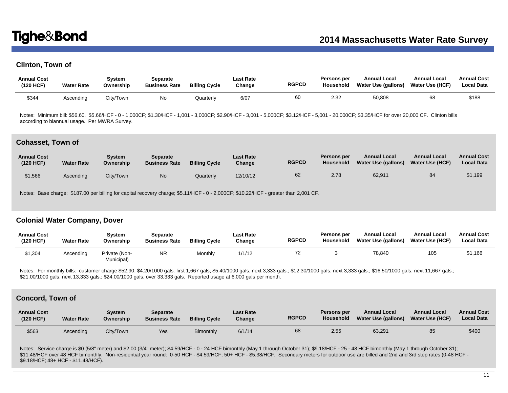# **Clinton, Town of**

| <b>Annual Cost</b><br>(120 HCF) | <b>Water Rate</b> | System<br>Ownership | Separate<br><b>Business Rate</b> | <b>Billing Cycle</b> | <b>Last Rate</b><br>Change | <b>RGPCD</b> | <b>Persons per</b><br>Household | <b>Annual Local</b><br>Water Use (gallons) | <b>Annual Local</b><br>Water Use (HCF) | <b>Annual Cost</b><br>Local Data |
|---------------------------------|-------------------|---------------------|----------------------------------|----------------------|----------------------------|--------------|---------------------------------|--------------------------------------------|----------------------------------------|----------------------------------|
| \$344                           | Ascending         | City/Town           | No.                              | Quarterlv            | 6/07                       | 60           | 2.32                            | 50,808                                     | 68                                     | \$188                            |

Notes: Minimum bill: \$56.60. \$5.66/HCF - 0 - 1,000CF; \$1.30/HCF - 1,001 - 3,000CF; \$2.90/HCF - 3,001 - 5,000CF; \$3.12/HCF - 5,001 - 20,000CF; \$3.35/HCF for over 20,000 CF. Clinton bills according to biannual usage. Per MWRA Survey.

### **Cohasset, Town of**

| <b>Annual Cost</b><br>(120 HCF) | <b>Water Rate</b> | Svstem<br>Ownership | Separate<br><b>Business Rate</b> | <b>Billing Cycle</b> | <b>Last Rate</b><br>Change | <b>RGPCD</b> | Persons per<br>Household | <b>Annual Local</b><br>Water Use (gallons) | <b>Annual Local</b><br><b>Water Use (HCF)</b> | <b>Annual Cost</b><br><b>Local Data</b> |
|---------------------------------|-------------------|---------------------|----------------------------------|----------------------|----------------------------|--------------|--------------------------|--------------------------------------------|-----------------------------------------------|-----------------------------------------|
| \$1,566                         | Ascending         | City/Town           | No.                              | Quarterly            | 12/10/12                   | 62           | 2.78                     | 62,911                                     | 84                                            | \$1,199                                 |

Notes: Base charge: \$187.00 per billing for capital recovery charge; \$5.11/HCF - 0 - 2,000CF; \$10.22/HCF - greater than 2,001 CF.

## **Colonial Water Company, Dover**

| <b>Annual Cost</b><br>(120 HCF) | <b>Water Rate</b> | Svstem<br>Ownership         | Separate<br><b>Business Rate</b> | <b>Billing Cycle</b> | Last Rate<br>Change | <b>RGPCD</b> | Persons per<br><b>Household</b> | <b>Annual Local</b><br>Water Use (gallons) | <b>Annual Local</b><br><b>Water Use (HCF)</b> | <b>Annual Cost</b><br>Local Data |
|---------------------------------|-------------------|-----------------------------|----------------------------------|----------------------|---------------------|--------------|---------------------------------|--------------------------------------------|-----------------------------------------------|----------------------------------|
| \$1,304                         | Ascending         | Private (Non-<br>Municipal) | NR                               | Monthly              | 1/1/12              |              |                                 | 78.840                                     | 105                                           | \$1,166                          |

Notes: For monthly bills: customer charge \$52.90; \$4.20/1000 gals. first 1,667 gals; \$5.40/1000 gals. next 3,333 gals.; \$12.30/1000 gals. next 3,333 gals.; \$16.50/1000 gals. next 11,667 gals.; \$21.00/1000 gals. next 13,333 gals.; \$24.00/1000 gals. over 33,333 gals. Reported usage at 6,000 gals per month.

### **Concord, Town of**

| <b>Annual Cost</b><br>(120 HCF) | <b>Water Rate</b> | Svstem<br>Ownership | Separate<br><b>Business Rate</b> | <b>Billing Cycle</b> | <b>Last Rate</b><br>Change | <b>RGPCD</b> | Persons per<br>Household | <b>Annual Local</b><br><b>Water Use (gallons)</b> | <b>Annual Local</b><br><b>Water Use (HCF)</b> | <b>Annual Cost</b><br><b>Local Data</b> |
|---------------------------------|-------------------|---------------------|----------------------------------|----------------------|----------------------------|--------------|--------------------------|---------------------------------------------------|-----------------------------------------------|-----------------------------------------|
| \$563                           | Ascendina         | City/Town           | Yes                              | <b>Bimonthly</b>     | 6/1/14                     | 68           | 2.55                     | 63,291                                            | 85                                            | \$400                                   |

Notes: Service charge is \$0 (5/8" meter) and \$2.00 (3/4" meter); \$4.59/HCF - 0 - 24 HCF bimonthly (May 1 through October 31); \$9.18/HCF - 25 - 48 HCF bimonthly (May 1 through October 31); \$11.48/HCF over 48 HCF bimonthly. Non-residential year round: 0-50 HCF - \$4.59/HCF; 50+ HCF - \$5.38/HCF. Secondary meters for outdoor use are billed and 2nd and 3rd step rates (0-48 HCF - \$9.18/HCF; 48+ HCF - \$11.48/HCF).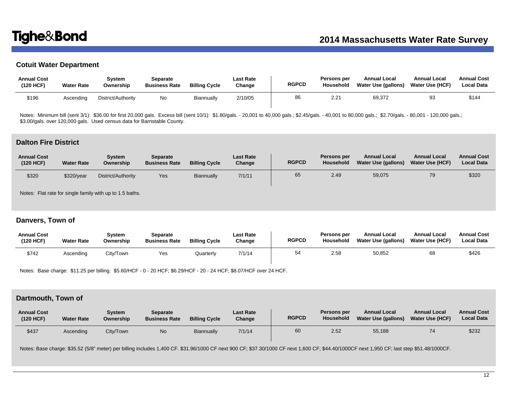# **Cotuit Water Department**

| <b>Annual Cost</b><br>(120 HCF) | <b>Water Rate</b> | Svstem<br>Ownership | Separate<br><b>Business Rate</b> | <b>Billing Cycle</b> | Last Rate<br>Change | <b>RGPCD</b> | Persons per<br>Household | <b>Annual Local</b><br>Water Use (gallons) | <b>Annual Local</b><br>Water Use (HCF) | <b>Annual Cost</b><br><b>Local Data</b> |
|---------------------------------|-------------------|---------------------|----------------------------------|----------------------|---------------------|--------------|--------------------------|--------------------------------------------|----------------------------------------|-----------------------------------------|
| \$196                           | Ascending         | District/Authority  | No                               | <b>Biannually</b>    | 2/10/05             | 86           | 2.21                     | 69.372                                     | 93                                     | \$144                                   |

Notes: Minimum bill (sent 3/1): \$36.00 for first 20,000 gals. Excess bill (sent 10/1): \$1.80/gals. - 20,001 to 40,000 gals.; \$2.45/gals. - 40,001 to 80,000 gals.; \$2.70/gals. - 80,001 - 120,000 gals.; \$3.6.00 for first 20, \$3.00/gals. over 120,000 gals. Used census data for Barnstable County.

### **Dalton Fire District**

| <b>Annual Cost</b><br>(120 HCF) | <b>Water Rate</b> | Svstem<br>Ownership | <b>Separate</b><br><b>Business Rate</b> | <b>Billing Cycle</b> | <b>Last Rate</b><br>Change | <b>RGPCD</b> | Persons per<br>Household | <b>Annual Local</b><br>Water Use (gallons) | <b>Annual Local</b><br><b>Water Use (HCF)</b> | <b>Annual Cost</b><br><b>Local Data</b> |
|---------------------------------|-------------------|---------------------|-----------------------------------------|----------------------|----------------------------|--------------|--------------------------|--------------------------------------------|-----------------------------------------------|-----------------------------------------|
| \$320                           | \$320/year        | District/Authority  | Yes                                     | Biannually           | 7/1/11                     | 65           | 2.49                     | 59,075                                     | 79                                            | \$320                                   |

Notes: Flat rate for single family with up to 1.5 baths.

# **Danvers, Town of**

| <b>Annual Cost</b><br>(120 HCF) | <b>Water Rate</b> | Svstem<br>Ownership | Separate<br><b>Business Rate</b> | <b>Billing Cycle</b> | <b>Last Rate</b><br>Change | <b>RGPCD</b> | <b>Persons per</b><br>Household | <b>Annual Local</b><br><b>Water Use (gallons)</b> | <b>Annual Local</b><br><b>Water Use (HCF)</b> | <b>Annual Cost</b><br><b>Local Data</b> |
|---------------------------------|-------------------|---------------------|----------------------------------|----------------------|----------------------------|--------------|---------------------------------|---------------------------------------------------|-----------------------------------------------|-----------------------------------------|
| \$742                           | Ascending         | City/Town           | Yes                              | Quarterly            | 7/1/14                     | 54           | 2.58                            | 50,852                                            | 68                                            | \$426                                   |

Notes: Base charge: \$11.25 per billing. \$5.60/HCF - 0 - 20 HCF; \$6.29/HCF - 20 - 24 HCF; \$8.07/HCF over 24 HCF.

# **Dartmouth, Town of**

| <b>Annual Cost</b><br>(120 HCF) | <b>Water Rate</b> | System<br>Ownership | <b>Separate</b><br><b>Business Rate</b> | <b>Billing Cycle</b> | <b>Last Rate</b><br>Change | <b>RGPCD</b> | <b>Persons per</b><br><b>Household</b> | <b>Annual Local</b><br><b>Water Use (gallons)</b> | <b>Annual Local</b><br><b>Water Use (HCF)</b> | <b>Annual Cost</b><br><b>Local Data</b> |
|---------------------------------|-------------------|---------------------|-----------------------------------------|----------------------|----------------------------|--------------|----------------------------------------|---------------------------------------------------|-----------------------------------------------|-----------------------------------------|
| \$437                           | Ascending         | Citv/Town           | No                                      | Biannually           | 7/1/14                     | 60           | 2.52                                   | 55,188                                            | 74                                            | \$232                                   |

Notes: Base charge: \$35.52 (5/8" meter) per billing includes 1,400 CF. \$31.96/1000 CF next 900 CF; \$37.30/1000 CF next 1,600 CF; \$44.40/1000CF next 1,950 CF; last step \$51.48/1000CF.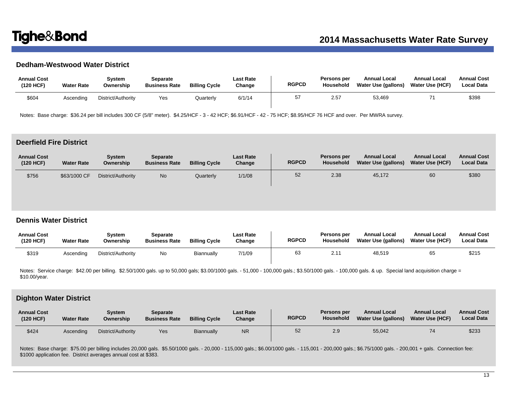# **Dedham-Westwood Water District**

| <b>Annual Cost</b><br>(120 HCF) | <b>Water Rate</b> | Svstem<br>Ownership | Separate<br><b>Business Rate</b> | <b>Billing Cycle</b> | Last Rate<br>Change | <b>RGPCD</b> | Persons per<br>Household | <b>Annual Local</b><br>Water Use (gallons) | <b>Annual Local</b><br><b>Water Use (HCF)</b> | <b>Annual Cost</b><br><b>Local Data</b> |
|---------------------------------|-------------------|---------------------|----------------------------------|----------------------|---------------------|--------------|--------------------------|--------------------------------------------|-----------------------------------------------|-----------------------------------------|
| \$604                           | Ascending         | District/Authority  | Yes                              | Quarterly            | 6/1/14              | 57           | 2.57                     | 53,469                                     |                                               | \$398                                   |

Notes: Base charge: \$36.24 per bill includes 300 CF (5/8" meter). \$4.25/HCF - 3 - 42 HCF; \$6.91/HCF - 42 - 75 HCF; \$8.95/HCF 76 HCF and over. Per MWRA survey.

## **Deerfield Fire District**

| <b>Annual Cost</b><br>(120 HCF) | <b>Water Rate</b> | Svstem<br>Ownership | <b>Separate</b><br><b>Business Rate</b> | <b>Billing Cycle</b> | <b>Last Rate</b><br>Change | <b>RGPCD</b> | Persons per<br>Household | <b>Annual Local</b><br>Water Use (gallons) | <b>Annual Local</b><br><b>Water Use (HCF)</b> | <b>Annual Cost</b><br><b>Local Data</b> |
|---------------------------------|-------------------|---------------------|-----------------------------------------|----------------------|----------------------------|--------------|--------------------------|--------------------------------------------|-----------------------------------------------|-----------------------------------------|
| \$756                           | \$63/1000 CF      | District/Authority  | No                                      | Quarterly            | 1/1/08                     | 52           | 2.38                     | 45,172                                     | 60                                            | \$380                                   |

## **Dennis Water District**

| <b>Annual Cost</b><br>(120 HCF) | <b>Water Rate</b> | Svstem<br>Ownership | Separate<br><b>Business Rate</b> | <b>Billing Cycle</b> | Last Rate<br>Change | <b>RGPCD</b> | Persons per<br>Household | <b>Annual Local</b><br>Water Use (gallons) | <b>Annual Local</b><br><b>Water Use (HCF)</b> | <b>Annual Cost</b><br><b>Local Data</b> |
|---------------------------------|-------------------|---------------------|----------------------------------|----------------------|---------------------|--------------|--------------------------|--------------------------------------------|-----------------------------------------------|-----------------------------------------|
| \$319                           | Ascendina         | District/Authority  | No                               | Biannually           | 7/1/09              | 63           | ו כ                      | 48,519                                     | 65                                            | \$215                                   |

Notes: Service charge: \$42.00 per billing. \$2.50/1000 gals. up to 50,000 gals; \$3.00/1000 gals. - 51,000 - 100,000 gals.; \$3.50/1000 gals. - 100,000 gals. & up. Special land acquisition charge = \$10.00/year.

### **Dighton Water District**

| <b>Annual Cost</b><br>(120 HCF) | <b>Water Rate</b> | Svstem<br>Ownership | Separate<br><b>Business Rate</b> | <b>Billing Cycle</b> | <b>Last Rate</b><br>Change | <b>RGPCD</b> | Persons per<br>Household | <b>Annual Local</b><br>Water Use (gallons) | <b>Annual Local</b><br><b>Water Use (HCF)</b> | <b>Annual Cost</b><br><b>Local Data</b> |
|---------------------------------|-------------------|---------------------|----------------------------------|----------------------|----------------------------|--------------|--------------------------|--------------------------------------------|-----------------------------------------------|-----------------------------------------|
| \$424                           | Ascending         | District/Authority  | Yes                              | Biannually           | <b>NR</b>                  | 52           | 2.9                      | 55,042                                     | 74                                            | \$233                                   |

Notes: Base charge: \$75.00 per billing includes 20,000 gals. \$5.50/1000 gals. - 20,000 - 115,000 gals.; \$6.00/1000 gals. - 115,001 - 200,000 gals.; \$6.75/1000 gals. - 200,001 + gals. Connection fee: \$1000 application fee. District averages annual cost at \$383.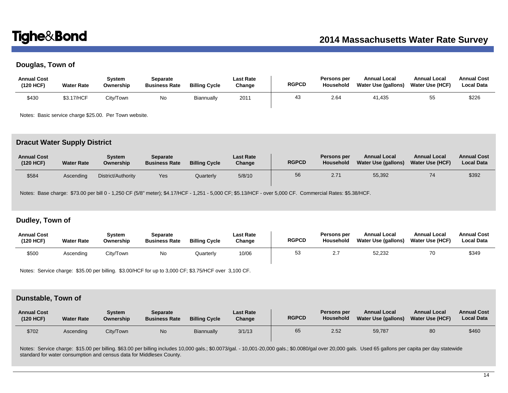# **Douglas, Town of**

| <b>Annual Cost</b><br>(120 HCF) | <b>Water Rate</b> | System<br>Ownership | Separate<br><b>Business Rate</b> | <b>Billing Cycle</b> | <b>Last Rate</b><br>Change | <b>RGPCD</b> | Persons per<br>Household | <b>Annual Local</b><br>Water Use (gallons) | <b>Annual Local</b><br><b>Water Use (HCF)</b> | <b>Annual Cost</b><br><b>Local Data</b> |
|---------------------------------|-------------------|---------------------|----------------------------------|----------------------|----------------------------|--------------|--------------------------|--------------------------------------------|-----------------------------------------------|-----------------------------------------|
| \$430                           | \$3.17/HCF        | Citv/Town_          | No                               | Biannually           | 2011                       | 43           | 2.64                     | 41.435                                     | ぃ                                             | \$226                                   |

Notes: Basic service charge \$25.00. Per Town website.

## **Dracut Water Supply District**

| <b>Annual Cost</b><br>(120 HCF) | <b>Water Rate</b> | Svstem<br>Ownership | Separate<br><b>Business Rate</b> | <b>Billing Cycle</b> | <b>Last Rate</b><br>Change | <b>RGPCD</b> | Persons per<br>Household | <b>Annual Local</b><br>Water Use (gallons) | <b>Annual Local</b><br>Water Use (HCF) | <b>Annual Cost</b><br><b>Local Data</b> |
|---------------------------------|-------------------|---------------------|----------------------------------|----------------------|----------------------------|--------------|--------------------------|--------------------------------------------|----------------------------------------|-----------------------------------------|
| \$584                           | Ascendina         | District/Authority  | Yes                              | Quarterly            | 5/8/10                     | 56           | 2.71                     | 55,392                                     | 74                                     | \$392                                   |

Notes: Base charge: \$73.00 per bill 0 - 1,250 CF (5/8" meter); \$4.17/HCF - 1,251 - 5,000 CF; \$5.13/HCF - over 5,000 CF. Commercial Rates: \$5.38/HCF.

# **Dudley, Town of**

| <b>Annual Cost</b><br>(120 HCF) | <b>Water Rate</b> | Svstem<br>Ownership | Separate<br><b>Business Rate</b> | <b>Billing Cycle</b> | Last Rate<br>Change | <b>RGPCD</b> | Persons per<br><b>Household</b> | <b>Annual Local</b><br>Water Use (gallons) | <b>Annual Local</b><br><b>Water Use (HCF)</b> | <b>Annual Cost</b><br><b>Local Data</b> |
|---------------------------------|-------------------|---------------------|----------------------------------|----------------------|---------------------|--------------|---------------------------------|--------------------------------------------|-----------------------------------------------|-----------------------------------------|
| \$500                           | Ascending         | City/Town           | No                               | Quarterly            | 10/06               | 53           |                                 | 52,232                                     | 70                                            | \$349                                   |

Notes: Service charge: \$35.00 per billing. \$3.00/HCF for up to 3,000 CF; \$3.75/HCF over 3,100 CF.

## **Dunstable, Town of**

| <b>Annual Cost</b><br>(120 HCF) | <b>Water Rate</b> | System<br>Ownership | <b>Separate</b><br><b>Business Rate</b> | <b>Billing Cycle</b> | <b>Last Rate</b><br>Change | <b>RGPCD</b> | Persons per<br>Household | <b>Annual Local</b><br>Water Use (gallons) | <b>Annual Local</b><br><b>Water Use (HCF)</b> | <b>Annual Cost</b><br><b>Local Data</b> |
|---------------------------------|-------------------|---------------------|-----------------------------------------|----------------------|----------------------------|--------------|--------------------------|--------------------------------------------|-----------------------------------------------|-----------------------------------------|
| \$702                           | Ascending         | City/Town           | N <sub>o</sub>                          | Biannually           | 3/1/13                     | 65           | 2.52                     | 59,787                                     | 80                                            | \$460                                   |

Notes: Service charge: \$15.00 per billing. \$63.00 per billing includes 10,000 gals.; \$0.0073/gal. - 10,001-20,000 gals.; \$0.0080/gal over 20,000 gals. Used 65 gallons per capita per day statewide standard for water consumption and census data for Middlesex County.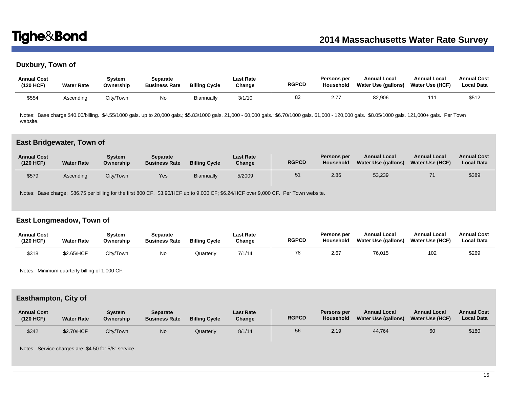# **Duxbury, Town of**

| <b>Annual Cost</b><br>(120 HCF) | <b>Water Rate</b> | Svstem<br>Ownership | Separate<br><b>Business Rate</b> | <b>Billing Cycle</b> | Last Rate<br>Change | <b>RGPCD</b> | Persons per<br>Household | <b>Annual Local</b><br>Water Use (gallons) | <b>Annual Local</b><br><b>Water Use (HCF)</b> | <b>Annual Cost</b><br><b>Local Data</b> |
|---------------------------------|-------------------|---------------------|----------------------------------|----------------------|---------------------|--------------|--------------------------|--------------------------------------------|-----------------------------------------------|-----------------------------------------|
| \$554                           | Ascending         | City/Town           | No                               | Biannually           | 3/1/10              | 82           | 2.77                     | 82,906                                     |                                               | \$512                                   |

Notes: Base charge \$40.00/billing. \$4.55/1000 gals. up to 20,000 gals.; \$5.83/1000 gals. 21,000 - 60,000 gals.; \$6.70/1000 gals. 61,000 - 120,000 gals. \$8.05/1000 gals. 121,000+ gals. Per Town website.

### **East Bridgewater, Town of**

| <b>Annual Cost</b><br>(120 HCF) | <b>Water Rate</b> | Svstem<br>Ownership | Separate<br><b>Business Rate</b> | <b>Billing Cycle</b> | <b>Last Rate</b><br>Change | <b>RGPCD</b> | Persons per<br>Household | <b>Annual Local</b><br><b>Water Use (gallons)</b> | <b>Annual Local</b><br><b>Water Use (HCF)</b> | <b>Annual Cost</b><br><b>Local Data</b> |
|---------------------------------|-------------------|---------------------|----------------------------------|----------------------|----------------------------|--------------|--------------------------|---------------------------------------------------|-----------------------------------------------|-----------------------------------------|
| \$579                           | Ascending         | City/Town           | Yes                              | Biannually           | 5/2009                     | 51           | 2.86                     | 53,239                                            |                                               | \$389                                   |

Notes: Base charge: \$86.75 per billing for the first 800 CF. \$3.90/HCF up to 9,000 CF; \$6.24/HCF over 9,000 CF. Per Town website.

# **East Longmeadow, Town of**

| <b>Annual Cost</b><br>(120 HCF) | <b>Water Rate</b> | Svstem<br>Ownership | Separate<br><b>Business Rate</b> | <b>Billing Cycle</b> | <b>Last Rate</b><br>Change | <b>RGPCD</b> | Persons per<br><b>Household</b> | <b>Annual Local</b><br><b>Water Use (gallons)</b> | <b>Annual Local</b><br><b>Water Use (HCF)</b> | <b>Annual Cost</b><br><b>Local Data</b> |
|---------------------------------|-------------------|---------------------|----------------------------------|----------------------|----------------------------|--------------|---------------------------------|---------------------------------------------------|-----------------------------------------------|-----------------------------------------|
| \$318                           | \$2.65/HCF        | Citv/Town           | No                               | Quarterly            | 7/1/14                     | 78           | 2.67                            | 76,015                                            | 102                                           | \$269                                   |

Notes: Minimum quarterly billing of 1,000 CF.

### **Easthampton, City of**

| <b>Annual Cost</b><br>(120 HCF) | <b>Water Rate</b> | Svstem<br>Ownership | Separate<br><b>Business Rate</b> | <b>Billing Cycle</b> | <b>Last Rate</b><br>Change | <b>RGPCD</b> | <b>Persons per</b><br><b>Household</b> | <b>Annual Local</b><br><b>Water Use (gallons)</b> | <b>Annual Local</b><br><b>Water Use (HCF)</b> | <b>Annual Cost</b><br><b>Local Data</b> |
|---------------------------------|-------------------|---------------------|----------------------------------|----------------------|----------------------------|--------------|----------------------------------------|---------------------------------------------------|-----------------------------------------------|-----------------------------------------|
| \$342                           | \$2.70/HCF        | City/Town           | No                               | Quarterly            | 8/1/14                     | 56           | 2.19                                   | 44.764                                            | 60                                            | \$180                                   |

Notes: Service charges are: \$4.50 for 5/8" service.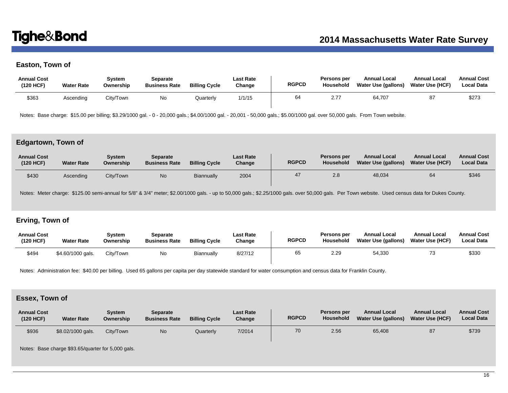# **Easton, Town of**

| <b>Annual Cost</b><br>(120 HCF) | <b>Water Rate</b> | Svstem<br>Ownership | Separate<br><b>Business Rate</b> | <b>Billing Cycle</b> | Last Rate<br>Change | <b>RGPCD</b> | Persons per<br>Household | <b>Annual Local</b><br>Water Use (gallons) | <b>Annual Local</b><br><b>Water Use (HCF)</b> | <b>Annual Cost</b><br><b>Local Data</b> |
|---------------------------------|-------------------|---------------------|----------------------------------|----------------------|---------------------|--------------|--------------------------|--------------------------------------------|-----------------------------------------------|-----------------------------------------|
| \$363                           | Ascending         | City/Town           | No                               | Quarterly            | 1/1/15              | 64           | 2.77                     | 64.707                                     | 87                                            | \$273                                   |

Notes: Base charge: \$15.00 per billing; \$3.29/1000 gal. - 0 - 20,000 gals.; \$4.00/1000 gal. - 20,001 - 50,000 gals.; \$5.00/1000 gal. over 50,000 gals. From Town website.

# **Edgartown, Town of**

| <b>Annual Cost</b><br>(120 HCF) | <b>Water Rate</b> | Svstem<br>Ownership | Separate<br><b>Business Rate</b> | <b>Billing Cycle</b> | <b>Last Rate</b><br>Change | <b>RGPCD</b> | Persons per<br>Household | <b>Annual Local</b><br>Water Use (gallons) | <b>Annual Local</b><br><b>Water Use (HCF)</b> | <b>Annual Cost</b><br><b>Local Data</b> |
|---------------------------------|-------------------|---------------------|----------------------------------|----------------------|----------------------------|--------------|--------------------------|--------------------------------------------|-----------------------------------------------|-----------------------------------------|
| \$430                           | Ascending         | City/Town           | No                               | Biannually           | 2004                       | 47           | 2.8                      | 48,034                                     |                                               | \$346                                   |

Notes: Meter charge: \$125.00 semi-annual for 5/8" & 3/4" meter; \$2.00/1000 gals. - up to 50,000 gals.; \$2.25/1000 gals. over 50,000 gals. Per Town website. Used census data for Dukes County.

# **Erving, Town of**

| <b>Annual Cost</b><br>(120 HCF) | <b>Water Rate</b> | Svstem<br>Ownership | Separate<br><b>Business Rate</b> | <b>Billing Cycle</b> | <b>Last Rate</b><br>Change | <b>RGPCD</b> | <b>Persons per</b><br><b>Household</b> | <b>Annual Local</b><br>Water Use (gallons) | <b>Annual Local</b><br>Water Use (HCF) | <b>Annual Cost</b><br><b>Local Data</b> |
|---------------------------------|-------------------|---------------------|----------------------------------|----------------------|----------------------------|--------------|----------------------------------------|--------------------------------------------|----------------------------------------|-----------------------------------------|
| \$494                           | \$4.60/1000 gals. | City/Town           | Νo                               | Biannually           | 8/27/12                    | 65           | 2.29                                   | 54,330                                     |                                        | \$330                                   |

Notes: Administration fee: \$40.00 per billing. Used 65 gallons per capita per day statewide standard for water consumption and census data for Franklin County.

# **Essex, Town of**

| <b>Annual Cost</b><br>(120 HCF) | <b>Water Rate</b> | Svstem<br>Ownership | Separate<br><b>Business Rate</b> | <b>Billing Cycle</b> | <b>Last Rate</b><br>Change | <b>RGPCD</b> | Persons per<br>Household | <b>Annual Local</b><br><b>Water Use (gallons)</b> | <b>Annual Local</b><br><b>Water Use (HCF)</b> | <b>Annual Cost</b><br><b>Local Data</b> |
|---------------------------------|-------------------|---------------------|----------------------------------|----------------------|----------------------------|--------------|--------------------------|---------------------------------------------------|-----------------------------------------------|-----------------------------------------|
| \$936                           | \$8.02/1000 gals. | City/Town           | No                               | Quarterly            | 7/2014                     | 70           | 2.56                     | 65.408                                            | 87                                            | \$739                                   |

Notes: Base charge \$93.65/quarter for 5,000 gals.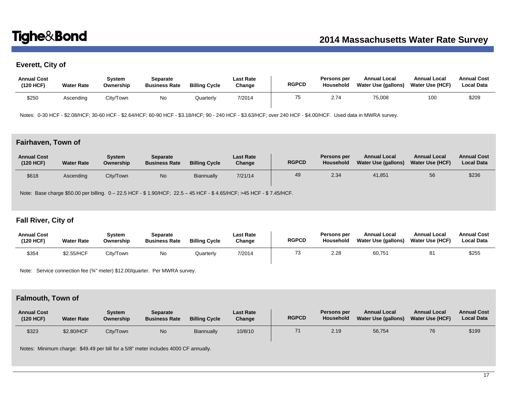# **Everett, City of**

| <b>Annual Cost</b><br>(120 HCF) | <b>Water Rate</b> | Svstem<br>Ownership | Separate<br><b>Business Rate</b> | <b>Billing Cycle</b> | Last Rate<br>Change | <b>RGPCD</b> | Persons per<br>Household | <b>Annual Local</b><br>Water Use (gallons) | <b>Annual Local</b><br><b>Water Use (HCF)</b> | <b>Annual Cost</b><br><b>Local Data</b> |
|---------------------------------|-------------------|---------------------|----------------------------------|----------------------|---------------------|--------------|--------------------------|--------------------------------------------|-----------------------------------------------|-----------------------------------------|
| \$250                           | Ascending         | City/Town           | No                               | <b>Juarterly</b>     | 7/2014              | 75           | 2.74                     | 75,008                                     | 100                                           | \$209                                   |

Notes: 0-30 HCF - \$2.08/HCF; 30-60 HCF - \$2.64/HCF; 60-90 HCF - \$3.18/HCF; 90 - 240 HCF - \$3.63/HCF; over 240 HCF - \$4.00/HCF. Used data in MWRA survey.

# **Fairhaven, Town of**

| <b>Annual Cost</b><br>(120 HCF) | <b>Water Rate</b> | Svstem<br>Ownership | <b>Separate</b><br><b>Business Rate</b> | <b>Billing Cycle</b> | <b>Last Rate</b><br>Change | <b>RGPCD</b> | Persons per<br>Household | <b>Annual Local</b><br>Water Use (gallons) | <b>Annual Local</b><br><b>Water Use (HCF)</b> | <b>Annual Cost</b><br><b>Local Data</b> |
|---------------------------------|-------------------|---------------------|-----------------------------------------|----------------------|----------------------------|--------------|--------------------------|--------------------------------------------|-----------------------------------------------|-----------------------------------------|
| \$618                           | Ascending         | City/Town           | N <sub>0</sub>                          | <b>Biannually</b>    | 7/21/14                    | 49           | 2.34                     | 41.851                                     | 56                                            | \$236                                   |

Note: Base charge \$50.00 per billing. 0 – 22.5 HCF - \$ 1.90/HCF; 22.5 – 45 HCF - \$ 4.65/HCF; >45 HCF - \$ 7.45/HCF.

# **Fall River, City of**

| <b>Annual Cost</b><br>(120 HCF) | <b>Water Rate</b> | Svstem<br>Ownership | Separate<br><b>Business Rate</b> | <b>Billing Cycle</b> | Last Rate<br>Change | <b>RGPCD</b> | Persons per<br>Household | <b>Annual Local</b><br><b>Water Use (gallons)</b> | <b>Annual Local</b><br><b>Water Use (HCF)</b> | <b>Annual Cost</b><br><b>Local Data</b> |
|---------------------------------|-------------------|---------------------|----------------------------------|----------------------|---------------------|--------------|--------------------------|---------------------------------------------------|-----------------------------------------------|-----------------------------------------|
| \$354                           | \$2.55/HCF        | City/Town           | No                               | Quarterly            | 7/2014              |              | 2.28                     | 60,751                                            | 81                                            | \$255                                   |

Note: Service connection fee (34" meter) \$12.00/quarter. Per MWRA survey.

# **Falmouth, Town of**

| <b>Annual Cost</b><br>(120 HCF) | <b>Water Rate</b> | Svstem<br>Ownership | <b>Separate</b><br><b>Business Rate</b> | <b>Billing Cycle</b> | <b>Last Rate</b><br>Change | <b>RGPCD</b> | Persons per<br><b>Household</b> | <b>Annual Local</b><br>Water Use (gallons) | <b>Annual Local</b><br><b>Water Use (HCF)</b> | <b>Annual Cost</b><br><b>Local Data</b> |
|---------------------------------|-------------------|---------------------|-----------------------------------------|----------------------|----------------------------|--------------|---------------------------------|--------------------------------------------|-----------------------------------------------|-----------------------------------------|
| \$323                           | \$2.80/HCF        | Citv/Town           | <b>No</b>                               | Biannually           | 10/8/10                    | 71           | 2.19                            | 56,754                                     | 76                                            | \$199                                   |

Notes: Minimum charge: \$49.49 per bill for a 5/8" meter includes 4000 CF annually.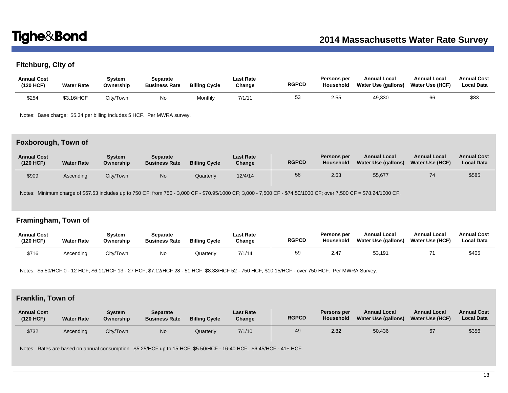# **Fitchburg, City of**

| <b>Annual Cost</b><br>(120 HCF) | <b>Water Rate</b> | Svstem<br>Ownership | Separate<br><b>Business Rate</b> | <b>Billing Cycle</b> | Last Rate<br>Change | <b>RGPCD</b> | Persons per<br>Household | <b>Annual Local</b><br>Water Use (gallons) | <b>Annual Local</b><br><b>Water Use (HCF)</b> | <b>Annual Cost</b><br><b>Local Data</b> |
|---------------------------------|-------------------|---------------------|----------------------------------|----------------------|---------------------|--------------|--------------------------|--------------------------------------------|-----------------------------------------------|-----------------------------------------|
| \$254                           | \$3.16/HCF        | Citv/Town           | No                               | Monthly              | 7/1/11              | 53           | 2.55                     | 49,330                                     | 66                                            | \$83                                    |

Notes: Base charge: \$5.34 per billing includes 5 HCF. Per MWRA survey.

# **Foxborough, Town of**

| <b>Annual Cost</b><br>(120 HCF) | <b>Water Rate</b> | Svstem<br>Ownership | <b>Separate</b><br><b>Business Rate</b> | <b>Billing Cycle</b> | <b>Last Rate</b><br>Change | <b>RGPCD</b> | Persons per<br>Household | <b>Annual Local</b><br>Water Use (gallons) | <b>Annual Local</b><br><b>Water Use (HCF)</b> | <b>Annual Cost</b><br><b>Local Data</b> |
|---------------------------------|-------------------|---------------------|-----------------------------------------|----------------------|----------------------------|--------------|--------------------------|--------------------------------------------|-----------------------------------------------|-----------------------------------------|
| \$909                           | Ascending         | City/Town           | N <sub>0</sub>                          | Quarterly            | 12/4/14                    | 58           | 2.63                     | 55,677                                     | 74                                            | \$585                                   |

Notes: Minimum charge of \$67.53 includes up to 750 CF; from 750 - 3,000 CF - \$70.95/1000 CF; 3,000 - 7,500 CF - \$74.50/1000 CF; over 7,500 CF = \$78.24/1000 CF.

# **Framingham, Town of**

| <b>Annual Cost</b><br>(120 HCF) | <b>Water Rate</b> | Svstem<br>Ownership | Separate<br><b>Business Rate</b> | <b>Billing Cycle</b> | <b>Last Rate</b><br>Change | <b>RGPCD</b> | Persons per<br><b>Household</b> | <b>Annual Local</b><br>Water Use (gallons) | <b>Annual Local</b><br><b>Water Use (HCF)</b> | <b>Annual Cost</b><br><b>Local Data</b> |
|---------------------------------|-------------------|---------------------|----------------------------------|----------------------|----------------------------|--------------|---------------------------------|--------------------------------------------|-----------------------------------------------|-----------------------------------------|
| \$716                           | Ascendina         | City/Town           | No                               | Quarterly            | 7/1/14                     | 59           | 2.47                            | 53,191                                     |                                               | \$405                                   |

Notes: \$5.50/HCF 0 - 12 HCF; \$6.11/HCF 13 - 27 HCF; \$7.12/HCF 28 - 51 HCF; \$8.38/HCF 52 - 750 HCF; \$10.15/HCF - over 750 HCF. Per MWRA Survey.

# **Franklin, Town of**

| <b>Annual Cost</b><br>(120 HCF) | <b>Water Rate</b> | Svstem<br>Ownership | Separate<br><b>Business Rate</b> | <b>Billing Cycle</b> | <b>Last Rate</b><br>Change | <b>RGPCD</b> | Persons per<br><b>Household</b> | <b>Annual Local</b><br>Water Use (gallons) | <b>Annual Local</b><br><b>Water Use (HCF)</b> | <b>Annual Cost</b><br><b>Local Data</b> |
|---------------------------------|-------------------|---------------------|----------------------------------|----------------------|----------------------------|--------------|---------------------------------|--------------------------------------------|-----------------------------------------------|-----------------------------------------|
| \$732                           | Ascending         | City/Town           | N <sub>o</sub>                   | Quarterly            | 7/1/10                     | 49           | 2.82                            | 50,436                                     | 67                                            | \$356                                   |

Notes: Rates are based on annual consumption. \$5.25/HCF up to 15 HCF; \$5.50/HCF - 16-40 HCF; \$6.45/HCF - 41+ HCF.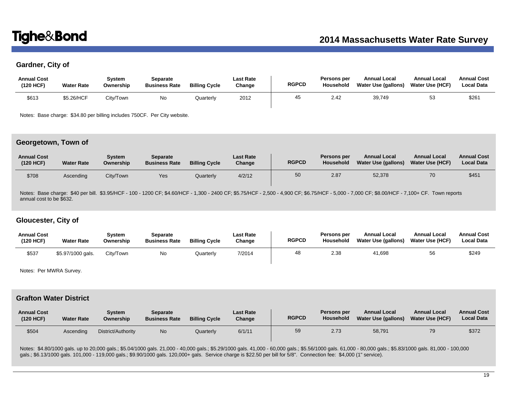# **Gardner, City of**

| <b>Annual Cost</b><br>(120 HCF) | <b>Water Rate</b> | System<br>Ownership | Separate<br><b>Business Rate</b> | <b>Billing Cycle</b> | <b>Last Rate</b><br>Change | <b>RGPCD</b> | Persons per<br>Household | <b>Annual Local</b><br>Water Use (gallons) | <b>Annual Local</b><br><b>Water Use (HCF)</b> | <b>Annual Cost</b><br><b>Local Data</b> |
|---------------------------------|-------------------|---------------------|----------------------------------|----------------------|----------------------------|--------------|--------------------------|--------------------------------------------|-----------------------------------------------|-----------------------------------------|
| \$613                           | \$5.26/HCF        | City/Town           | No                               | Quarterly            | 2012                       | 45           | 2.42                     | 39,749                                     | 53                                            | \$261                                   |

Notes: Base charge: \$34.80 per billing includes 750CF. Per City website.

### **Georgetown, Town of**

| <b>Annual Cost</b><br>(120 HCF) | <b>Water Rate</b> | Svstem<br>Ownership | Separate<br><b>Business Rate</b> | <b>Billing Cycle</b> | <b>Last Rate</b><br>Change | <b>RGPCD</b> | Persons per<br>Household | <b>Annual Local</b><br>Water Use (gallons) | <b>Annual Local</b><br><b>Water Use (HCF)</b> | <b>Annual Cost</b><br><b>Local Data</b> |
|---------------------------------|-------------------|---------------------|----------------------------------|----------------------|----------------------------|--------------|--------------------------|--------------------------------------------|-----------------------------------------------|-----------------------------------------|
| \$708                           | Ascending         | City/Town           | Yes                              | Quarterly            | 4/2/12                     | 50           | 2.87                     | 52,378                                     | 70                                            | \$451                                   |

Notes: Base charge: \$40 per bill. \$3.95/HCF - 100 - 1200 CF; \$4.60/HCF - 1,300 - 2400 CF; \$5.75/HCF - 2,500 - 4,900 CF; \$6.75/HCF - 5,000 - 7,000 CF; \$8.00/HCF - 7,100+ CF. Town reports annual cost to be \$632.

# **Gloucester, City of**

| <b>Annual Cost</b><br>(120 HCF) | <b>Water Rate</b> | Svstem<br>Ownership | Separate<br><b>Business Rate</b> | <b>Billing Cycle</b> | <b>Last Rate</b><br>Change | <b>RGPCD</b> | Persons per<br>Household | <b>Annual Local</b><br><b>Water Use (gallons)</b> | <b>Annual Local</b><br><b>Water Use (HCF)</b> | <b>Annual Cost</b><br><b>Local Data</b> |
|---------------------------------|-------------------|---------------------|----------------------------------|----------------------|----------------------------|--------------|--------------------------|---------------------------------------------------|-----------------------------------------------|-----------------------------------------|
| \$537                           | \$5.97/1000 gals. | City/Town           | No                               | Quarterly            | 7/2014                     | 48           | 2.38                     | 41,698                                            | 56                                            | \$249                                   |

Notes: Per MWRA Survey.

# **Grafton Water District**

| <b>Annual Cost</b><br>(120 HCF) | <b>Water Rate</b> | Svstem<br>Ownership | Separate<br><b>Business Rate</b> | <b>Billing Cycle</b> | <b>Last Rate</b><br>Change | <b>RGPCD</b> | Persons per<br>Household | <b>Annual Local</b><br>Water Use (gallons) | <b>Annual Local</b><br><b>Water Use (HCF)</b> | <b>Annual Cost</b><br><b>Local Data</b> |
|---------------------------------|-------------------|---------------------|----------------------------------|----------------------|----------------------------|--------------|--------------------------|--------------------------------------------|-----------------------------------------------|-----------------------------------------|
| \$504                           | Ascendina         | District/Authority  | No                               | Quarterly            | 6/1/11                     | 59           | 2.73                     | 58,791                                     | 79                                            | \$372                                   |

Notes: \$4.80/1000 gals. up to 20,000 gals.; \$5.04/1000 gals. 21,000 - 40,000 gals.; \$5.29/1000 gals. 41,000 - 60,000 gals.; \$5.56/1000 gals. 61,000 - 80,000 gals.; \$5.83/1000 gals. 81,000 - 100,000 gals.; \$6.13/1000 gals. 101,000 - 119,000 gals.; \$9.90/1000 gals. 120,000+ gals. Service charge is \$22.50 per bill for 5/8". Connection fee: \$4,000 (1" service).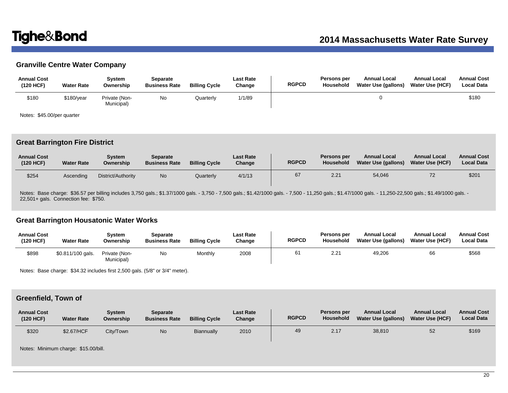# **Granville Centre Water Company**

| <b>Annual Cost</b><br>(120 HCF) | <b>Water Rate</b> | Svstem<br>Ownership         | Separate<br><b>Business Rate</b> | <b>Billing Cycle</b> | <b>Last Rate</b><br>Change | <b>RGPCD</b> | Persons per<br>Household | <b>Annual Local</b><br>Water Use (gallons) | <b>Annual Local</b><br><b>Water Use (HCF)</b> | <b>Annual Cost</b><br><b>Local Data</b> |
|---------------------------------|-------------------|-----------------------------|----------------------------------|----------------------|----------------------------|--------------|--------------------------|--------------------------------------------|-----------------------------------------------|-----------------------------------------|
| \$180                           | \$180/year        | Private (Non-<br>Municipal) | No                               | Quarterly            | 1/1/89                     |              |                          |                                            |                                               | \$180                                   |

Notes: \$45.00/per quarter

## **Great Barrington Fire District**

| <b>Annual Cost</b><br>(120 HCF) | <b>Water Rate</b> | Svstem<br>Ownership | Separate<br><b>Business Rate</b> | <b>Billing Cycle</b> | <b>Last Rate</b><br>Change | <b>RGPCD</b> | Persons per<br>Household | <b>Annual Local</b><br>Water Use (gallons) | <b>Annual Local</b><br>Water Use (HCF) | <b>Annual Cost</b><br><b>Local Data</b> |
|---------------------------------|-------------------|---------------------|----------------------------------|----------------------|----------------------------|--------------|--------------------------|--------------------------------------------|----------------------------------------|-----------------------------------------|
| \$254                           | Ascendina         | District/Authority  | No                               | Quarterly            | 4/1/13                     | 67           | 2.21                     | 54,046                                     |                                        | \$201                                   |

Notes: Base charge: \$36.57 per billing includes 3,750 gals.; \$1.37/1000 gals. - 3,750 - 7,500 gals.; \$1.42/1000 gals. - 7,500 - 11,250 gals.; \$1.47/1000 gals. - 11,250-22,500 gals.; \$1.49/1000 gals. 22,501+ gals. Connection fee: \$750.

## **Great Barrington Housatonic Water Works**

| <b>Annual Cost</b><br>(120 HCF) | <b>Water Rate</b> | Svstem<br>Ownership         | Separate<br><b>Business Rate</b> | <b>Billing Cycle</b> | <b>Last Rate</b><br>Change | <b>RGPCD</b> | Persons per<br>Household | <b>Annual Local</b><br>Water Use (gallons) | <b>Annual Local</b><br><b>Water Use (HCF)</b> | <b>Annual Cost</b><br><b>Local Data</b> |
|---------------------------------|-------------------|-----------------------------|----------------------------------|----------------------|----------------------------|--------------|--------------------------|--------------------------------------------|-----------------------------------------------|-----------------------------------------|
| \$898                           | \$0.811/100 gals. | Private (Non-<br>Municipal) | No.                              | Monthly              | 2008                       |              | 2.21                     | 49,206                                     | 66                                            | \$568                                   |

Notes: Base charge: \$34.32 includes first 2,500 gals. (5/8" or 3/4" meter).

# **Greenfield, Town of**

| <b>Annual Cost</b><br>(120 HCF) | <b>Water Rate</b> | Svstem<br>Ownership | <b>Separate</b><br><b>Business Rate</b> | <b>Billing Cycle</b> | <b>Last Rate</b><br>Change | <b>RGPCD</b> | <b>Persons per</b><br>Household | <b>Annual Local</b><br><b>Water Use (gallons)</b> | <b>Annual Local</b><br><b>Water Use (HCF)</b> | <b>Annual Cost</b><br><b>Local Data</b> |
|---------------------------------|-------------------|---------------------|-----------------------------------------|----------------------|----------------------------|--------------|---------------------------------|---------------------------------------------------|-----------------------------------------------|-----------------------------------------|
| \$320                           | \$2.67/HCF        | City/Town           | No                                      | Biannually           | 2010                       | 49           | 2.17                            | 38,810                                            | 52                                            | \$169                                   |

Notes: Minimum charge: \$15.00/bill.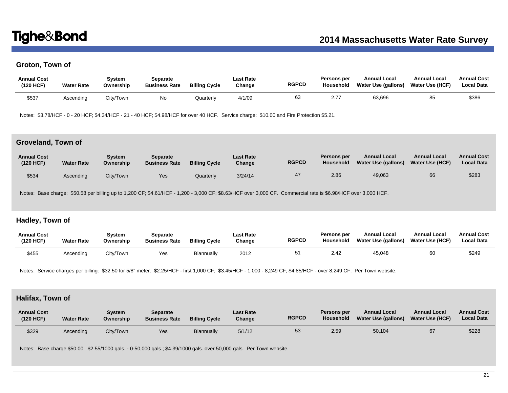# **Groton, Town of**

| <b>Annual Cost</b><br>(120 HCF) | <b>Water Rate</b> | Svstem<br>Ownership | Separate<br><b>Business Rate</b> | <b>Billing Cycle</b> | Last Rate<br>Change | <b>RGPCD</b> | Persons per<br>Household | <b>Annual Local</b><br>Water Use (gallons) | <b>Annual Local</b><br>Water Use (HCF) | <b>Annual Cost</b><br><b>Local Data</b> |
|---------------------------------|-------------------|---------------------|----------------------------------|----------------------|---------------------|--------------|--------------------------|--------------------------------------------|----------------------------------------|-----------------------------------------|
| \$537                           | Ascending         | City/Town           | No.                              | Quarterly            | 4/1/09              | 63           | 2.77                     | 63.696                                     | 85                                     | \$386                                   |

Notes: \$3.78/HCF - 0 - 20 HCF; \$4.34/HCF - 21 - 40 HCF; \$4.98/HCF for over 40 HCF. Service charge: \$10.00 and Fire Protection \$5.21.

### **Groveland, Town of**

| <b>Annual Cost</b><br>(120 HCF) | <b>Water Rate</b> | Svstem<br>Ownership | Separate<br><b>Business Rate</b> | <b>Billing Cycle</b> | <b>Last Rate</b><br>Change | <b>RGPCD</b> | Persons per<br>Household | <b>Annual Local</b><br>Water Use (gallons) | <b>Annual Local</b><br><b>Water Use (HCF)</b> | <b>Annual Cost</b><br><b>Local Data</b> |
|---------------------------------|-------------------|---------------------|----------------------------------|----------------------|----------------------------|--------------|--------------------------|--------------------------------------------|-----------------------------------------------|-----------------------------------------|
| \$534                           | Ascending         | City/Town           | Yes                              | Quarterly            | 3/24/14                    | 47           | 2.86                     | 49,063                                     | 66                                            | \$283                                   |

Notes: Base charge: \$50.58 per billing up to 1,200 CF; \$4.61/HCF - 1,200 - 3,000 CF; \$8.63/HCF over 3,000 CF. Commercial rate is \$6.98/HCF over 3,000 HCF.

# **Hadley, Town of**

| <b>Annual Cost</b><br>(120 HCF) | <b>Water Rate</b> | Svstem<br>Ownership | Separate<br><b>Business Rate</b> | <b>Billing Cycle</b> | <b>Last Rate</b><br>Change | <b>RGPCD</b> | <b>Persons per</b><br>Household | <b>Annual Local</b><br><b>Water Use (gallons)</b> | <b>Annual Local</b><br><b>Water Use (HCF)</b> | <b>Annual Cost</b><br><b>Local Data</b> |
|---------------------------------|-------------------|---------------------|----------------------------------|----------------------|----------------------------|--------------|---------------------------------|---------------------------------------------------|-----------------------------------------------|-----------------------------------------|
| \$455                           | Ascendina         | City/Town           | Yes                              | Biannually           | 2012                       |              | 2.42                            | 45,048                                            | 60                                            | \$249                                   |

Notes: Service charges per billing: \$32.50 for 5/8" meter. \$2.25/HCF - first 1,000 CF; \$3.45/HCF - 1,000 - 8,249 CF; \$4.85/HCF - over 8,249 CF. Per Town website.

# **Halifax, Town of**

| <b>Annual Cost</b><br>(120 HCF) | <b>Water Rate</b> | Svstem<br>Ownership | <b>Separate</b><br><b>Business Rate</b> | <b>Billing Cycle</b> | <b>Last Rate</b><br>Change | <b>RGPCD</b> | Persons per<br><b>Household</b> | <b>Annual Local</b><br>Water Use (gallons) | <b>Annual Local</b><br><b>Water Use (HCF)</b> | <b>Annual Cost</b><br><b>Local Data</b> |
|---------------------------------|-------------------|---------------------|-----------------------------------------|----------------------|----------------------------|--------------|---------------------------------|--------------------------------------------|-----------------------------------------------|-----------------------------------------|
| \$329                           | Ascending         | City/Town           | Yes                                     | Biannually           | 5/1/12                     | 53           | 2.59                            | 50,104                                     | 67                                            | \$228                                   |

Notes: Base charge \$50.00. \$2.55/1000 gals. - 0-50,000 gals.; \$4.39/1000 gals. over 50,000 gals. Per Town website.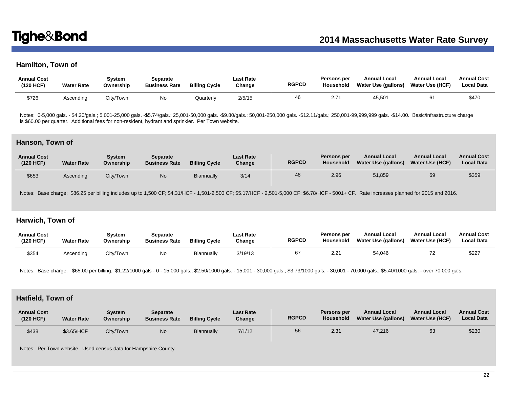# **Hamilton, Town of**

| <b>Annual Cost</b><br>(120 HCF) | <b>Water Rate</b> | Svstem<br>Ownership | Separate<br><b>Business Rate</b> | <b>Billing Cycle</b> | <b>Last Rate</b><br>Change | <b>RGPCD</b> | Persons per<br>Household | <b>Annual Local</b><br>Water Use (gallons) | <b>Annual Local</b><br>Water Use (HCF) | <b>Annual Cost</b><br><b>Local Data</b> |
|---------------------------------|-------------------|---------------------|----------------------------------|----------------------|----------------------------|--------------|--------------------------|--------------------------------------------|----------------------------------------|-----------------------------------------|
| \$726                           | Ascendina         | City/Town           | No                               | Quarterly            | 2/5/15                     | 46           | 2.71                     | 45,501                                     | 6                                      | \$470                                   |

Notes: 0-5,000 gals. - \$4.20/gals.; 5,001-25,000 gals. -\$5.74/gals.; 25,001-50,000 gals. -\$9.80/gals.; 50,001-250,000 gals. -\$12.11/gals.; 250,001-99,999,999 gals. -\$14.00. Basic/infrastructure charge is \$60.00 per quarter. Additional fees for non-resident, hydrant and sprinkler. Per Town website.

### **Hanson, Town of**

| <b>Annual Cost</b><br>(120 HCF) | <b>Water Rate</b> | System<br>Ownership | <b>Separate</b><br><b>Business Rate</b> | <b>Billing Cycle</b> | <b>Last Rate</b><br>Change | <b>RGPCD</b> | Persons per<br>Household | <b>Annual Local</b><br><b>Water Use (gallons)</b> | <b>Annual Local</b><br><b>Water Use (HCF)</b> | <b>Annual Cost</b><br><b>Local Data</b> |
|---------------------------------|-------------------|---------------------|-----------------------------------------|----------------------|----------------------------|--------------|--------------------------|---------------------------------------------------|-----------------------------------------------|-----------------------------------------|
| \$653                           | Ascending         | City/Town           | N <sub>o</sub>                          | Biannually           | 3/14                       | 48           | 2.96                     | 51,859                                            | 69                                            | \$359                                   |

Notes: Base charge: \$86.25 per billing includes up to 1,500 CF; \$4.31/HCF - 1,501-2,500 CF; \$5.17/HCF - 2,501-5,000 CF; \$6.78/HCF - 5001+ CF. Rate increases planned for 2015 and 2016.

# **Harwich, Town of**

| <b>Annual Cost</b><br>(120 HCF) | <b>Water Rate</b> | Svstem<br>Ownership | Separate<br><b>Business Rate</b> | <b>Billing Cycle</b> | Last Rate<br>Change | <b>RGPCD</b> | <b>Persons per</b><br>Household | <b>Annual Local</b><br>Water Use (gallons) | <b>Annual Local</b><br><b>Water Use (HCF)</b> | <b>Annual Cost</b><br><b>Local Data</b> |
|---------------------------------|-------------------|---------------------|----------------------------------|----------------------|---------------------|--------------|---------------------------------|--------------------------------------------|-----------------------------------------------|-----------------------------------------|
| \$354                           | Ascending         | Citv/Town           | No                               | Biannually           | 3/19/13             | 67           | 2.21                            | 54,046                                     |                                               | \$227                                   |

Notes: Base charge: \$65.00 per billing. \$1.22/1000 gals - 0 - 15,000 gals.; \$2.50/1000 gals. - 15,001 - 30,000 gals.; \$3.73/1000 gals. - 30,001 - 70,000 gals.; \$5.40/1000 gals. - over 70,000 gals.

## **Hatfield, Town of**

| <b>Annual Cost</b><br>(120 HCF) | <b>Water Rate</b> | Svstem<br>Ownership | Separate<br><b>Business Rate</b> | <b>Billing Cycle</b> | <b>Last Rate</b><br>Change | <b>RGPCD</b> | Persons per<br><b>Household</b> | <b>Annual Local</b><br><b>Water Use (gallons)</b> | <b>Annual Local</b><br><b>Water Use (HCF)</b> | <b>Annual Cost</b><br><b>Local Data</b> |
|---------------------------------|-------------------|---------------------|----------------------------------|----------------------|----------------------------|--------------|---------------------------------|---------------------------------------------------|-----------------------------------------------|-----------------------------------------|
| \$438                           | \$3.65/HCF        | City/Town           | No                               | Biannually           | 7/1/12                     | 56           | 2.3'                            | 47,216                                            | 63                                            | \$230                                   |

Notes: Per Town website. Used census data for Hampshire County.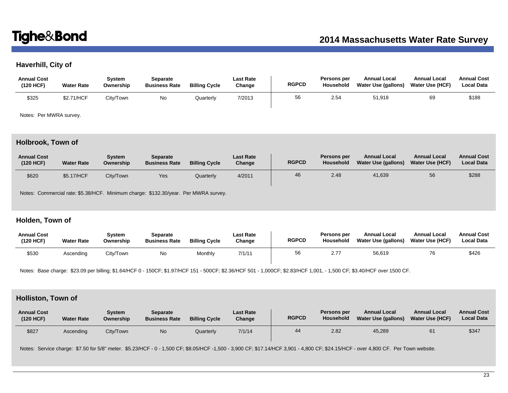# **Haverhill, City of**

| <b>Annual Cost</b><br>(120 HCF) | <b>Water Rate</b> | Svstem<br>Ownership | Separate<br><b>Business Rate</b> | <b>Billing Cycle</b> | <b>Last Rate</b><br>Change | <b>RGPCD</b> | Persons per<br>Household | <b>Annual Local</b><br>Water Use (gallons) | <b>Annual Local</b><br><b>Water Use (HCF)</b> | <b>Annual Cost</b><br><b>Local Data</b> |
|---------------------------------|-------------------|---------------------|----------------------------------|----------------------|----------------------------|--------------|--------------------------|--------------------------------------------|-----------------------------------------------|-----------------------------------------|
| \$325                           | \$2.71/HCF        | City/Town           | No                               | Quarterly            | 7/2013                     | 56           | 2.54                     | 51,918                                     | 69                                            | \$188                                   |

Notes: Per MWRA survey.

# **Holbrook, Town of**

| <b>Annual Cost</b><br>(120 HCF) | <b>Water Rate</b> | Svstem<br>Ownership | Separate<br><b>Business Rate</b> | <b>Billing Cycle</b> | Last Rate<br>Change | <b>RGPCD</b> | Persons per<br>Household | <b>Annual Local</b><br>Water Use (gallons) | <b>Annual Local</b><br>Water Use (HCF) | <b>Annual Cost</b><br><b>Local Data</b> |
|---------------------------------|-------------------|---------------------|----------------------------------|----------------------|---------------------|--------------|--------------------------|--------------------------------------------|----------------------------------------|-----------------------------------------|
| \$620                           | \$5.17/HCF        | City/Town           | Yes                              | Quarterly            | 4/2011              | 46           | 2.48                     | 41,639                                     | 56                                     | \$288                                   |

Notes: Commercial rate: \$5.38/HCF. Minimum charge: \$132.30/year. Per MWRA survey.

# **Holden, Town of**

| <b>Annual Cost</b><br>(120 HCF) | <b>Water Rate</b> | Svstem<br>Ownership | Separate<br><b>Business Rate</b> | <b>Billing Cycle</b> | <b>Last Rate</b><br>Change | <b>RGPCD</b> | Persons per<br><b>Household</b> | <b>Annual Local</b><br>Water Use (gallons) | <b>Annual Local</b><br><b>Water Use (HCF)</b> | <b>Annual Cost</b><br><b>Local Data</b> |
|---------------------------------|-------------------|---------------------|----------------------------------|----------------------|----------------------------|--------------|---------------------------------|--------------------------------------------|-----------------------------------------------|-----------------------------------------|
| \$530                           | Ascendina         | City/Town           | No                               | Monthly              | 7/1/11                     | 56           | 2.77                            | 56,619                                     | 76                                            | \$426                                   |

Notes: Base charge: \$23.09 per billing; \$1.64/HCF 0 - 150CF; \$1.97/HCF 151 - 500CF; \$2.36/HCF 501 - 1,000CF; \$2.83/HCF 1,001, - 1,500 CF; \$3.40/HCF over 1500 CF.

# **Holliston, Town of**

| <b>Annual Cost</b><br>(120 HCF) | <b>Water Rate</b> | Svstem<br>Ownership | Separate<br><b>Business Rate</b> | <b>Billing Cycle</b> | <b>Last Rate</b><br>Change | <b>RGPCD</b> | Persons per<br><b>Household</b> | <b>Annual Local</b><br>Water Use (gallons) | <b>Annual Local</b><br><b>Water Use (HCF)</b> | <b>Annual Cost</b><br><b>Local Data</b> |
|---------------------------------|-------------------|---------------------|----------------------------------|----------------------|----------------------------|--------------|---------------------------------|--------------------------------------------|-----------------------------------------------|-----------------------------------------|
| \$827                           | Ascending         | City/Town           | <b>No</b>                        | Quarterly            | 7/1/14                     | 44           | 2.82                            | 45,289                                     | 61                                            | \$347                                   |

Notes: Service charge: \$7.50 for 5/8" meter. \$5.23/HCF - 0 - 1,500 CF; \$8.05/HCF -1,500 - 3,900 CF; \$17.14/HCF 3,901 - 4,800 CF; \$24.15/HCF - over 4,800 CF. Per Town website.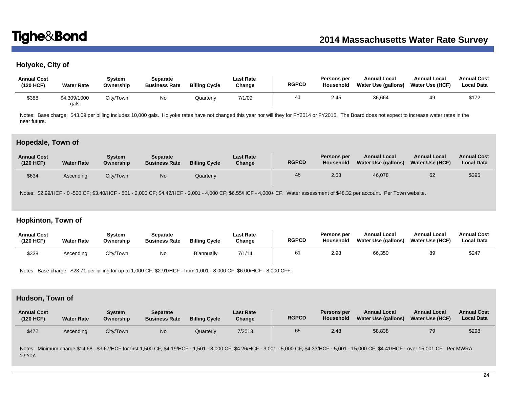# **Holyoke, City of**

| <b>Annual Cost</b><br>(120 HCF) | <b>Water Rate</b>     | Svstem<br>Ownership | Separate<br><b>Business Rate</b> | <b>Billing Cycle</b> | Last Rate<br>Change | <b>RGPCD</b> | Persons per<br>Household | <b>Annual Local</b><br>Water Use (gallons) | <b>Annual Local</b><br>Water Use (HCF) | <b>Annual Cost</b><br><b>Local Data</b> |
|---------------------------------|-----------------------|---------------------|----------------------------------|----------------------|---------------------|--------------|--------------------------|--------------------------------------------|----------------------------------------|-----------------------------------------|
| \$388                           | \$4.309/1000<br>gals. | City/Town           | <b>No</b>                        | Quarterly            | 7/1/09              |              | 2.45                     | 36,664                                     | 49                                     | \$172                                   |

Notes: Base charge: \$43.09 per billing includes 10,000 gals. Holyoke rates have not changed this year nor will they for FY2014 or FY2015. The Board does not expect to increase water rates in the near future.

### **Hopedale, Town of**

| <b>Annual Cost</b><br>(120 HCF) | <b>Water Rate</b> | System<br>Ownership | <b>Separate</b><br><b>Business Rate</b> | <b>Billing Cycle</b> | <b>Last Rate</b><br>Change | <b>RGPCD</b> | <b>Persons per</b><br><b>Household</b> | <b>Annual Local</b><br><b>Water Use (gallons)</b> | <b>Annual Local</b><br><b>Water Use (HCF)</b> | <b>Annual Cost</b><br><b>Local Data</b> |
|---------------------------------|-------------------|---------------------|-----------------------------------------|----------------------|----------------------------|--------------|----------------------------------------|---------------------------------------------------|-----------------------------------------------|-----------------------------------------|
| \$634                           | Ascending         | City/Town           | No                                      | Quarterly            |                            | 48           | 2.63                                   | 46,078                                            | 62                                            | \$395                                   |

Notes: \$2.99/HCF - 0 -500 CF; \$3.40/HCF - 501 - 2,000 CF; \$4.42/HCF - 2,001 - 4,000 CF; \$6.55/HCF - 4,000+ CF. Water assessment of \$48.32 per account. Per Town website.

## **Hopkinton, Town of**

| <b>Annual Cost</b><br>(120 HCF) | <b>Water Rate</b> | Svstem<br>Ownership | Separate<br><b>Business Rate</b> | <b>Billing Cycle</b> | Last Rate<br>Change | <b>RGPCD</b> | <b>Persons per</b><br><b>Household</b> | <b>Annual Local</b><br>Water Use (gallons) | <b>Annual Local</b><br><b>Water Use (HCF)</b> | <b>Annual Cost</b><br><b>Local Data</b> |
|---------------------------------|-------------------|---------------------|----------------------------------|----------------------|---------------------|--------------|----------------------------------------|--------------------------------------------|-----------------------------------------------|-----------------------------------------|
| \$338                           | Ascending         | City/Town           | No                               | Biannually           | 7/1/14              | 61           | 2.98                                   | 66.350                                     | 89                                            | \$247                                   |

Notes: Base charge: \$23.71 per billing for up to 1,000 CF; \$2.91/HCF - from 1,001 - 8,000 CF; \$6.00/HCF - 8,000 CF+.

# **Hudson, Town of**

| <b>Annual Cost</b><br>(120 HCF) | <b>Water Rate</b> | System<br>Ownership | <b>Separate</b><br><b>Business Rate</b> | <b>Billing Cycle</b> | <b>Last Rate</b><br>Change | <b>RGPCD</b> | Persons per<br>Household | <b>Annual Local</b><br>Water Use (gallons) | <b>Annual Local</b><br><b>Water Use (HCF)</b> | <b>Annual Cost</b><br><b>Local Data</b> |
|---------------------------------|-------------------|---------------------|-----------------------------------------|----------------------|----------------------------|--------------|--------------------------|--------------------------------------------|-----------------------------------------------|-----------------------------------------|
| \$472                           | Ascending         | City/Town           | No                                      | Quarterly            | 7/2013                     | 65           | 2.48                     | 58,838                                     | 79                                            | \$298                                   |

Notes: Minimum charge \$14.68. \$3.67/HCF for first 1,500 CF; \$4.19/HCF - 1,501 - 3,000 CF; \$4.26/HCF - 3,001 - 5,000 CF; \$4.33/HCF - 5,001 - 15,000 CF; \$4.41/HCF - over 15,001 CF. Per MWRA survey.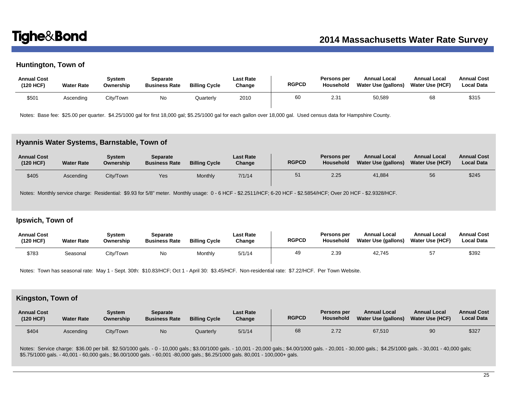# **Huntington, Town of**

| <b>Annual Cost</b><br>(120 HCF) | <b>Water Rate</b> | Svstem<br>Ownership | Separate<br><b>Business Rate</b> | <b>Billing Cycle</b> | <b>Last Rate</b><br>Change | <b>RGPCD</b> | <b>Persons per</b><br>Household | <b>Annual Local</b><br>Water Use (gallons) | <b>Annual Local</b><br><b>Water Use (HCF)</b> | <b>Annual Cost</b><br><b>Local Data</b> |
|---------------------------------|-------------------|---------------------|----------------------------------|----------------------|----------------------------|--------------|---------------------------------|--------------------------------------------|-----------------------------------------------|-----------------------------------------|
| \$501                           | Ascending         | City/Town           | No                               | Quarterly            | 2010                       | 60           | 2.31                            | 50,589                                     | 68                                            | \$315                                   |

Notes: Base fee: \$25.00 per quarter. \$4.25/1000 gal for first 18,000 gal; \$5.25/1000 gal for each gallon over 18,000 gal. Used census data for Hampshire County.

### **Hyannis Water Systems, Barnstable, Town of**

| <b>Annual Cost</b><br>(120 HCF) | <b>Water Rate</b> | Svstem<br>Ownership | <b>Separate</b><br><b>Business Rate</b> | <b>Billing Cycle</b> | <b>Last Rate</b><br>Change | <b>RGPCD</b> | Persons per<br>Household | <b>Annual Local</b><br>Water Use (gallons) | <b>Annual Local</b><br><b>Water Use (HCF)</b> | <b>Annual Cost</b><br><b>Local Data</b> |
|---------------------------------|-------------------|---------------------|-----------------------------------------|----------------------|----------------------------|--------------|--------------------------|--------------------------------------------|-----------------------------------------------|-----------------------------------------|
| \$405                           | Ascending         | City/Town           | Yes                                     | Monthly              | 7/1/14                     | 51           | 2.25                     | 41.884                                     | 56                                            | \$245                                   |

Notes: Monthly service charge: Residential: \$9.93 for 5/8" meter. Monthly usage: 0 - 6 HCF - \$2.2511/HCF; 6-20 HCF - \$2.5854/HCF; Over 20 HCF - \$2.9328/HCF.

# **Ipswich, Town of**

| <b>Annual Cost</b><br>(120 HCF) | <b>Water Rate</b> | Svstem<br>Ownership | Separate<br><b>Business Rate</b> | <b>Billing Cycle</b> | <b>Last Rate</b><br>Change | <b>RGPCD</b> | <b>Persons per</b><br><b>Household</b> | <b>Annual Local</b><br>Water Use (gallons) | <b>Annual Local</b><br><b>Water Use (HCF)</b> | <b>Annual Cost</b><br><b>Local Data</b> |
|---------------------------------|-------------------|---------------------|----------------------------------|----------------------|----------------------------|--------------|----------------------------------------|--------------------------------------------|-----------------------------------------------|-----------------------------------------|
| \$783                           | Seasonal          | City/Town           | No                               | Monthly              | 5/1/14                     | 49           | 2.39                                   | 42,745                                     |                                               | \$392                                   |

Notes: Town has seasonal rate: May 1 - Sept. 30th: \$10.83/HCF; Oct 1 - April 30: \$3.45/HCF. Non-residential rate: \$7.22/HCF. Per Town Website.

# **Kingston, Town of**

| <b>Annual Cost</b><br>(120 HCF) | <b>Water Rate</b> | System<br>Ownership | <b>Separate</b><br><b>Business Rate</b> | <b>Billing Cycle</b> | <b>Last Rate</b><br>Change | <b>RGPCD</b> | Persons per<br>Household | <b>Annual Local</b><br><b>Water Use (gallons)</b> | <b>Annual Local</b><br><b>Water Use (HCF)</b> | <b>Annual Cost</b><br><b>Local Data</b> |
|---------------------------------|-------------------|---------------------|-----------------------------------------|----------------------|----------------------------|--------------|--------------------------|---------------------------------------------------|-----------------------------------------------|-----------------------------------------|
| \$404                           | Ascending         | City/Town           | N <sub>o</sub>                          | Quarterly            | 5/1/14                     | 68           | 2.72                     | 67,510                                            | 90                                            | \$327                                   |

Notes: Service charge: \$36.00 per bill. \$2.50/1000 gals. - 0 - 10,000 gals.; \$3.00/1000 gals. - 10,001 - 20,000 gals.; \$4.00/1000 gals. - 20,001 - 30,000 gals.; \$4.25/1000 gals. - 30,001 - 40,000 gals: \$5.75/1000 gals. - 40,001 - 60,000 gals.; \$6.00/1000 gals. - 60,001 -80,000 gals.; \$6.25/1000 gals. 80,001 - 100,000+ gals.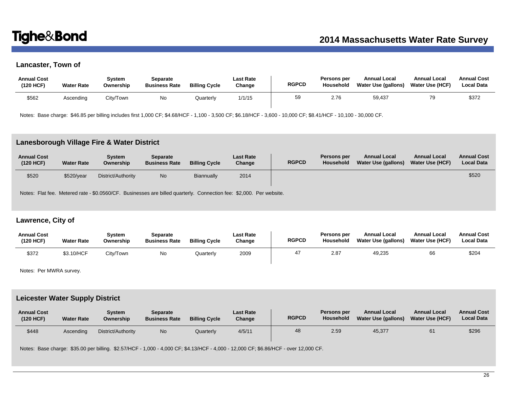# **Lancaster, Town of**

| <b>Annual Cost</b><br>(120 HCF) | <b>Water Rate</b> | Svstem<br>Ownership | <b>Separate</b><br><b>Business Rate</b> | <b>Billing Cycle</b> | Last Rate<br>Change | <b>RGPCD</b> | <b>Persons per</b><br>Household | <b>Annual Local</b><br>Water Use (gallons) | <b>Annual Local</b><br>Water Use (HCF) | <b>Annual Cost</b><br><b>Local Data</b> |
|---------------------------------|-------------------|---------------------|-----------------------------------------|----------------------|---------------------|--------------|---------------------------------|--------------------------------------------|----------------------------------------|-----------------------------------------|
| \$562                           | Ascending         | City/Town           | No                                      | Quarterly            | 1/1/15              | 59           | 2.76                            | 59,437                                     | 70                                     | \$372                                   |

Notes: Base charge: \$46.85 per billing includes first 1,000 CF; \$4.68/HCF - 1,100 - 3,500 CF; \$6.18/HCF - 3,600 - 10,000 CF; \$8.41/HCF - 10,100 - 30,000 CF.

### **Lanesborough Village Fire & Water District**

| <b>Annual Cost</b><br>(120 HCF) | <b>Water Rate</b> | Svstem<br>Ownership | Separate<br><b>Business Rate</b> | <b>Billing Cycle</b> | <b>Last Rate</b><br>Change | <b>RGPCD</b> | Persons per<br>Household | <b>Annual Local</b><br>Water Use (gallons) | <b>Annual Local</b><br>Water Use (HCF) | <b>Annual Cost</b><br><b>Local Data</b> |
|---------------------------------|-------------------|---------------------|----------------------------------|----------------------|----------------------------|--------------|--------------------------|--------------------------------------------|----------------------------------------|-----------------------------------------|
| \$520                           | \$520/year        | District/Authority  | <b>No</b>                        | <b>Biannually</b>    | 2014                       |              |                          |                                            |                                        | \$520                                   |

Notes: Flat fee. Metered rate - \$0.0560/CF. Businesses are billed quarterly. Connection fee: \$2,000. Per website.

# **Lawrence, City of**

| <b>Annual Cost</b><br>(120 HCF) | <b>Water Rate</b> | Svstem<br>Ownership | Separate<br><b>Business Rate</b> | <b>Billing Cycle</b> | Last Rate<br>Change | <b>RGPCD</b> | Persons per<br>Household | <b>Annual Local</b><br>Water Use (gallons) | <b>Annual Local</b><br><b>Water Use (HCF)</b> | <b>Annual Cost</b><br><b>Local Data</b> |
|---------------------------------|-------------------|---------------------|----------------------------------|----------------------|---------------------|--------------|--------------------------|--------------------------------------------|-----------------------------------------------|-----------------------------------------|
| \$372                           | \$3.10/HCF        | City/Town           | No.                              | Quarterly            | 2009                |              | 2.87                     | 49,235                                     | 66                                            | \$204                                   |

Notes: Per MWRA survey.

## **Leicester Water Supply District**

| <b>Annual Cost</b><br>(120 HCF) | <b>Water Rate</b> | Svstem<br>Ownership | <b>Separate</b><br><b>Business Rate</b> | <b>Billing Cycle</b> | <b>Last Rate</b><br>Change | <b>RGPCD</b> | Persons per<br>Household | <b>Annual Local</b><br>Water Use (gallons) | <b>Annual Local</b><br><b>Water Use (HCF)</b> | <b>Annual Cost</b><br><b>Local Data</b> |
|---------------------------------|-------------------|---------------------|-----------------------------------------|----------------------|----------------------------|--------------|--------------------------|--------------------------------------------|-----------------------------------------------|-----------------------------------------|
| \$448                           | Ascendina         | District/Authority  | No                                      | Quarterly            | 4/5/11                     | 48           | 2.59                     | 45,377                                     | 61                                            | \$296                                   |

Notes: Base charge: \$35.00 per billing. \$2.57/HCF - 1,000 - 4,000 CF; \$4.13/HCF - 4,000 - 12,000 CF; \$6.86/HCF - over 12,000 CF.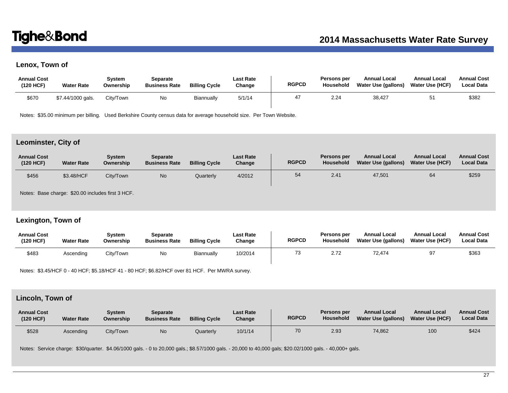# **Lenox, Town of**

| <b>Annual Cost</b><br>(120 HCF) | <b>Water Rate</b> | Svstem<br>Ownership | Separate<br><b>Business Rate</b> | <b>Billing Cycle</b> | Last Rate<br>Change | <b>RGPCD</b> | Persons per<br>Household | <b>Annual Local</b><br><b>Water Use (gallons)</b> | <b>Annual Local</b><br><b>Water Use (HCF)</b> | <b>Annual Cost</b><br><b>Local Data</b> |
|---------------------------------|-------------------|---------------------|----------------------------------|----------------------|---------------------|--------------|--------------------------|---------------------------------------------------|-----------------------------------------------|-----------------------------------------|
| \$670                           | \$7.44/1000 gals. | City/Town           | No                               | Biannually           | 5/1/14              |              | 2.24                     | 38,427                                            |                                               | \$382                                   |

Notes: \$35.00 minimum per billing. Used Berkshire County census data for average household size. Per Town Website.

## **Leominster, City of**

| <b>Annual Cost</b><br>(120 HCF) | <b>Water Rate</b> | <b>System</b><br>Ownership | Separate<br><b>Business Rate</b> | <b>Billing Cycle</b> | <b>Last Rate</b><br>Change | <b>RGPCD</b> | Persons per<br>Household | <b>Annual Local</b><br>Water Use (gallons) | <b>Annual Local</b><br><b>Water Use (HCF)</b> | <b>Annual Cost</b><br><b>Local Data</b> |
|---------------------------------|-------------------|----------------------------|----------------------------------|----------------------|----------------------------|--------------|--------------------------|--------------------------------------------|-----------------------------------------------|-----------------------------------------|
| \$456                           | \$3.48/HCF        | City/Town                  | No                               | Quarterly            | 4/2012                     | 54           | 2.41                     | 47,501                                     | 64                                            | \$259                                   |

Notes: Base charge: \$20.00 includes first 3 HCF.

# **Lexington, Town of**

| <b>Annual Cost</b><br>(120 HCF) | <b>Water Rate</b> | Svstem<br>Ownership | Separate<br><b>Business Rate</b> | <b>Billing Cycle</b> | Last Rate<br>Change | <b>RGPCD</b> | Persons per<br>Household | <b>Annual Local</b><br>Water Use (gallons) | <b>Annual Local</b><br><b>Water Use (HCF)</b> | <b>Annual Cost</b><br><b>Local Data</b> |
|---------------------------------|-------------------|---------------------|----------------------------------|----------------------|---------------------|--------------|--------------------------|--------------------------------------------|-----------------------------------------------|-----------------------------------------|
| \$483                           | Ascending         | City/Town           | No                               | Biannually           | 10/2014             |              | 2.72                     | 72.474                                     | 97                                            | \$363                                   |

Notes: \$3.45/HCF 0 - 40 HCF; \$5.18/HCF 41 - 80 HCF; \$6.82/HCF over 81 HCF. Per MWRA survey.

# **Lincoln, Town of**

| <b>Annual Cost</b><br>(120 HCF) | <b>Water Rate</b> | Svstem<br>Ownership | <b>Separate</b><br><b>Business Rate</b> | <b>Billing Cycle</b> | <b>Last Rate</b><br>Change | <b>RGPCD</b> | Persons per<br><b>Household</b> | <b>Annual Local</b><br>Water Use (gallons) | <b>Annual Local</b><br><b>Water Use (HCF)</b> | <b>Annual Cost</b><br><b>Local Data</b> |
|---------------------------------|-------------------|---------------------|-----------------------------------------|----------------------|----------------------------|--------------|---------------------------------|--------------------------------------------|-----------------------------------------------|-----------------------------------------|
| \$528                           | Ascending         | City/Town           | No                                      | Quarterly            | 10/1/14                    | 70           | 2.93                            | 74,862                                     | 100                                           | \$424                                   |

Notes: Service charge: \$30/quarter. \$4.06/1000 gals. - 0 to 20,000 gals.; \$8.57/1000 gals. - 20,000 to 40,000 gals; \$20.02/1000 gals. - 40,000+ gals.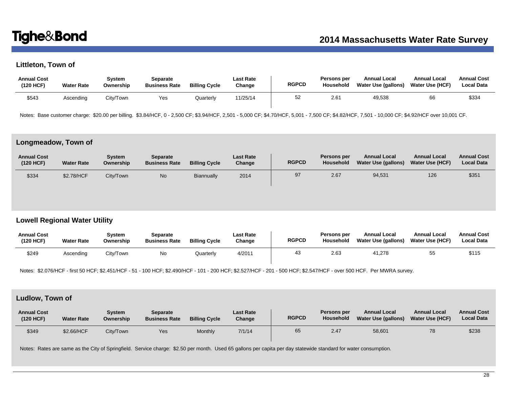# **Littleton, Town of**

| <b>Annual Cost</b><br>(120 HCF) | <b>Water Rate</b> | Svstem<br>Ownership | Separate<br><b>Business Rate</b> | <b>Billing Cycle</b> | Last Rate<br>Change | <b>RGPCD</b> | Persons per<br>Household | <b>Annual Local</b><br>Water Use (gallons) | <b>Annual Local</b><br>Water Use (HCF) | <b>Annual Cost</b><br><b>Local Data</b> |
|---------------------------------|-------------------|---------------------|----------------------------------|----------------------|---------------------|--------------|--------------------------|--------------------------------------------|----------------------------------------|-----------------------------------------|
| \$543                           | Ascending         | Citv/Town           | Yes                              | Quarterly            | 11/25/14            | 52           | 2.61                     | 49,538                                     | 66                                     | \$334                                   |

Notes: Base customer charge: \$20.00 per billing. \$3.84/HCF, 0 - 2,500 CF; \$3.94/HCF, 2,501 - 5,000 CF; \$4.70/HCF, 5,001 - 7,500 CF; \$4.82/HCF, 7,501 - 10,000 CF; \$4.92/HCF over 10,001 CF.

### **Longmeadow, Town of**

| <b>Annual Cost</b><br>(120 HCF) | <b>Water Rate</b> | Svstem<br>Ownership | <b>Separate</b><br><b>Business Rate</b> | <b>Billing Cycle</b> | Last Rate<br>Change | <b>RGPCD</b> | Persons per<br><b>Household</b> | <b>Annual Local</b><br>Water Use (gallons) | <b>Annual Local</b><br><b>Water Use (HCF)</b> | <b>Annual Cost</b><br><b>Local Data</b> |
|---------------------------------|-------------------|---------------------|-----------------------------------------|----------------------|---------------------|--------------|---------------------------------|--------------------------------------------|-----------------------------------------------|-----------------------------------------|
| \$334                           | \$2.78/HCF        | City/Town           | No                                      | Biannually           | 2014                | 97           | 2.67                            | 94,531                                     | 126                                           | \$351                                   |

# **Lowell Regional Water Utility**

| <b>Annual Cost</b><br>(120 HCF) | <b>Water Rate</b> | Svstem<br>Ownership | <b>Separate</b><br><b>Business Rate</b> | <b>Billing Cycle</b> | <b>Last Rate</b><br>Change | <b>RGPCD</b> | Persons per<br>Household | <b>Annual Local</b><br>Water Use (gallons) | <b>Annual Local</b><br><b>Water Use (HCF)</b> | <b>Annual Cost</b><br><b>Local Data</b> |
|---------------------------------|-------------------|---------------------|-----------------------------------------|----------------------|----------------------------|--------------|--------------------------|--------------------------------------------|-----------------------------------------------|-----------------------------------------|
| \$249                           | Ascending         | City/Town           | No                                      | Quarterly            | 4/2011                     | 4٥           | 2.63                     | 41.278                                     | 55                                            | \$115                                   |

Notes: \$2.076/HCF - first 50 HCF; \$2.451/HCF - 51 - 100 HCF; \$2.490/HCF - 101 - 200 HCF; \$2.527/HCF - 201 - 500 HCF; \$2.547/HCF - over 500 HCF. Per MWRA survey.

# **Ludlow, Town of**

| <b>Annual Cost</b><br>(120 HCF) | <b>Water Rate</b> | Svstem<br>Ownership | Separate<br><b>Business Rate</b> | <b>Billing Cycle</b> | <b>Last Rate</b><br>Change | <b>RGPCD</b> | Persons per<br><b>Household</b> | <b>Annual Local</b><br>Water Use (gallons) | <b>Annual Local</b><br><b>Water Use (HCF)</b> | <b>Annual Cost</b><br><b>Local Data</b> |
|---------------------------------|-------------------|---------------------|----------------------------------|----------------------|----------------------------|--------------|---------------------------------|--------------------------------------------|-----------------------------------------------|-----------------------------------------|
| \$349                           | \$2.66/HCF        | City/Town           | Yes                              | Monthly              | 7/1/14                     | 65           | 2.47                            | 58,601                                     | 78                                            | \$238                                   |

Notes: Rates are same as the City of Springfield. Service charge: \$2.50 per month. Used 65 gallons per capita per day statewide standard for water consumption.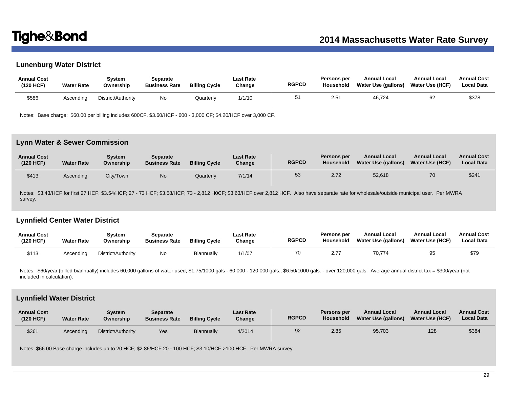# **Lunenburg Water District**

| <b>Annual Cost</b><br>(120 HCF) | <b>Water Rate</b> | System<br>Ownership | Separate<br><b>Business Rate</b> | <b>Billing Cycle</b> | Last Rate<br>Change | <b>RGPCD</b> | Persons per<br><b>Household</b> | <b>Annual Local</b><br>Water Use (gallons) | <b>Annual Local</b><br><b>Water Use (HCF)</b> | <b>Annual Cost</b><br><b>Local Data</b> |
|---------------------------------|-------------------|---------------------|----------------------------------|----------------------|---------------------|--------------|---------------------------------|--------------------------------------------|-----------------------------------------------|-----------------------------------------|
| \$586                           | Ascendina         | District/Authority  | No                               | Quarterlv            | 1/1/10              | 51           | 2.51                            | 46,724                                     | 62                                            | \$378                                   |

Notes: Base charge: \$60.00 per billing includes 600CF. \$3.60/HCF - 600 - 3,000 CF; \$4.20/HCF over 3,000 CF.

### **Lynn Water & Sewer Commission**

| <b>Annual Cost</b><br>(120 HCF) | <b>Water Rate</b> | Svstem<br>Ownership | Separate<br><b>Business Rate</b> | <b>Billing Cycle</b> | <b>Last Rate</b><br>Change | <b>RGPCD</b> | Persons per<br>Household | <b>Annual Local</b><br><b>Water Use (gallons)</b> | <b>Annual Local</b><br><b>Water Use (HCF)</b> | <b>Annual Cost</b><br><b>Local Data</b> |
|---------------------------------|-------------------|---------------------|----------------------------------|----------------------|----------------------------|--------------|--------------------------|---------------------------------------------------|-----------------------------------------------|-----------------------------------------|
| \$413                           | Ascending         | City/Town           | No                               | Quarterly            | 7/1/14                     | 53           | 2.72                     | 52,618                                            | 70                                            | \$241                                   |

Notes: \$3.43/HCF for first 27 HCF; \$3.54/HCF; 27 - 73 HCF; \$3.58/HCF; 73 - 2,812 HOCF; \$3.63/HCF over 2,812 HCF. Also have separate rate for wholesale/outside municipal user. Per MWRA survey.

# **Lynnfield Center Water District**

| <b>Annual Cost</b><br>(120 HCF) | <b>Water Rate</b> | Svstem<br>Ownership | Separate<br><b>Business Rate</b> | <b>Billing Cycle</b> | <b>Last Rate</b><br>Change | <b>RGPCD</b> | <b>Persons per</b><br><b>Household</b> | <b>Annual Local</b><br>Water Use (gallons) | <b>Annual Local</b><br><b>Water Use (HCF)</b> | <b>Annual Cost</b><br><b>Local Data</b> |
|---------------------------------|-------------------|---------------------|----------------------------------|----------------------|----------------------------|--------------|----------------------------------------|--------------------------------------------|-----------------------------------------------|-----------------------------------------|
| \$113                           | Ascendina         | District/Authority  | No                               | Biannually           | 1/1/07                     | 70           | 2.77                                   | 70.774                                     | 95                                            | \$79                                    |

Notes: \$60/year (billed biannually) includes 60,000 gallons of water used; \$1.75/1000 gals - 60,000 - 120,000 gals.; \$6.50/1000 gals. - over 120,000 gals. Average annual district tax = \$300/year (not included in calculation).

## **Lynnfield Water District**

| <b>Annual Cost</b><br>(120 HCF) | <b>Water Rate</b> | Svstem<br>Ownership | Separate<br><b>Business Rate</b> | <b>Billing Cycle</b> | <b>Last Rate</b><br>Change | <b>RGPCD</b> | Persons per<br>Household | <b>Annual Local</b><br>Water Use (gallons) | <b>Annual Local</b><br><b>Water Use (HCF)</b> | <b>Annual Cost</b><br><b>Local Data</b> |
|---------------------------------|-------------------|---------------------|----------------------------------|----------------------|----------------------------|--------------|--------------------------|--------------------------------------------|-----------------------------------------------|-----------------------------------------|
| \$361                           | Ascendina         | District/Authority  | Yes                              | <b>Biannually</b>    | 4/2014                     | 92           | 2.85                     | 95,703                                     | 128                                           | \$384                                   |

Notes: \$66.00 Base charge includes up to 20 HCF; \$2.86/HCF 20 - 100 HCF; \$3.10/HCF >100 HCF. Per MWRA survey.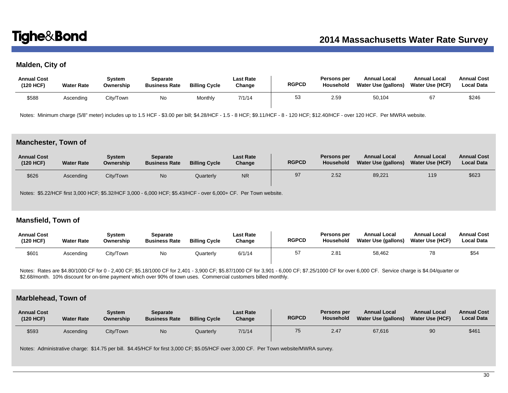# **Malden, City of**

| <b>Annual Cost</b><br>(120 HCF) | <b>Water Rate</b> | Svstem<br>Ownership | Separate<br><b>Business Rate</b> | <b>Billing Cycle</b> | Last Rate<br>Change | <b>RGPCD</b> | Persons per<br>Household | <b>Annual Local</b><br>Water Use (gallons) | <b>Annual Local</b><br>Water Use (HCF) | <b>Annual Cost</b><br><b>Local Data</b> |
|---------------------------------|-------------------|---------------------|----------------------------------|----------------------|---------------------|--------------|--------------------------|--------------------------------------------|----------------------------------------|-----------------------------------------|
| \$588                           | Ascending         | Citv/Town           | No                               | Monthly              | 7/1/14              | 53           | 2.59                     | 50,104                                     | 67                                     | \$246                                   |

Notes: Minimum charge (5/8" meter) includes up to 1.5 HCF - \$3.00 per bill; \$4.28/HCF - 1.5 - 8 HCF; \$9.11/HCF - 8 - 120 HCF; \$12.40/HCF - over 120 HCF. Per MWRA website.

### **Manchester, Town of**

| <b>Annual Cost</b><br>(120 HCF) | <b>Water Rate</b> | Svstem<br>Ownership | <b>Separate</b><br><b>Business Rate</b> | <b>Billing Cycle</b> | <b>Last Rate</b><br>Change | <b>RGPCD</b> | Persons per<br>Household | <b>Annual Local</b><br>Water Use (gallons) | <b>Annual Local</b><br><b>Water Use (HCF)</b> | <b>Annual Cost</b><br><b>Local Data</b> |
|---------------------------------|-------------------|---------------------|-----------------------------------------|----------------------|----------------------------|--------------|--------------------------|--------------------------------------------|-----------------------------------------------|-----------------------------------------|
| \$626                           | Ascending         | City/Town           | No                                      | Quarterly            | <b>NR</b>                  | 97           | 2.52                     | 89,221                                     | 119                                           | \$623                                   |

Notes: \$5.22/HCF first 3,000 HCF; \$5.32/HCF 3,000 - 6,000 HCF; \$5.43/HCF - over 6,000+ CF. Per Town website.

## **Mansfield, Town of**

| <b>Annual Cost</b><br>(120 HCF) | <b>Water Rate</b> | System<br>Ownership | Separate<br><b>Business Rate</b> | <b>Billing Cycle</b> | <b>Last Rate</b><br>Change | <b>RGPCD</b> | <b>Persons per</b><br>Household | <b>Annual Local</b><br>Water Use (gallons) | <b>Annual Local</b><br><b>Water Use (HCF)</b> | <b>Annual Cost</b><br><b>Local Data</b> |
|---------------------------------|-------------------|---------------------|----------------------------------|----------------------|----------------------------|--------------|---------------------------------|--------------------------------------------|-----------------------------------------------|-----------------------------------------|
| \$601                           | Ascending         | City/Town           | Νo                               | Quarterly            | 6/1/14                     | 57           | $2.8^{\circ}$                   | 58,462                                     | 78                                            | \$54                                    |

Notes: Rates are \$4.80/1000 CF for 0 - 2,400 CF; \$5.18/1000 CF for 2,401 - 3,900 CF; \$5.87/1000 CF for 3,901 - 6,000 CF; \$7.25/1000 CF for over 6,000 CF. Service charge is \$4.04/quarter or \$2.68/month. 10% discount for on-time payment which over 90% of town uses. Commercial customers billed monthly.

### **Marblehead, Town of**

| <b>Annual Cost</b><br>(120 HCF) | <b>Water Rate</b> | Svstem<br>Ownership | Separate<br><b>Business Rate</b> | <b>Billing Cycle</b> | <b>Last Rate</b><br>Change | <b>RGPCD</b> | Persons per<br>Household | <b>Annual Local</b><br>Water Use (gallons) | <b>Annual Local</b><br><b>Water Use (HCF)</b> | <b>Annual Cost</b><br><b>Local Data</b> |
|---------------------------------|-------------------|---------------------|----------------------------------|----------------------|----------------------------|--------------|--------------------------|--------------------------------------------|-----------------------------------------------|-----------------------------------------|
| \$593                           | Ascending         | City/Town           | No                               | Quarterly            | 7/1/14                     | 75           | 2.47                     | 67,616                                     | 90                                            | \$461                                   |

Notes: Administrative charge: \$14.75 per bill. \$4.45/HCF for first 3,000 CF; \$5.05/HCF over 3,000 CF. Per Town website/MWRA survey.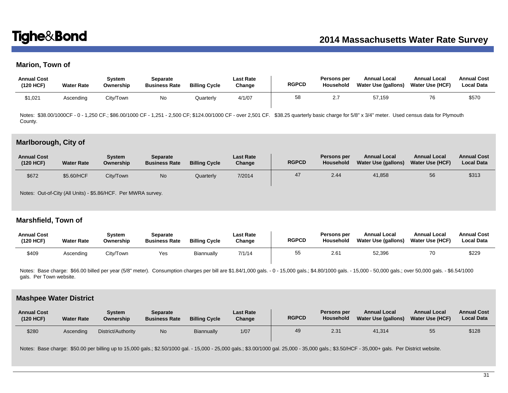# **Marion, Town of**

| <b>Annual Cost</b><br>(120 HCF) | <b>Water Rate</b> | Svstem<br>Ownership | Separate<br><b>Business Rate</b> | <b>Billing Cycle</b> | Last Rate<br>Change | <b>RGPCD</b> | Persons per<br>Household  | <b>Annual Local</b><br>Water Use (gallons) | <b>Annual Local</b><br><b>Water Use (HCF)</b> | <b>Annual Cost</b><br><b>Local Data</b> |
|---------------------------------|-------------------|---------------------|----------------------------------|----------------------|---------------------|--------------|---------------------------|--------------------------------------------|-----------------------------------------------|-----------------------------------------|
| \$1,021                         | Ascending         | City/Town           | No.                              | Quarterly            | 4/1/07              | 58           | $\sim$ $\sim$<br><u>.</u> | 57,159                                     | 76                                            | \$570                                   |

Notes: \$38.00/1000CF - 0 - 1,250 CF; \$86.00/1000 CF - 1,251 - 2,500 CF; \$124.00/1000 CF - over 2,501 CF. \$38.25 quarterly basic charge for 5/8" x 3/4" meter. Used census data for Plymouth County.

### **Marlborough, City of**

| <b>Annual Cost</b><br>(120 HCF) | <b>Water Rate</b> | Svstem<br>Ownership | Separate<br><b>Business Rate</b> | <b>Billing Cycle</b> | <b>Last Rate</b><br>Change | <b>RGPCD</b> | Persons per<br>Household | <b>Annual Local</b><br><b>Water Use (gallons)</b> | <b>Annual Local</b><br><b>Water Use (HCF)</b> | <b>Annual Cost</b><br><b>Local Data</b> |
|---------------------------------|-------------------|---------------------|----------------------------------|----------------------|----------------------------|--------------|--------------------------|---------------------------------------------------|-----------------------------------------------|-----------------------------------------|
| \$672                           | \$5.60/HCF        | City/Town           | No                               | Quarterly            | 7/2014                     | 47           | 2.44                     | 41,858                                            | 56                                            | \$313                                   |

Notes: Out-of-City (All Units) - \$5.86/HCF. Per MWRA survey.

# **Marshfield, Town of**

| <b>Annual Cost</b><br>(120 HCF) | <b>Water Rate</b> | Svstem<br>Ownership | Separate<br><b>Business Rate</b> | <b>Billing Cycle</b> | <b>Last Rate</b><br>Change | <b>RGPCD</b> | Persons per<br>Household | <b>Annual Local</b><br>Water Use (gallons) | <b>Annual Local</b><br><b>Water Use (HCF)</b> | <b>Annual Cost</b><br>Local Data |
|---------------------------------|-------------------|---------------------|----------------------------------|----------------------|----------------------------|--------------|--------------------------|--------------------------------------------|-----------------------------------------------|----------------------------------|
| \$409                           | Ascending         | City/Town           | Yes                              | Biannually           | 7/1/14                     | へん<br>◡      | 2.61                     | 52,396                                     |                                               | \$229                            |

Notes: Base charge: \$66.00 billed per year (5/8" meter). Consumption charges per bill are \$1.84/1,000 gals. - 0 - 15,000 gals.; \$4.80/1000 gals. - 15,000 - 50,000 gals.; over 50,000 gals. - \$6.54/1000 gals. Per Town website.

### **Mashpee Water District**

| <b>Annual Cost</b><br>(120 HCF) | <b>Water Rate</b> | Svstem<br>Ownership | <b>Separate</b><br><b>Business Rate</b> | <b>Billing Cycle</b> | <b>Last Rate</b><br>Change | <b>RGPCD</b> | Persons per<br>Household | <b>Annual Local</b><br>Water Use (gallons) | <b>Annual Local</b><br><b>Water Use (HCF)</b> | <b>Annual Cost</b><br><b>Local Data</b> |
|---------------------------------|-------------------|---------------------|-----------------------------------------|----------------------|----------------------------|--------------|--------------------------|--------------------------------------------|-----------------------------------------------|-----------------------------------------|
| \$280                           | Ascendina         | District/Authority  | No.                                     | Biannually           | 1/07                       | 49           | 2.31                     | 41,314                                     | 55                                            | \$128                                   |

Notes: Base charge: \$50.00 per billing up to 15,000 gals.; \$2.50/1000 gal. - 15,000 - 25,000 gals.; \$3.00/1000 gal. 25,000 - 35,000 gals.; \$3.50/HCF - 35,000+ gals. Per District website.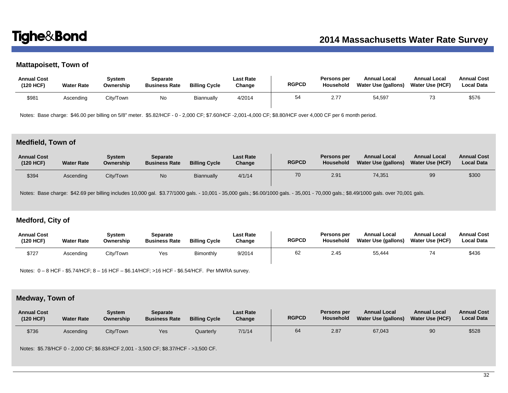# **Mattapoisett, Town of**

| <b>Annual Cost</b><br>(120 HCF) | <b>Water Rate</b> | System<br>Ownership | Separate<br><b>Business Rate</b> | <b>Billing Cycle</b> | Last Rate<br>Change | <b>RGPCD</b> | <b>Persons per</b><br>Household | <b>Annual Local</b><br>Water Use (gallons) | <b>Annual Local</b><br><b>Water Use (HCF)</b> | <b>Annual Cost</b><br><b>Local Data</b> |
|---------------------------------|-------------------|---------------------|----------------------------------|----------------------|---------------------|--------------|---------------------------------|--------------------------------------------|-----------------------------------------------|-----------------------------------------|
| \$981                           | Ascending         | City/Town           | No                               | Biannually           | 4/2014              | 54           | 2.77                            | 54,597                                     |                                               | \$576                                   |

Notes: Base charge: \$46.00 per billing on 5/8" meter. \$5.82/HCF - 0 - 2,000 CF; \$7.60/HCF -2,001-4,000 CF; \$8.80/HCF over 4,000 CF per 6 month period.

## **Medfield, Town of**

| <b>Annual Cost</b><br>(120 HCF) | <b>Water Rate</b> | <b>System</b><br>Ownership | <b>Separate</b><br><b>Business Rate</b> | <b>Billing Cycle</b> | <b>Last Rate</b><br>Change | <b>RGPCD</b> | Persons per<br><b>Household</b> | <b>Annual Local</b><br>Water Use (gallons) | <b>Annual Local</b><br><b>Water Use (HCF)</b> | <b>Annual Cost</b><br><b>Local Data</b> |
|---------------------------------|-------------------|----------------------------|-----------------------------------------|----------------------|----------------------------|--------------|---------------------------------|--------------------------------------------|-----------------------------------------------|-----------------------------------------|
| \$394                           | Ascending         | City/Town                  | N <sub>o</sub>                          | <b>Biannually</b>    | 4/1/14                     | 70           | 2.91                            | 74,351                                     | 99                                            | \$300                                   |

Notes: Base charge: \$42.69 per billing includes 10,000 gal. \$3.77/1000 gals. - 10,001 - 35,000 gals.; \$6.00/1000 gals. - 35,001 - 70,000 gals.; \$8.49/1000 gals. over 70,001 gals.

# **Medford, City of**

| <b>Annual Cost</b><br>(120 HCF) | <b>Water Rate</b> | Svstem<br>Ownership | Separate<br><b>Business Rate</b> | <b>Billing Cycle</b> | Last Rate<br>Change | <b>RGPCD</b> | <b>Persons per</b><br>Household | <b>Annual Local</b><br>Water Use (gallons) | <b>Annual Local</b><br><b>Water Use (HCF)</b> | <b>Annual Cost</b><br><b>Local Data</b> |
|---------------------------------|-------------------|---------------------|----------------------------------|----------------------|---------------------|--------------|---------------------------------|--------------------------------------------|-----------------------------------------------|-----------------------------------------|
| \$727                           | Ascendina         | City/Town           | Yes                              | <b>Bimonthly</b>     | 9/2014              | 62           | 2.45                            | 55,444                                     | 74                                            | \$436                                   |

Notes: 0 – 8 HCF - \$5.74/HCF; 8 – 16 HCF – \$6.14/HCF; >16 HCF - \$6.54/HCF. Per MWRA survey.

## **Medway, Town of**

| <b>Annual Cost</b><br>(120 HCF) | <b>Water Rate</b> | Svstem<br>Ownership | <b>Separate</b><br><b>Business Rate</b> | <b>Billing Cycle</b> | <b>Last Rate</b><br>Change | <b>RGPCD</b> | Persons per<br><b>Household</b> | <b>Annual Local</b><br>Water Use (gallons) | <b>Annual Local</b><br><b>Water Use (HCF)</b> | <b>Annual Cost</b><br><b>Local Data</b> |
|---------------------------------|-------------------|---------------------|-----------------------------------------|----------------------|----------------------------|--------------|---------------------------------|--------------------------------------------|-----------------------------------------------|-----------------------------------------|
| \$736                           | Ascending         | City/Town           | Yes                                     | Quarterly            | 7/1/14                     | 64           | 2.87                            | 67,043                                     | 90                                            | \$528                                   |

Notes: \$5.78/HCF 0 - 2,000 CF; \$6.83/HCF 2,001 - 3,500 CF; \$8.37/HCF - >3,500 CF.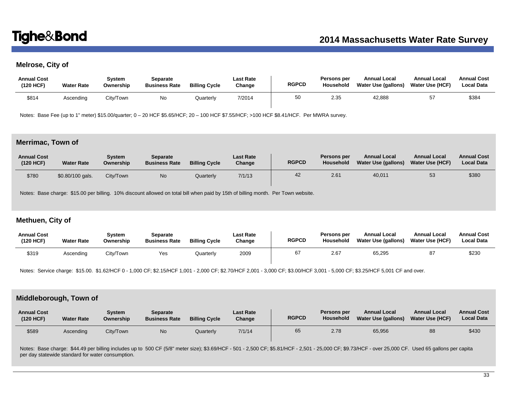# **Melrose, City of**

| <b>Annual Cost</b><br>(120 HCF) | <b>Water Rate</b> | Svstem<br>Ownership | Separate<br><b>Business Rate</b> | <b>Billing Cycle</b> | Last Rate<br>Change | <b>RGPCD</b> | Persons per<br>Household | <b>Annual Local</b><br>Water Use (gallons) | <b>Annual Local</b><br><b>Water Use (HCF)</b> | <b>Annual Cost</b><br><b>Local Data</b> |
|---------------------------------|-------------------|---------------------|----------------------------------|----------------------|---------------------|--------------|--------------------------|--------------------------------------------|-----------------------------------------------|-----------------------------------------|
| \$814                           | Ascending         | City/Town           | No                               | Quarterly            | 7/2014              | 50           | 2.35                     | 42,888                                     |                                               | \$384                                   |

Notes: Base Fee (up to 1" meter) \$15.00/quarter; 0 – 20 HCF \$5.65/HCF; 20 – 100 HCF \$7.55/HCF; >100 HCF \$8.41/HCF. Per MWRA survey.

### **Merrimac, Town of**

| <b>Annual Cost</b><br>(120 HCF) | <b>Water Rate</b> | Svstem<br>Ownership | <b>Separate</b><br><b>Business Rate</b> | <b>Billing Cycle</b> | <b>Last Rate</b><br>Change | <b>RGPCD</b> | Persons per<br>Household | <b>Annual Local</b><br>Water Use (gallons) | <b>Annual Local</b><br><b>Water Use (HCF)</b> | <b>Annual Cost</b><br><b>Local Data</b> |
|---------------------------------|-------------------|---------------------|-----------------------------------------|----------------------|----------------------------|--------------|--------------------------|--------------------------------------------|-----------------------------------------------|-----------------------------------------|
| \$780                           | $$0.80/100$ gals. | City/Town           | N <sub>o</sub>                          | Quarterly            | 7/1/13                     | 42           | 2.61                     | 40,011                                     | 53                                            | \$380                                   |

Notes: Base charge: \$15.00 per billing. 10% discount allowed on total bill when paid by 15th of billing month. Per Town website.

## **Methuen, City of**

| <b>Annual Cost</b><br>(120 HCF) | <b>Water Rate</b> | Svstem<br>Ownership | Separate<br><b>Business Rate</b> | <b>Billing Cycle</b> | <b>Last Rate</b><br>Change | <b>RGPCD</b> | <b>Persons per</b><br><b>Household</b> | <b>Annual Local</b><br>Water Use (gallons) | <b>Annual Local</b><br><b>Water Use (HCF)</b> | <b>Annual Cost</b><br><b>Local Data</b> |
|---------------------------------|-------------------|---------------------|----------------------------------|----------------------|----------------------------|--------------|----------------------------------------|--------------------------------------------|-----------------------------------------------|-----------------------------------------|
| \$319                           | Ascending         | City/Town           | Yes                              | Quarterly            | 2009                       | 67           | 2.67                                   | 65,295                                     | 87                                            | \$230                                   |

Notes: Service charge: \$15.00. \$1.62/HCF 0 - 1,000 CF; \$2.15/HCF 1,001 - 2,000 CF; \$2.70/HCF 2,001 - 3,000 CF; \$3.00/HCF 3,001 - 5,000 CF; \$3.25/HCF 5,001 CF and over.

## **Middleborough, Town of**

| <b>Annual Cost</b><br>(120 HCF) | <b>Water Rate</b> | Svstem<br>Ownership | <b>Separate</b><br><b>Business Rate</b> | <b>Billing Cycle</b> | <b>Last Rate</b><br>Change | <b>RGPCD</b> | Persons per<br><b>Household</b> | <b>Annual Local</b><br>Water Use (gallons) | <b>Annual Local</b><br><b>Water Use (HCF)</b> | <b>Annual Cost</b><br><b>Local Data</b> |
|---------------------------------|-------------------|---------------------|-----------------------------------------|----------------------|----------------------------|--------------|---------------------------------|--------------------------------------------|-----------------------------------------------|-----------------------------------------|
| \$589                           | Ascending         | City/Town           | N <sub>o</sub>                          | Quarterly            | 7/1/14                     | 65           | 2.78                            | 65,956                                     | 88                                            | \$430                                   |

Notes: Base charge: \$44.49 per billing includes up to 500 CF (5/8" meter size); \$3.69/HCF - 501 - 2,500 CF; \$5.81/HCF - 2,501 - 25,000 CF; \$9.73/HCF - over 25,000 CF. Used 65 gallons per capita per day statewide standard for water consumption.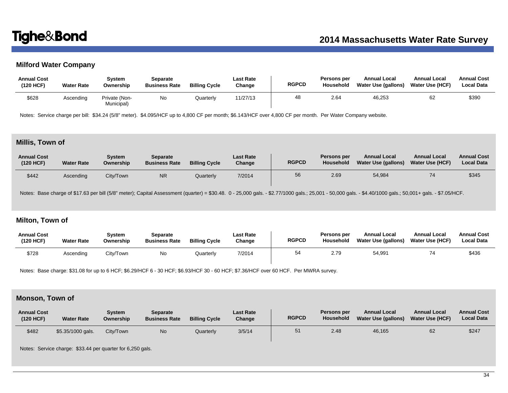# **Milford Water Company**

| <b>Annual Cost</b><br>(120 HCF) | <b>Water Rate</b> | Svstem<br>Ownership         | Separate<br><b>Business Rate</b> | <b>Billing Cycle</b> | <b>Last Rate</b><br>Change | <b>RGPCD</b> | Persons per<br>Household | <b>Annual Local</b><br>Water Use (gallons) | <b>Annual Local</b><br>Water Use (HCF) | <b>Annual Cost</b><br><b>Local Data</b> |
|---------------------------------|-------------------|-----------------------------|----------------------------------|----------------------|----------------------------|--------------|--------------------------|--------------------------------------------|----------------------------------------|-----------------------------------------|
| \$628                           | Ascending         | Private (Non-<br>Municipal) | No                               | Quarterly            | 11/27/13                   | 48           | 2.64                     | 46,253                                     | 62                                     | \$390                                   |

Notes: Service charge per bill: \$34.24 (5/8" meter). \$4.095/HCF up to 4,800 CF per month; \$6.143/HCF over 4,800 CF per month. Per Water Company website.

# **Millis, Town of**

| <b>Annual Cost</b><br>(120 HCF) | <b>Water Rate</b> | Svstem<br>Ownership | Separate<br><b>Business Rate</b> | <b>Billing Cycle</b> | <b>Last Rate</b><br>Change | <b>RGPCD</b> | Persons per<br><b>Household</b> | <b>Annual Local</b><br>Water Use (gallons) | <b>Annual Local</b><br><b>Water Use (HCF)</b> | <b>Annual Cost</b><br><b>Local Data</b> |
|---------------------------------|-------------------|---------------------|----------------------------------|----------------------|----------------------------|--------------|---------------------------------|--------------------------------------------|-----------------------------------------------|-----------------------------------------|
| \$442                           | Ascendina         | City/Town           | <b>NR</b>                        | Quarterly            | 7/2014                     | 56           | 2.69                            | 54,984                                     | 74                                            | \$345                                   |

Notes: Base charge of \$17.63 per bill (5/8" meter); Capital Assessment (quarter) = \$30.48. 0 - 25,000 gals. - \$2.77/1000 gals.; 25,001 - 50,000 gals. - \$4.40/1000 gals.; 50,001+ gals. - \$7.05/HCF.

# **Milton, Town of**

| <b>Annual Cost</b><br>(120 HCF) | <b>Water Rate</b> | Svstem<br>Ownership | Separate<br><b>Business Rate</b> | <b>Billing Cycle</b> | Last Rate<br>Change | <b>RGPCD</b> | <b>Persons per</b><br>Household | <b>Annual Local</b><br>Water Use (gallons) | <b>Annual Local</b><br>Water Use (HCF) | <b>Annual Cost</b><br><b>Local Data</b> |
|---------------------------------|-------------------|---------------------|----------------------------------|----------------------|---------------------|--------------|---------------------------------|--------------------------------------------|----------------------------------------|-----------------------------------------|
| \$728                           | Ascendina         | City/Town           | No.                              | Quarterly            | 7/2014              | 54           | 2.79                            | 54,991                                     | 74                                     | \$436                                   |

Notes: Base charge: \$31.08 for up to 6 HCF; \$6.29/HCF 6 - 30 HCF; \$6.93/HCF 30 - 60 HCF; \$7.36/HCF over 60 HCF. Per MWRA survey.

# **Monson, Town of**

| <b>Annual Cost</b><br>(120 HCF) | <b>Water Rate</b> | Svstem<br>Ownership | Separate<br><b>Business Rate</b> | <b>Billing Cycle</b> | <b>Last Rate</b><br>Change | <b>RGPCD</b> | <b>Persons per</b><br><b>Household</b> | <b>Annual Local</b><br>Water Use (gallons) | <b>Annual Local</b><br><b>Water Use (HCF)</b> | <b>Annual Cost</b><br><b>Local Data</b> |
|---------------------------------|-------------------|---------------------|----------------------------------|----------------------|----------------------------|--------------|----------------------------------------|--------------------------------------------|-----------------------------------------------|-----------------------------------------|
| \$482                           | \$5.35/1000 gals. | City/Town           | No                               | Quarterly            | 3/5/14                     | 51           | 2.48                                   | 46,165                                     | 62                                            | \$247                                   |

Notes: Service charge: \$33.44 per quarter for 6,250 gals.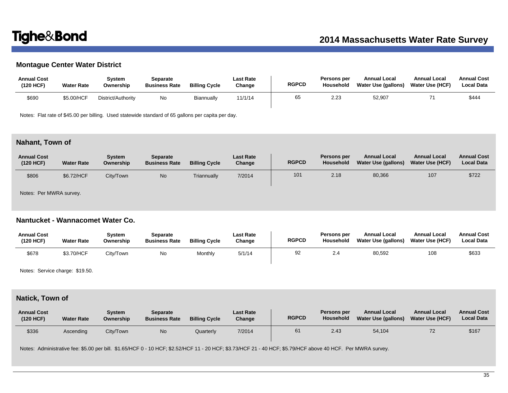# **Montague Center Water District**

| <b>Annual Cost</b><br>(120 HCF) | <b>Water Rate</b> | System<br>Ownership | Separate<br><b>Business Rate</b> | <b>Billing Cycle</b> | <b>Last Rate</b><br>Change | <b>RGPCD</b> | Persons per<br>Household | <b>Annual Local</b><br>Water Use (gallons) | <b>Annual Local</b><br><b>Water Use (HCF)</b> | <b>Annual Cost</b><br><b>Local Data</b> |
|---------------------------------|-------------------|---------------------|----------------------------------|----------------------|----------------------------|--------------|--------------------------|--------------------------------------------|-----------------------------------------------|-----------------------------------------|
| \$690                           | \$5.00/HCF        | District/Authority  | No                               | Biannually           | 11/1/14                    | 65           | 2.23                     | 52,907                                     |                                               | \$444                                   |

Notes: Flat rate of \$45.00 per billing. Used statewide standard of 65 gallons per capita per day.

## **Nahant, Town of**

| <b>Annual Cost</b><br>(120 HCF) | <b>Water Rate</b> | Svstem<br>Ownership | Separate<br><b>Business Rate</b> | <b>Billing Cycle</b> | <b>Last Rate</b><br>Change | <b>RGPCD</b> | Persons per<br>Household | <b>Annual Local</b><br>Water Use (gallons) | <b>Annual Local</b><br>Water Use (HCF) | <b>Annual Cost</b><br><b>Local Data</b> |
|---------------------------------|-------------------|---------------------|----------------------------------|----------------------|----------------------------|--------------|--------------------------|--------------------------------------------|----------------------------------------|-----------------------------------------|
| \$806                           | \$6.72/HCF        | City/Town           | No                               | Triannually          | 7/2014                     | 101          | 2.18                     | 80,366                                     | 107                                    | \$722                                   |

Notes: Per MWRA survey.

# **Nantucket - Wannacomet Water Co.**

| <b>Annual Cost</b><br>(120 HCF) | <b>Water Rate</b> | Svstem<br>Ownership | Separate<br><b>Business Rate</b> | <b>Billing Cycle</b> | Last Rate<br>Change | <b>RGPCD</b> | Persons per<br>Household | <b>Annual Local</b><br>Water Use (gallons) | <b>Annual Local</b><br>Water Use (HCF) | <b>Annual Cost</b><br><b>Local Data</b> |
|---------------------------------|-------------------|---------------------|----------------------------------|----------------------|---------------------|--------------|--------------------------|--------------------------------------------|----------------------------------------|-----------------------------------------|
| \$678                           | \$3.70/HCF        | City/Town           | No                               | Monthly              | 5/1/14              | 92           | 2.4                      | 80,592                                     | 108                                    | \$633                                   |

Notes: Service charge: \$19.50.

# **Natick, Town of**

| <b>Annual Cost</b><br>(120 HCF) | <b>Water Rate</b> | Svstem<br>Ownership | <b>Separate</b><br><b>Business Rate</b> | <b>Billing Cycle</b> | <b>Last Rate</b><br>Change | <b>RGPCD</b> | Persons per<br><b>Household</b> | <b>Annual Local</b><br><b>Water Use (gallons)</b> | <b>Annual Local</b><br><b>Water Use (HCF)</b> | <b>Annual Cost</b><br><b>Local Data</b> |
|---------------------------------|-------------------|---------------------|-----------------------------------------|----------------------|----------------------------|--------------|---------------------------------|---------------------------------------------------|-----------------------------------------------|-----------------------------------------|
| \$336                           | Ascending         | City/Town           | No                                      | Quarterly            | 7/2014                     | 61           | 2.43                            | 54,104                                            | 72                                            | \$167                                   |

Notes: Administrative fee: \$5.00 per bill. \$1.65/HCF 0 - 10 HCF; \$2.52/HCF 11 - 20 HCF; \$3.73/HCF 21 - 40 HCF; \$5.79/HCF above 40 HCF. Per MWRA survey.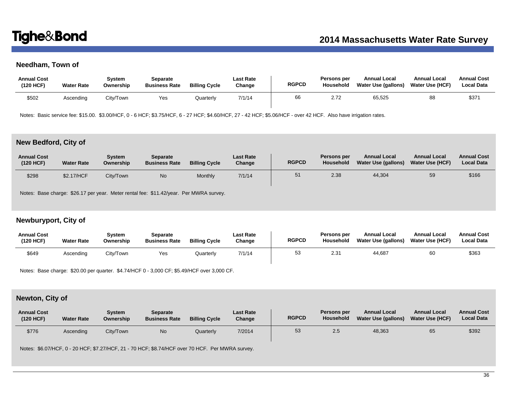# **Needham, Town of**

| <b>Annual Cost</b><br>(120 HCF) | <b>Water Rate</b> | Svstem<br>Ownership | Separate<br><b>Business Rate</b> | <b>Billing Cycle</b> | Last Rate<br>Change | <b>RGPCD</b> | <b>Persons per</b><br>Household | <b>Annual Local</b><br>Water Use (gallons) | <b>Annual Local</b><br><b>Water Use (HCF)</b> | <b>Annual Cost</b><br><b>Local Data</b> |
|---------------------------------|-------------------|---------------------|----------------------------------|----------------------|---------------------|--------------|---------------------------------|--------------------------------------------|-----------------------------------------------|-----------------------------------------|
| \$502                           | Ascending         | City/Town           | Yes                              | Quarterly            | 7/1/14              | 66           | 2.72                            | 65,525                                     | 88                                            | \$371                                   |

Notes: Basic service fee: \$15.00. \$3.00/HCF, 0 - 6 HCF; \$3.75/HCF, 6 - 27 HCF; \$4.60/HCF, 27 - 42 HCF; \$5.06/HCF - over 42 HCF. Also have irrigation rates.

# **New Bedford, City of**

| <b>Annual Cost</b><br>(120 HCF) | <b>Water Rate</b> | Svstem<br>Ownership | Separate<br><b>Business Rate</b> | <b>Billing Cycle</b> | <b>Last Rate</b><br>Change | <b>RGPCD</b> | Persons per<br>Household | <b>Annual Local</b><br>Water Use (gallons) | <b>Annual Local</b><br>Water Use (HCF) | <b>Annual Cost</b><br><b>Local Data</b> |
|---------------------------------|-------------------|---------------------|----------------------------------|----------------------|----------------------------|--------------|--------------------------|--------------------------------------------|----------------------------------------|-----------------------------------------|
| \$298                           | \$2.17/HCF        | City/Town           | No                               | Monthly              | 7/1/14                     | 51           | 2.38                     | 44,304                                     | 59                                     | \$166                                   |

Notes: Base charge: \$26.17 per year. Meter rental fee: \$11.42/year. Per MWRA survey.

# **Newburyport, City of**

| <b>Annual Cost</b><br>(120 HCF) | <b>Water Rate</b> | Svstem<br>Ownership | Separate<br><b>Business Rate</b> | <b>Billing Cycle</b> | Last Rate<br>Change | <b>RGPCD</b> | Persons per<br>Household | <b>Annual Local</b><br><b>Water Use (gallons)</b> | <b>Annual Local</b><br><b>Water Use (HCF)</b> | <b>Annual Cost</b><br><b>Local Data</b> |
|---------------------------------|-------------------|---------------------|----------------------------------|----------------------|---------------------|--------------|--------------------------|---------------------------------------------------|-----------------------------------------------|-----------------------------------------|
| \$649                           | Ascendina         | City/Town           | Yes                              | Quarterly            | 7/1/14              | 53<br>ິ      | $2.3^{\circ}$            | 44,687                                            | 60                                            | \$363                                   |

Notes: Base charge: \$20.00 per quarter. \$4.74/HCF 0 - 3,000 CF; \$5.49/HCF over 3,000 CF.

# **Newton, City of**

| <b>Annual Cost</b><br>(120 HCF) | <b>Water Rate</b> | Svstem<br>Ownership | Separate<br><b>Business Rate</b> | <b>Billing Cycle</b> | <b>Last Rate</b><br>Change | <b>RGPCD</b> | Persons per<br><b>Household</b> | <b>Annual Local</b><br>Water Use (gallons) | <b>Annual Local</b><br><b>Water Use (HCF)</b> | <b>Annual Cost</b><br><b>Local Data</b> |
|---------------------------------|-------------------|---------------------|----------------------------------|----------------------|----------------------------|--------------|---------------------------------|--------------------------------------------|-----------------------------------------------|-----------------------------------------|
| \$776                           | Ascending         | City/Town           | No                               | Quarterly            | 7/2014                     | 53           | 2.5                             | 48,363                                     | 65                                            | \$392                                   |

Notes: \$6.07/HCF, 0 - 20 HCF; \$7.27/HCF, 21 - 70 HCF; \$8.74/HCF over 70 HCF. Per MWRA survey.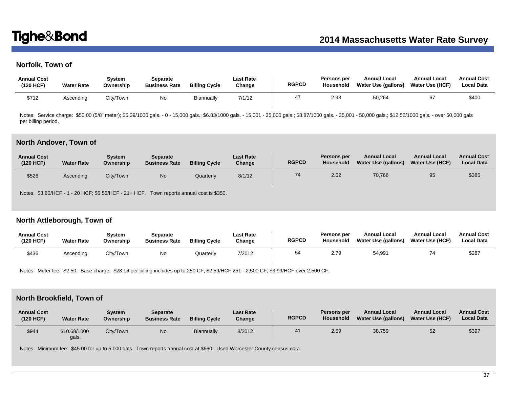# **Norfolk, Town of**

| <b>Annual Cost</b><br>(120 HCF) | <b>Water Rate</b> | Svstem<br>Ownership | Separate<br><b>Business Rate</b> | <b>Billing Cycle</b> | <b>Last Rate</b><br>Change | <b>RGPCD</b> | Persons per<br>Household | <b>Annual Local</b><br>Water Use (gallons) | <b>Annual Local</b><br>Water Use (HCF) | <b>Annual Cost</b><br><b>Local Data</b> |
|---------------------------------|-------------------|---------------------|----------------------------------|----------------------|----------------------------|--------------|--------------------------|--------------------------------------------|----------------------------------------|-----------------------------------------|
| \$712                           | Ascendina         | City/Town           | No                               | Biannually           | 7/1/12                     |              | 2.93                     | 50,264                                     |                                        | \$400                                   |

Notes: Service charge: \$50.00 (5/8" meter); \$5.39/1000 gals. - 0 - 15,000 gals.; \$6.83/1000 gals. - 15,001 - 35,000 gals.; \$8.87/1000 gals. - 35,001 - 50,000 gals.; \$12.52/1000 gals. - over 50,000 gals per billing period.

### **North Andover, Town of**

| <b>Annual Cost</b><br>(120 HCF) | <b>Water Rate</b> | Svstem<br>Ownership | <b>Separate</b><br><b>Business Rate</b> | <b>Billing Cycle</b> | <b>Last Rate</b><br>Change | <b>RGPCD</b> | Persons per<br>Household | <b>Annual Local</b><br>Water Use (gallons) | <b>Annual Local</b><br><b>Water Use (HCF)</b> | <b>Annual Cost</b><br><b>Local Data</b> |
|---------------------------------|-------------------|---------------------|-----------------------------------------|----------------------|----------------------------|--------------|--------------------------|--------------------------------------------|-----------------------------------------------|-----------------------------------------|
| \$526                           | Ascending         | City/Town           | N <sub>o</sub>                          | Quarterly            | 8/1/12                     | 74           | 2.62                     | 70,766                                     | 95                                            | \$385                                   |

Notes: \$3.80/HCF - 1 - 20 HCF; \$5.55/HCF - 21+ HCF. Town reports annual cost is \$350.

# **North Attleborough, Town of**

| <b>Annual Cost</b><br>(120 HCF) | <b>Water Rate</b> | Svstem<br>Ownership | Separate<br><b>Business Rate</b> | <b>Billing Cycle</b> | <b>Last Rate</b><br>Change | <b>RGPCD</b> | <b>Persons per</b><br>Household | <b>Annual Local</b><br>Water Use (gallons) | <b>Annual Local</b><br><b>Water Use (HCF)</b> | <b>Annual Cost</b><br><b>Local Data</b> |
|---------------------------------|-------------------|---------------------|----------------------------------|----------------------|----------------------------|--------------|---------------------------------|--------------------------------------------|-----------------------------------------------|-----------------------------------------|
| \$436                           | Ascending         | City/Town           | No                               | Quarterly            | 7/2012                     | 54           | 2.79                            | 54.991                                     |                                               | \$287                                   |

Notes: Meter fee: \$2.50. Base charge: \$28.16 per billing includes up to 250 CF; \$2.59/HCF 251 - 2,500 CF; \$3.99/HCF over 2,500 CF.

### **North Brookfield, Town of**

| <b>Annual Cost</b><br>(120 HCF) | <b>Water Rate</b>     | Svstem<br>Ownership | <b>Separate</b><br><b>Business Rate</b> | <b>Billing Cycle</b> | <b>Last Rate</b><br>Change | <b>RGPCD</b> | Persons per<br><b>Household</b> | <b>Annual Local</b><br><b>Water Use (gallons)</b> | <b>Annual Local</b><br><b>Water Use (HCF)</b> | <b>Annual Cost</b><br><b>Local Data</b> |
|---------------------------------|-----------------------|---------------------|-----------------------------------------|----------------------|----------------------------|--------------|---------------------------------|---------------------------------------------------|-----------------------------------------------|-----------------------------------------|
| \$944                           | \$10.68/1000<br>gals. | City/Town           | No                                      | Biannually           | 8/2012                     |              | 2.59                            | 38,759                                            | 52                                            | \$397                                   |

Notes: Minimum fee: \$45.00 for up to 5,000 gals. Town reports annual cost at \$660. Used Worcester County census data.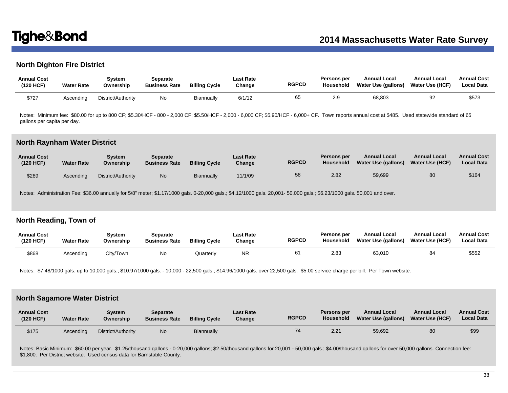# **North Dighton Fire District**

| <b>Annual Cost</b><br>(120 HCF) | <b>Water Rate</b> | Svstem<br>Ownership | Separate<br><b>Business Rate</b> | <b>Billing Cycle</b> | <b>Last Rate</b><br>Change | <b>RGPCD</b> | Persons per<br>Household | <b>Annual Local</b><br>Water Use (gallons) | <b>Annual Local</b><br>Water Use (HCF) | <b>Annual Cost</b><br><b>Local Data</b> |
|---------------------------------|-------------------|---------------------|----------------------------------|----------------------|----------------------------|--------------|--------------------------|--------------------------------------------|----------------------------------------|-----------------------------------------|
| \$727                           | Ascendina         | District/Authority  | No                               | Biannually           | 6/1/12                     | 65           |                          | 68,803                                     | 92                                     | \$573                                   |

Notes: Minimum fee: \$80.00 for up to 800 CF; \$5.30/HCF - 800 - 2,000 CF; \$5.50/HCF - 2,000 - 6,000 CF; \$5.90/HCF - 6,000+ CF. Town reports annual cost at \$485. Used statewide standard of 65 gallons per capita per day.

### **North Raynham Water District**

| <b>Annual Cost</b><br>(120 HCF) | <b>Water Rate</b> | Svstem<br>Ownership | Separate<br><b>Business Rate</b> | <b>Billing Cycle</b> | <b>Last Rate</b><br>Change | <b>RGPCD</b> | Persons per<br>Household | <b>Annual Local</b><br>Water Use (gallons) | <b>Annual Local</b><br><b>Water Use (HCF)</b> | <b>Annual Cost</b><br><b>Local Data</b> |
|---------------------------------|-------------------|---------------------|----------------------------------|----------------------|----------------------------|--------------|--------------------------|--------------------------------------------|-----------------------------------------------|-----------------------------------------|
| \$289                           | Ascendina         | District/Authority  | No.                              | Biannually           | 11/1/09                    | 58           | 2.82                     | 59,699                                     | 80                                            | \$164                                   |

Notes: Administration Fee: \$36.00 annually for 5/8" meter; \$1.17/1000 gals. 0-20,000 gals.; \$4.12/1000 gals. 20,001- 50,000 gals.; \$6.23/1000 gals. 50,001 and over.

## **North Reading, Town of**

| <b>Annual Cost</b><br>(120 HCF) | <b>Water Rate</b> | Svstem<br>Ownership | Separate<br><b>Business Rate</b> | <b>Billing Cycle</b> | Last Rate<br>Change | <b>RGPCD</b> | Persons per<br><b>Household</b> | <b>Annual Local</b><br>Water Use (gallons) | <b>Annual Local</b><br><b>Water Use (HCF)</b> | <b>Annual Cost</b><br><b>Local Data</b> |
|---------------------------------|-------------------|---------------------|----------------------------------|----------------------|---------------------|--------------|---------------------------------|--------------------------------------------|-----------------------------------------------|-----------------------------------------|
| \$868                           | Ascending         | City/Town           | No                               | Quarterly            | <b>NR</b>           | 61           | 2.83                            | 63,010                                     | 84                                            | \$552                                   |

Notes: \$7.48/1000 gals. up to 10,000 gals.; \$10.97/1000 gals. - 10,000 - 22,500 gals.; \$14.96/1000 gals. over 22,500 gals. \$5.00 service charge per bill. Per Town website.

### **North Sagamore Water District**

| <b>Annual Cost</b><br>(120 HCF) | <b>Water Rate</b> | Svstem<br>Ownership | Separate<br><b>Business Rate</b> | <b>Billing Cycle</b> | <b>Last Rate</b><br>Change | <b>RGPCD</b> | Persons per<br>Household | <b>Annual Local</b><br>Water Use (gallons) | <b>Annual Local</b><br><b>Water Use (HCF)</b> | <b>Annual Cost</b><br><b>Local Data</b> |
|---------------------------------|-------------------|---------------------|----------------------------------|----------------------|----------------------------|--------------|--------------------------|--------------------------------------------|-----------------------------------------------|-----------------------------------------|
| \$175                           | Ascendina         | District/Authority  | <b>No</b>                        | Biannually           |                            | 74           | 2.21                     | 59,692                                     | 80                                            | \$99                                    |

Notes: Basic Minimum: \$60.00 per year. \$1.25/thousand gallons - 0-20,000 gallons; \$2.50/thousand gallons for 20,001 - 50,000 gals.; \$4.00/thousand gallons for over 50,000 gallons. Connection fee: \$1,800. Per District website. Used census data for Barnstable County.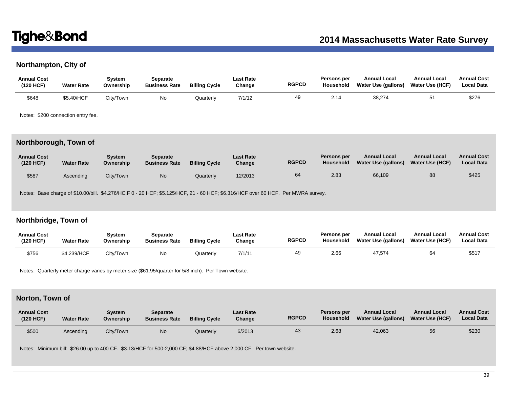# **Northampton, City of**

| <b>Annual Cost</b><br>(120 HCF) | <b>Water Rate</b> | Svstem<br>Ownership | Separate<br><b>Business Rate</b> | <b>Billing Cycle</b> | Last Rate<br>Change | <b>RGPCD</b> | Persons per<br>Household | <b>Annual Local</b><br>Water Use (gallons) | <b>Annual Local</b><br><b>Water Use (HCF)</b> | <b>Annual Cost</b><br><b>Local Data</b> |
|---------------------------------|-------------------|---------------------|----------------------------------|----------------------|---------------------|--------------|--------------------------|--------------------------------------------|-----------------------------------------------|-----------------------------------------|
| \$648                           | \$5.40/HCF        | Citv/Town_          | No                               | Quarterly            | 7/1/12              | 49           | 2.14                     | 38,274                                     | 51                                            | \$276                                   |

Notes: \$200 connection entry fee.

# **Northborough, Town of**

| <b>Annual Cost</b><br>(120 HCF) | <b>Water Rate</b> | Svstem<br>Ownership | <b>Separate</b><br><b>Business Rate</b> | <b>Billing Cycle</b> | <b>Last Rate</b><br>Change | <b>RGPCD</b> | Persons per<br><b>Household</b> | <b>Annual Local</b><br>Water Use (gallons) | <b>Annual Local</b><br><b>Water Use (HCF)</b> | <b>Annual Cost</b><br><b>Local Data</b> |
|---------------------------------|-------------------|---------------------|-----------------------------------------|----------------------|----------------------------|--------------|---------------------------------|--------------------------------------------|-----------------------------------------------|-----------------------------------------|
| \$587                           | Ascendina         | City/Town           | N <sub>o</sub>                          | Quarterly            | 12/2013                    | 64           | 2.83                            | 66,109                                     | 88                                            | \$425                                   |

Notes: Base charge of \$10.00/bill. \$4.276/HC,F 0 - 20 HCF; \$5.125/HCF, 21 - 60 HCF; \$6.316/HCF over 60 HCF. Per MWRA survey.

# **Northbridge, Town of**

| <b>Annual Cost</b><br>(120 HCF) | <b>Water Rate</b> | Svstem<br>Ownership | Separate<br><b>Business Rate</b> | <b>Billing Cycle</b> | <b>Last Rate</b><br>Change | <b>RGPCD</b> | Persons per<br><b>Household</b> | <b>Annual Local</b><br><b>Water Use (gallons)</b> | <b>Annual Local</b><br><b>Water Use (HCF)</b> | <b>Annual Cost</b><br><b>Local Data</b> |
|---------------------------------|-------------------|---------------------|----------------------------------|----------------------|----------------------------|--------------|---------------------------------|---------------------------------------------------|-----------------------------------------------|-----------------------------------------|
| \$756                           | \$4.239/HCF       | Citv/Town           | No                               | Quarterly            | 7/1/11                     | 49           | 2.66                            | 47,574                                            | 64                                            | \$517                                   |

Notes: Quarterly meter charge varies by meter size (\$61.95/quarter for 5/8 inch). Per Town website.

# **Norton, Town of**

| <b>Annual Cost</b><br>(120 HCF) | <b>Water Rate</b> | Svstem<br>Ownership | <b>Separate</b><br><b>Business Rate</b> | <b>Billing Cycle</b> | <b>Last Rate</b><br>Change | <b>RGPCD</b> | Persons per<br>Household | <b>Annual Local</b><br>Water Use (gallons) | <b>Annual Local</b><br><b>Water Use (HCF)</b> | <b>Annual Cost</b><br><b>Local Data</b> |
|---------------------------------|-------------------|---------------------|-----------------------------------------|----------------------|----------------------------|--------------|--------------------------|--------------------------------------------|-----------------------------------------------|-----------------------------------------|
| \$500                           | Ascending         | City/Town           | N <sub>o</sub>                          | Quarterly            | 6/2013                     | 43           | 2.68                     | 42.063                                     | 56                                            | \$230                                   |

Notes: Minimum bill: \$26.00 up to 400 CF. \$3.13/HCF for 500-2,000 CF; \$4.88/HCF above 2,000 CF. Per town website.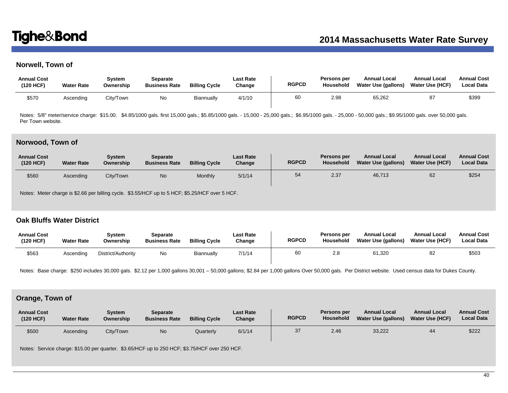# **Norwell, Town of**

| <b>Annual Cost</b><br>(120 HCF) | <b>Water Rate</b> | Svstem<br>Ownership | Separate<br><b>Business Rate</b> | <b>Billing Cycle</b> | <b>Last Rate</b><br>Change | <b>RGPCD</b> | Persons per<br>Household | <b>Annual Local</b><br>Water Use (gallons) | <b>Annual Local</b><br><b>Water Use (HCF)</b> | <b>Annual Cost</b><br><b>Local Data</b> |
|---------------------------------|-------------------|---------------------|----------------------------------|----------------------|----------------------------|--------------|--------------------------|--------------------------------------------|-----------------------------------------------|-----------------------------------------|
| \$57C                           | Ascending         | City/Town           | No                               | Biannually           | 4/1/10                     | 60           | 2.98                     | 65,262                                     |                                               | \$399                                   |

Notes: 5/8" meter/service charge: \$15.00. \$4.85/1000 gals. first 15,000 gals.; \$5.85/1000 gals. - 15,000 - 25,000 gals.; \$6.95/1000 gals. - 25,000 - 50,000 gals.; \$9.95/1000 gals. over 50,000 gals. Per Town website.

### **Norwood, Town of**

| <b>Annual Cost</b><br>(120 HCF) | <b>Water Rate</b> | Svstem<br>Ownership | Separate<br><b>Business Rate</b> | <b>Billing Cycle</b> | <b>Last Rate</b><br>Change | <b>RGPCD</b> | Persons per<br>Household | <b>Annual Local</b><br>Water Use (gallons) | <b>Annual Local</b><br><b>Water Use (HCF)</b> | <b>Annual Cost</b><br><b>Local Data</b> |
|---------------------------------|-------------------|---------------------|----------------------------------|----------------------|----------------------------|--------------|--------------------------|--------------------------------------------|-----------------------------------------------|-----------------------------------------|
| \$560                           | Ascending         | City/Town           | No                               | Monthly              | 5/1/14                     | 54           | 2.37                     | 46,713                                     | 62                                            | \$254                                   |

Notes: Meter charge is \$2.66 per billing cycle. \$3.55/HCF up to 5 HCF; \$5.25/HCF over 5 HCF.

# **Oak Bluffs Water District**

| <b>Annual Cost</b><br>(120 HCF) | <b>Water Rate</b> | Svstem<br>Ownership | Separate<br><b>Business Rate</b> | <b>Billing Cycle</b> | Last Rate<br>Change | <b>RGPCD</b> | Persons per<br>Household | <b>Annual Local</b><br>Water Use (gallons) | <b>Annual Local</b><br><b>Water Use (HCF)</b> | <b>Annual Cost</b><br><b>Local Data</b> |
|---------------------------------|-------------------|---------------------|----------------------------------|----------------------|---------------------|--------------|--------------------------|--------------------------------------------|-----------------------------------------------|-----------------------------------------|
| \$563                           | Ascending         | District/Authority  | No                               | <b>Biannually</b>    | 7/1/14              | 60           | 2.0                      | 61,320                                     | 82                                            | \$503                                   |

Notes: Base charge: \$250 includes 30,000 gals. \$2.12 per 1,000 gallons 30,001 - 50,000 gallons; \$2.84 per 1,000 gallons Over 50,000 gals. Per District website. Used census data for Dukes County.

# **Orange, Town of**

| <b>Annual Cost</b><br>(120 HCF) | <b>Water Rate</b> | Svstem<br>Ownership | Separate<br><b>Business Rate</b> | <b>Billing Cycle</b> | <b>Last Rate</b><br>Change | <b>RGPCD</b> | <b>Persons per</b><br>Household | <b>Annual Local</b><br><b>Water Use (gallons)</b> | <b>Annual Local</b><br><b>Water Use (HCF)</b> | <b>Annual Cost</b><br><b>Local Data</b> |
|---------------------------------|-------------------|---------------------|----------------------------------|----------------------|----------------------------|--------------|---------------------------------|---------------------------------------------------|-----------------------------------------------|-----------------------------------------|
| \$500                           | Ascending         | City/Town           | No                               | Quarterly            | 6/1/14                     | 37           | 2.46                            | 33,222                                            | 44                                            | \$222                                   |

Notes: Service charge: \$15.00 per quarter. \$3.65/HCF up to 250 HCF; \$3.75/HCF over 250 HCF.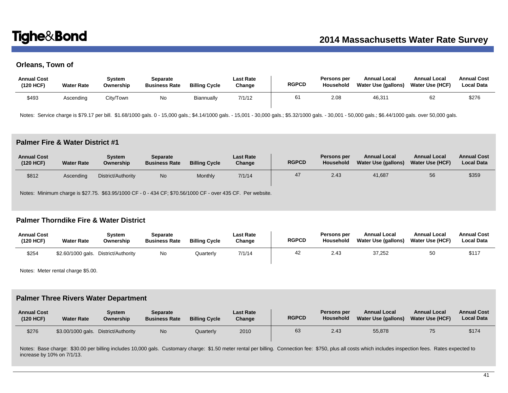# **Orleans, Town of**

| <b>Annual Cost</b><br>(120 HCF) | <b>Water Rate</b> | Svstem<br>Ownership | Separate<br><b>Business Rate</b> | <b>Billing Cycle</b> | <b>Last Rate</b><br>Change | <b>RGPCD</b> | Persons per<br>Household | <b>Annual Local</b><br>Water Use (gallons) | <b>Annual Local</b><br>Water Use (HCF) | <b>Annual Cost</b><br><b>Local Data</b> |
|---------------------------------|-------------------|---------------------|----------------------------------|----------------------|----------------------------|--------------|--------------------------|--------------------------------------------|----------------------------------------|-----------------------------------------|
| \$493                           | Ascending         | City/Town           | No                               | Biannually           | 7/1/12                     |              | 2.08                     | 46,31'                                     | 62                                     | \$276                                   |

Notes: Service charge is \$79.17 per bill. \$1.68/1000 gals. 0 - 15,000 gals.; \$4.14/1000 gals. - 15,001 - 30,001 gals.; \$5.32/1000 gals. - 30,001 - 50,000 gals.; \$6.44/1000 gals. over 50,000 gals.

# **Palmer Fire & Water District #1**

| <b>Annual Cost</b><br>(120 HCF) | <b>Water Rate</b> | Svstem<br>Ownership | Separate<br><b>Business Rate</b> | <b>Billing Cycle</b> | <b>Last Rate</b><br>Change | <b>RGPCD</b> | Persons per<br>Household | <b>Annual Local</b><br>Water Use (gallons) | <b>Annual Local</b><br>Water Use (HCF) | <b>Annual Cost</b><br><b>Local Data</b> |
|---------------------------------|-------------------|---------------------|----------------------------------|----------------------|----------------------------|--------------|--------------------------|--------------------------------------------|----------------------------------------|-----------------------------------------|
| \$812                           | Ascendina         | District/Authority  | <b>No</b>                        | Monthly              | 7/1/14                     |              | 2.43                     | 41.687                                     | 56                                     | \$359                                   |

Notes: Minimum charge is \$27.75. \$63.95/1000 CF - 0 - 434 CF; \$70.56/1000 CF - over 435 CF. Per website.

# **Palmer Thorndike Fire & Water District**

| <b>Annual Cost</b><br>(120 HCF) | <b>Water Rate</b> | Svstem<br>Ownership                  | Separate<br><b>Business Rate</b> | <b>Billing Cycle</b> | <b>Last Rate</b><br>Change | <b>RGPCD</b> | <b>Persons per</b><br>Household | <b>Annual Local</b><br>Water Use (gallons) | <b>Annual Local</b><br><b>Water Use (HCF)</b> | <b>Annual Cost</b><br><b>Local Data</b> |
|---------------------------------|-------------------|--------------------------------------|----------------------------------|----------------------|----------------------------|--------------|---------------------------------|--------------------------------------------|-----------------------------------------------|-----------------------------------------|
| \$254                           |                   | \$2.60/1000 gals. District/Authority | No                               | Quarterly            | 7/1/14                     | 42           | 2.43                            | 37.252                                     | 50                                            | \$117                                   |

Notes: Meter rental charge \$5.00.

## **Palmer Three Rivers Water Department**

| <b>Annual Cost</b><br>(120 HCF) | <b>Water Rate</b> | Svstem<br>Ownership  | Separate<br><b>Business Rate</b> | <b>Billing Cycle</b> | <b>Last Rate</b><br>Change | <b>RGPCD</b> | Persons per<br>Household | <b>Annual Local</b><br>Water Use (gallons) | <b>Annual Local</b><br><b>Water Use (HCF)</b> | <b>Annual Cost</b><br><b>Local Data</b> |
|---------------------------------|-------------------|----------------------|----------------------------------|----------------------|----------------------------|--------------|--------------------------|--------------------------------------------|-----------------------------------------------|-----------------------------------------|
| \$276                           | \$3.00/1000 gals. | . District/Authority | <b>No</b>                        | Quarterly            | 2010                       | 63           | 2.43                     | 55,878                                     | 75                                            | \$174                                   |

Notes: Base charge: \$30.00 per billing includes 10,000 gals. Customary charge: \$1.50 meter rental per billing. Connection fee: \$750, plus all costs which includes inspection fees. Rates expected to increase by 10% on 7/1/13.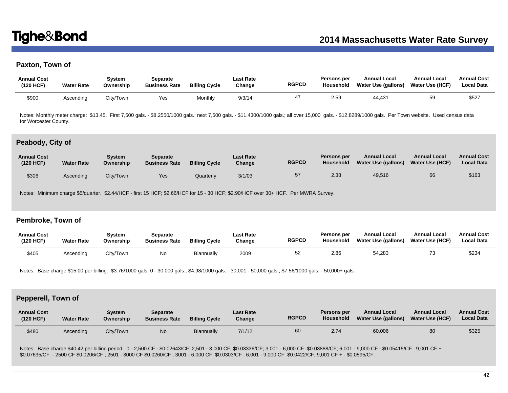# **Paxton, Town of**

| <b>Annual Cost</b><br>(120 HCF) | <b>Water Rate</b> | Svstem<br>Ownership | Separate<br><b>Business Rate</b> | <b>Billing Cycle</b> | <b>Last Rate</b><br>Change | <b>RGPCD</b> | <b>Persons per</b><br>Household | <b>Annual Local</b><br>Water Use (gallons) | <b>Annual Local</b><br>Water Use (HCF) | <b>Annual Cost</b><br><b>Local Data</b> |
|---------------------------------|-------------------|---------------------|----------------------------------|----------------------|----------------------------|--------------|---------------------------------|--------------------------------------------|----------------------------------------|-----------------------------------------|
| \$90C                           | Ascending         | City/Town           | Yes                              | Monthly              | 9/3/14                     |              | 2.59                            | 44.431                                     | 59                                     | \$527                                   |

Notes: Monthly meter charge: \$13.45. First 7,500 gals. - \$8.2550/1000 gals.; next 7,500 gals. - \$11.4300/1000 gals.; all over 15,000 gals. - \$12.8289/1000 gals. Per Town website. Used census data for Worcester County.

### **Peabody, City of**

| <b>Annual Cost</b><br>(120 HCF) | <b>Water Rate</b> | System<br>Ownership | <b>Separate</b><br><b>Business Rate</b> | <b>Billing Cycle</b> | <b>Last Rate</b><br>Change | <b>RGPCD</b> | Persons per<br><b>Household</b> | <b>Annual Local</b><br><b>Water Use (gallons)</b> | <b>Annual Local</b><br><b>Water Use (HCF)</b> | <b>Annual Cost</b><br><b>Local Data</b> |
|---------------------------------|-------------------|---------------------|-----------------------------------------|----------------------|----------------------------|--------------|---------------------------------|---------------------------------------------------|-----------------------------------------------|-----------------------------------------|
| \$306                           | Ascending         | City/Town           | Yes                                     | Quarterly            | 3/1/03                     | 57           | 2.38                            | 49,516                                            | 66                                            | \$163                                   |

Notes: Minimum charge \$5/quarter. \$2.44/HCF - first 15 HCF; \$2.66/HCF for 15 - 30 HCF; \$2.90/HCF over 30+ HCF. Per MWRA Survey.

## **Pembroke, Town of**

| <b>Annual Cost</b><br>(120 HCF) | <b>Water Rate</b> | Svstem<br>Ownership | Separate<br><b>Business Rate</b> | <b>Billing Cycle</b> | <b>Last Rate</b><br>Change | <b>RGPCD</b> | <b>Persons per</b><br><b>Household</b> | <b>Annual Local</b><br>Water Use (gallons) | <b>Annual Local</b><br><b>Water Use (HCF)</b> | <b>Annual Cost</b><br><b>Local Data</b> |
|---------------------------------|-------------------|---------------------|----------------------------------|----------------------|----------------------------|--------------|----------------------------------------|--------------------------------------------|-----------------------------------------------|-----------------------------------------|
| \$405                           | Ascending         | City/Town           | No                               | Biannually           | 2009                       | 52           | 2.86                                   | 54,283                                     |                                               | \$234                                   |

Notes: Base charge \$15.00 per billing. \$3.76/1000 gals. 0 - 30,000 gals.; \$4.98/1000 gals. - 30,001 - 50,000 gals.; \$7.56/1000 gals. - 50,000+ gals.

## **Pepperell, Town of**

| <b>Annual Cost</b><br>(120 HCF) | <b>Water Rate</b> | Svstem<br>Ownership | <b>Separate</b><br><b>Business Rate</b> | <b>Billing Cycle</b> | <b>Last Rate</b><br>Change | <b>RGPCD</b> | Persons per<br>Household | <b>Annual Local</b><br>Water Use (gallons) | <b>Annual Local</b><br><b>Water Use (HCF)</b> | <b>Annual Cost</b><br><b>Local Data</b> |
|---------------------------------|-------------------|---------------------|-----------------------------------------|----------------------|----------------------------|--------------|--------------------------|--------------------------------------------|-----------------------------------------------|-----------------------------------------|
| \$480                           | Ascending         | City/Town           | N <sub>o</sub>                          | Biannually           | 7/1/12                     | 60           | 2.74                     | 60,006                                     | 80                                            | \$325                                   |

Notes: Base charge \$40.42 per billing period. 0 - 2,500 CF - \$0.02643/CF; 2,501 - 3,000 CF; \$0.03336/CF; 3,001 - 6,000 CF - \$0.03888/CF; 6,001 - 9,000 CF - \$0.05415/CF; 9,001 CF + \$0.07635/CF - 2500 CF \$0.0206/CF ; 2501 - 3000 CF \$0.0260/CF ; 3001 - 6,000 CF \$0.0303/CF ; 6,001 - 9,000 CF \$0.0422/CF; 9,001 CF + - \$0.0595/CF.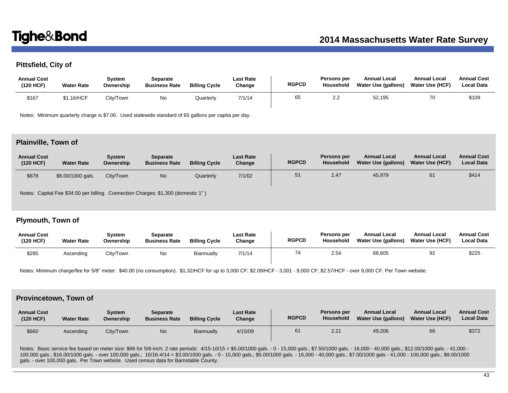# **Pittsfield, City of**

| <b>Annual Cost</b><br>(120 HCF) | <b>Water Rate</b> | Svstem<br>Ownership | Separate<br><b>Business Rate</b> | <b>Billing Cycle</b> | <b>Last Rate</b><br>Change | <b>RGPCD</b> | <b>Persons per</b><br>Household | <b>Annual Local</b><br>Water Use (gallons) | <b>Annual Local</b><br><b>Water Use (HCF)</b> | <b>Annual Cost</b><br><b>Local Data</b> |
|---------------------------------|-------------------|---------------------|----------------------------------|----------------------|----------------------------|--------------|---------------------------------|--------------------------------------------|-----------------------------------------------|-----------------------------------------|
| \$167                           | \$1.16/HCF        | Citv/Town           | No                               | Quarterly            | 7/1/14                     | 65           | ົ<br>2.2                        | 52,195                                     | 70                                            | \$109                                   |

Notes: Minimum quarterly charge is \$7.00. Used statewide standard of 65 gallons per capita per day.

### **Plainville, Town of**

| <b>Annual Cost</b><br>(120 HCF) | <b>Water Rate</b> | Svstem<br>Ownership | <b>Separate</b><br><b>Business Rate</b> | <b>Billing Cycle</b> | <b>Last Rate</b><br>Change | <b>RGPCD</b> | Persons per<br><b>Household</b> | <b>Annual Local</b><br><b>Water Use (gallons)</b> | <b>Annual Local</b><br><b>Water Use (HCF)</b> | <b>Annual Cost</b><br><b>Local Data</b> |
|---------------------------------|-------------------|---------------------|-----------------------------------------|----------------------|----------------------------|--------------|---------------------------------|---------------------------------------------------|-----------------------------------------------|-----------------------------------------|
| \$678                           | \$6.00/1000 gals. | City/Town           | No                                      | Quarterly            | 7/1/02                     | 51           | 2.47                            | 45,979                                            | 61                                            | \$414                                   |

Notes: Capital Fee \$34.50 per billing. Connection Charges: \$1,300 (domestic 1" )

# **Plymouth, Town of**

| <b>Annual Cost</b><br>(120 HCF) | <b>Water Rate</b> | Svstem<br>Ownership | Separate<br><b>Business Rate</b> | <b>Billing Cycle</b> | <b>Last Rate</b><br>Change | <b>RGPCD</b> | <b>Persons per</b><br>Household | <b>Annual Local</b><br>Water Use (gallons) | <b>Annual Local</b><br><b>Water Use (HCF)</b> | <b>Annual Cost</b><br><b>Local Data</b> |
|---------------------------------|-------------------|---------------------|----------------------------------|----------------------|----------------------------|--------------|---------------------------------|--------------------------------------------|-----------------------------------------------|-----------------------------------------|
| \$285                           | Ascendina         | City/Town           | No                               | Biannually           | 7/1/14                     | 74           | 2.54                            | 68,605                                     | 92                                            | \$225                                   |

Notes: Minimum charge/fee for 5/8" meter: \$40.00 (no consumption). \$1.32/HCF for up to 3,000 CF; \$2.09/HCF - 3,001 - 9,000 CF; \$2.57/HCF - over 9,000 CF. Per Town website.

### **Provincetown, Town of**

| <b>Annual Cost</b><br>(120 HCF) | <b>Water Rate</b> | System<br>Ownership | Separate<br><b>Business Rate</b> | <b>Billing Cycle</b> | <b>Last Rate</b><br>Change | <b>RGPCD</b> | Persons per<br>Household | <b>Annual Local</b><br>Water Use (gallons) | <b>Annual Local</b><br><b>Water Use (HCF)</b> | <b>Annual Cost</b><br><b>Local Data</b> |
|---------------------------------|-------------------|---------------------|----------------------------------|----------------------|----------------------------|--------------|--------------------------|--------------------------------------------|-----------------------------------------------|-----------------------------------------|
| \$660                           | Ascending         | City/Town           | No.                              | Biannually           | 4/15/09                    | 61           | 2.21                     | 49,206                                     | 66                                            | \$372                                   |

Notes: Basic service fee based on meter size: \$66 for 5/8-inch; 2 rate periods: 4/15-10/15 = \$5.00/1000 gals. - 0 - 15,000 gals.; \$7.50/1000 gals. - 16,000 - 40,000 gals.; \$12.00/1000 gals. - 41,000 -100,000 gals.; \$16.00/1000 gals. - over 100,000 gals.; 10/16-4/14 = \$3.00/1000 gals. - 0 - 15,000 gals.; \$5.00/1000 gals. - 16,000 - 40,000 gals.; \$7.00/1000 gals - 41,000 - 100,000 gals.; \$9.00/1000 gals. - over 100,000 gals. Per Town website. Used census data for Barnstable County.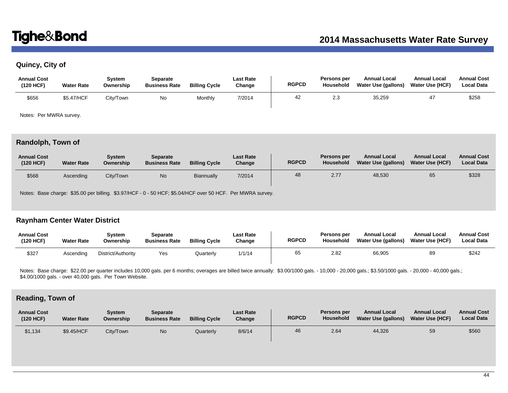# **Quincy, City of**

| <b>Annual Cost</b><br>(120 HCF) | <b>Water Rate</b> | Svstem<br>Ownership | <b>Separate</b><br><b>Business Rate</b> | <b>Billing Cycle</b> | <b>Last Rate</b><br>Change | <b>RGPCD</b> | Persons per<br>Household | <b>Annual Local</b><br>Water Use (gallons) | <b>Annual Local</b><br><b>Water Use (HCF)</b> | <b>Annual Cost</b><br><b>Local Data</b> |
|---------------------------------|-------------------|---------------------|-----------------------------------------|----------------------|----------------------------|--------------|--------------------------|--------------------------------------------|-----------------------------------------------|-----------------------------------------|
| \$656                           | \$5.47/HCF        | City/Town           | No                                      | Monthly              | 7/2014                     | 42           | 2.3                      | 35,259                                     |                                               | \$258                                   |

Notes: Per MWRA survey.

# **Randolph, Town of**

| <b>Annual Cost</b><br>(120 HCF) | <b>Water Rate</b> | Svstem<br>Ownership | <b>Separate</b><br><b>Business Rate</b> | <b>Billing Cycle</b> | <b>Last Rate</b><br>Change | <b>RGPCD</b> | Persons per<br>Household | <b>Annual Local</b><br>Water Use (gallons) | <b>Annual Local</b><br><b>Water Use (HCF)</b> | <b>Annual Cost</b><br><b>Local Data</b> |
|---------------------------------|-------------------|---------------------|-----------------------------------------|----------------------|----------------------------|--------------|--------------------------|--------------------------------------------|-----------------------------------------------|-----------------------------------------|
| \$568                           | Ascending         | City/Town           | <b>No</b>                               | Biannually           | 7/2014                     | 48           | 2.77                     | 48,530                                     | 65                                            | \$328                                   |

Notes: Base charge: \$35.00 per billing. \$3.97/HCF - 0 - 50 HCF; \$5.04/HCF over 50 HCF. Per MWRA survey.

# **Raynham Center Water District**

| <b>Annual Cost</b><br>(120 HCF) | <b>Water Rate</b> | System<br>Ownership | Separate<br><b>Business Rate</b> | <b>Billing Cycle</b> | <b>Last Rate</b><br>Change | <b>RGPCD</b> | Persons per<br><b>Household</b> | <b>Annual Local</b><br>Water Use (gallons) | <b>Annual Local</b><br>Water Use (HCF) | <b>Annual Cost</b><br><b>Local Data</b> |
|---------------------------------|-------------------|---------------------|----------------------------------|----------------------|----------------------------|--------------|---------------------------------|--------------------------------------------|----------------------------------------|-----------------------------------------|
| \$327                           | Ascendina         | District/Authority  | Yes                              | Quarterly            | 1/1/14                     | 65           | 2.82                            | 66,905                                     | 89                                     | \$242                                   |

Notes: Base charge: \$22.00 per quarter includes 10,000 gals. per 6 months; overages are billed twice annually: \$3.00/1000 gals. - 10,000 - 20,000 gals.; \$3.50/1000 gals. - 20,000 - 40,000 gals.; \$4.00/1000 gals. - over 40,000 gals. Per Town Website.

# **Reading, Town of**

| <b>Annual Cost</b><br>(120 HCF) | <b>Water Rate</b> | Svstem<br>Ownership | <b>Separate</b><br><b>Business Rate</b> | <b>Billing Cycle</b> | <b>Last Rate</b><br>Change | <b>RGPCD</b> | Persons per<br><b>Household</b> | <b>Annual Local</b><br>Water Use (gallons) | <b>Annual Local</b><br><b>Water Use (HCF)</b> | <b>Annual Cost</b><br><b>Local Data</b> |
|---------------------------------|-------------------|---------------------|-----------------------------------------|----------------------|----------------------------|--------------|---------------------------------|--------------------------------------------|-----------------------------------------------|-----------------------------------------|
| \$1,134                         | \$9.45/HCF        | Citv/Town           | N <sub>o</sub>                          | Quarterly            | 8/6/14                     | 46           | 2.64                            | 44,326                                     | 59                                            | \$560                                   |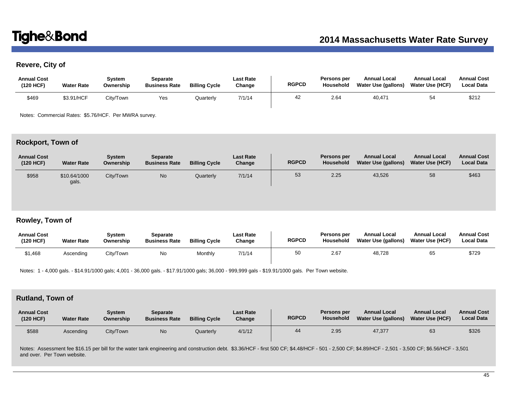# **Revere, City of**

| <b>Annual Cost</b><br>(120 HCF) | <b>Water Rate</b> | Svstem<br>Ownership | Separate<br><b>Business Rate</b> | <b>Billing Cycle</b> | <b>Last Rate</b><br>Change | <b>RGPCD</b> | Persons per<br>Household | <b>Annual Local</b><br>Water Use (gallons) | <b>Annual Local</b><br><b>Water Use (HCF)</b> | <b>Annual Cost</b><br><b>Local Data</b> |
|---------------------------------|-------------------|---------------------|----------------------------------|----------------------|----------------------------|--------------|--------------------------|--------------------------------------------|-----------------------------------------------|-----------------------------------------|
| \$469                           | \$3.91/HCF        | Citv/Town           | Yes                              | Quarterly            | 7/1/14                     | 42           | 2.64                     | 40,471                                     |                                               | \$212                                   |

Notes: Commercial Rates: \$5.76/HCF. Per MWRA survey.

# **Rockport, Town of**

| <b>Annual Cost</b><br>(120 HCF) | <b>Water Rate</b>     | Svstem<br>Ownership | <b>Separate</b><br><b>Business Rate</b> | <b>Billing Cycle</b> | Last Rate<br>Change | <b>RGPCD</b> | Persons per<br>Household | <b>Annual Local</b><br>Water Use (gallons) | <b>Annual Local</b><br><b>Water Use (HCF)</b> | <b>Annual Cost</b><br><b>Local Data</b> |
|---------------------------------|-----------------------|---------------------|-----------------------------------------|----------------------|---------------------|--------------|--------------------------|--------------------------------------------|-----------------------------------------------|-----------------------------------------|
| \$958                           | \$10.64/1000<br>gals. | City/Town           | <b>No</b>                               | Quarterly            | 7/1/14              | 53           | 2.25                     | 43,526                                     | 58                                            | \$463                                   |

# **Rowley, Town of**

| <b>Annual Cost</b><br>(120 HCF) | <b>Water Rate</b> | Svstem<br>Ownership | Separate<br><b>Business Rate</b> | <b>Billing Cycle</b> | Last Rate<br>Change | <b>RGPCD</b> | Persons per<br><b>Household</b> | <b>Annual Local</b><br>Water Use (gallons) | <b>Annual Local</b><br><b>Water Use (HCF)</b> | <b>Annual Cost</b><br><b>Local Data</b> |
|---------------------------------|-------------------|---------------------|----------------------------------|----------------------|---------------------|--------------|---------------------------------|--------------------------------------------|-----------------------------------------------|-----------------------------------------|
| \$1,468                         | Ascending         | Citv/Town           | No                               | Monthly              | 7/1/14              | 50           | 2.67                            | 48,728                                     | 65                                            | \$729                                   |

Notes: 1 - 4,000 gals. - \$14.91/1000 gals; 4,001 - 36,000 gals. - \$17.91/1000 gals; 36,000 - 999,999 gals - \$19.91/1000 gals. Per Town website.

# **Rutland, Town of**

| <b>Annual Cost</b><br>(120 HCF) | <b>Water Rate</b> | Svstem<br>Ownership | Separate<br><b>Business Rate</b> | <b>Billing Cycle</b> | <b>Last Rate</b><br>Change | <b>RGPCD</b> | Persons per<br>Household | <b>Annual Local</b><br>Water Use (gallons) | <b>Annual Local</b><br><b>Water Use (HCF)</b> | <b>Annual Cost</b><br><b>Local Data</b> |
|---------------------------------|-------------------|---------------------|----------------------------------|----------------------|----------------------------|--------------|--------------------------|--------------------------------------------|-----------------------------------------------|-----------------------------------------|
| \$588                           | Ascending         | City/Town           | <b>No</b>                        | Quarterly            | 4/1/12                     | 44           | 2.95                     | 47.377                                     | 63                                            | \$326                                   |

Notes: Assessment fee \$16.15 per bill for the water tank engineering and construction debt. \$3.36/HCF - first 500 CF; \$4.48/HCF - 501 - 2,500 CF; \$4.89/HCF - 2,501 - 3,500 CF; \$6.56/HCF - 3,501 and over. Per Town website.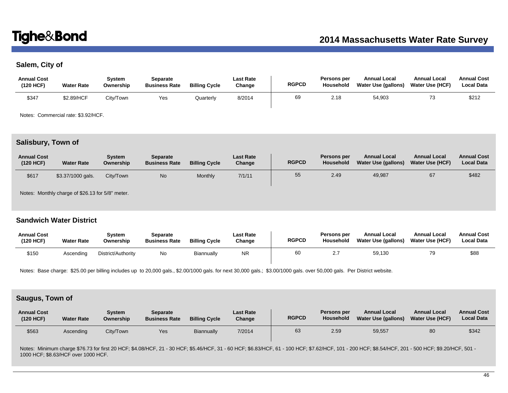# **Salem, City of**

| <b>Annual Cost</b><br>(120 HCF) | <b>Water Rate</b> | Svstem<br>Ownership | Separate<br><b>Business Rate</b> | <b>Billing Cycle</b> | Last Rate<br>Change | <b>RGPCD</b> | Persons per<br>Household | <b>Annual Local</b><br>Water Use (gallons) | <b>Annual Local</b><br>Water Use (HCF) | <b>Annual Cost</b><br><b>Local Data</b> |
|---------------------------------|-------------------|---------------------|----------------------------------|----------------------|---------------------|--------------|--------------------------|--------------------------------------------|----------------------------------------|-----------------------------------------|
| \$347                           | \$2.89/HCF        | City/Town           | Yes                              | <b>Juarterl</b>      | 8/2014              | 69           | 2.18                     | 54,903                                     |                                        | \$212                                   |

Notes: Commercial rate: \$3.92/HCF.

# **Salisbury, Town of**

| <b>Annual Cost</b><br>(120 HCF) | <b>Water Rate</b> | System<br>Ownership | <b>Separate</b><br><b>Business Rate</b> | <b>Billing Cycle</b> | <b>Last Rate</b><br>Change | <b>RGPCD</b> | Persons per<br>Household | <b>Annual Local</b><br>Water Use (gallons) | <b>Annual Local</b><br><b>Water Use (HCF)</b> | <b>Annual Cost</b><br><b>Local Data</b> |
|---------------------------------|-------------------|---------------------|-----------------------------------------|----------------------|----------------------------|--------------|--------------------------|--------------------------------------------|-----------------------------------------------|-----------------------------------------|
| \$617                           | \$3.37/1000 gals. | City/Town           | N <sub>o</sub>                          | Monthly              | 7/1/11                     | 55           | 2.49                     | 49,987                                     | 67                                            | \$482                                   |

Notes: Monthly charge of \$26.13 for 5/8" meter.

## **Sandwich Water District**

| <b>Annual Cost</b><br>(120 HCF) | <b>Water Rate</b> | Svstem<br>Ownership | Separate<br><b>Business Rate</b> | <b>Billing Cycle</b> | <b>Last Rate</b><br>Change | <b>RGPCD</b> | <b>Persons per</b><br><b>Household</b> | <b>Annual Local</b><br>Water Use (gallons) | <b>Annual Local</b><br><b>Water Use (HCF)</b> | <b>Annual Cost</b><br><b>Local Data</b> |
|---------------------------------|-------------------|---------------------|----------------------------------|----------------------|----------------------------|--------------|----------------------------------------|--------------------------------------------|-----------------------------------------------|-----------------------------------------|
| \$150                           | Ascending         | District/Authority  | No                               | Biannually           | ΝR                         | 60           | ົ<br>۷.۱                               | 59.130                                     | 79                                            | \$88                                    |

Notes: Base charge: \$25.00 per billing includes up to 20,000 gals., \$2.00/1000 gals. for next 30,000 gals.; \$3.00/1000 gals. over 50,000 gals. Per District website.

# **Saugus, Town of**

| <b>Annual Cost</b><br>(120 HCF) | <b>Water Rate</b> | System<br>Ownership | Separate<br><b>Business Rate</b> | <b>Billing Cycle</b> | <b>Last Rate</b><br>Change | <b>RGPCD</b> | Persons per<br>Household | <b>Annual Local</b><br>Water Use (gallons) | <b>Annual Local</b><br><b>Water Use (HCF)</b> | <b>Annual Cost</b><br><b>Local Data</b> |
|---------------------------------|-------------------|---------------------|----------------------------------|----------------------|----------------------------|--------------|--------------------------|--------------------------------------------|-----------------------------------------------|-----------------------------------------|
| \$563                           | Ascending         | City/Town           | Yes                              | Biannually           | 7/2014                     | 63           | 2.59                     | 59,557                                     | 80                                            | \$342                                   |

Notes: Minimum charge \$76.73 for first 20 HCF; \$4.08/HCF, 21 - 30 HCF; \$5.46/HCF, 31 - 60 HCF; \$6.83/HCF, 61 - 100 HCF; \$7.62/HCF, 101 - 200 HCF; \$8.54/HCF, 201 - 500 HCF; \$9.20/HCF, 501 - 1000 HCF; \$8.63/HCF over 1000 HCF.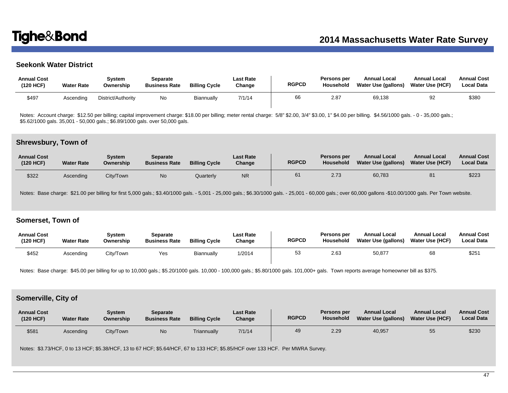# **Seekonk Water District**

| <b>Annual Cost</b><br>(120 HCF) | <b>Water Rate</b> | Svstem<br>Ownership | Separate<br><b>Business Rate</b> | <b>Billing Cycle</b> | Last Rate<br>Change | <b>RGPCD</b> | Persons per<br>Household | <b>Annual Local</b><br>Water Use (gallons) | <b>Annual Local</b><br>Water Use (HCF) | <b>Annual Cost</b><br><b>Local Data</b> |
|---------------------------------|-------------------|---------------------|----------------------------------|----------------------|---------------------|--------------|--------------------------|--------------------------------------------|----------------------------------------|-----------------------------------------|
| \$497                           | Ascending         | District/Authority  | No                               | Biannually           | 7/1/14              | 66           | 2.87                     | 69,138                                     | 92                                     | \$380                                   |

Notes: Account charge: \$12.50 per billing; capital improvement charge: \$18.00 per billing; meter rental charge: 5/8" \$2.00, 3/4" \$3.00, 1" \$4.00 per billing. \$4.56/1000 gals. - 0 - 35,000 gals.; \$5.62/1000 gals. 35,001 - 50,000 gals.; \$6.89/1000 gals. over 50,000 gals.

### **Shrewsbury, Town of**

| <b>Annual Cost</b><br>(120 HCF) | <b>Water Rate</b> | System<br>Ownership | Separate<br><b>Business Rate</b> | <b>Billing Cycle</b> | <b>Last Rate</b><br>Change | <b>RGPCD</b> | Persons per<br>Household | <b>Annual Local</b><br>Water Use (gallons) | <b>Annual Local</b><br><b>Water Use (HCF)</b> | <b>Annual Cost</b><br><b>Local Data</b> |
|---------------------------------|-------------------|---------------------|----------------------------------|----------------------|----------------------------|--------------|--------------------------|--------------------------------------------|-----------------------------------------------|-----------------------------------------|
| \$322                           | Ascending         | City/Town           | <b>No</b>                        | Quarterly            | <b>NR</b>                  | 61           | 2.73                     | 60,783                                     | 81                                            | \$223                                   |

Notes: Base charge: \$21.00 per billing for first 5,000 gals.; \$3.40/1000 gals. - 5,001 - 25,000 gals.; \$6.30/1000 gals. - 25,001 - 60,000 gals.; over 60,000 gallons -\$10.00/1000 gals. Per Town website.

# **Somerset, Town of**

| <b>Annual Cost</b><br>(120 HCF) | <b>Water Rate</b> | Svstem<br>Ownership | <b>Separate</b><br><b>Business Rate</b> | <b>Billing Cycle</b> | Last Rate<br>Change | <b>RGPCD</b> | <b>Persons per</b><br>Household | <b>Annual Local</b><br>Water Use (gallons) | <b>Annual Local</b><br><b>Water Use (HCF)</b> | <b>Annual Cost</b><br><b>Local Data</b> |
|---------------------------------|-------------------|---------------------|-----------------------------------------|----------------------|---------------------|--------------|---------------------------------|--------------------------------------------|-----------------------------------------------|-----------------------------------------|
| \$452                           | Ascending         | City/Town           | Yes                                     | <b>Biannually</b>    | 1/2014              | 53           | 2.63                            | 50,877                                     | 68                                            | \$25'                                   |

Notes: Base charge: \$45.00 per billing for up to 10,000 gals.; \$5.20/1000 gals. 10,000 - 100,000 gals.; \$5.80/1000 gals. 101,000+ gals. Town reports average homeowner bill as \$375.

### **Somerville, City of**

| <b>Annual Cost</b><br>(120 HCF) | <b>Water Rate</b> | Svstem<br>Ownership | <b>Separate</b><br><b>Business Rate</b> | <b>Billing Cycle</b> | <b>Last Rate</b><br>Change | <b>RGPCD</b> | Persons per<br><b>Household</b> | <b>Annual Local</b><br><b>Water Use (gallons)</b> | <b>Annual Local</b><br><b>Water Use (HCF)</b> | <b>Annual Cost</b><br><b>Local Data</b> |
|---------------------------------|-------------------|---------------------|-----------------------------------------|----------------------|----------------------------|--------------|---------------------------------|---------------------------------------------------|-----------------------------------------------|-----------------------------------------|
| \$581                           | Ascending         | City/Town           | N <sub>o</sub>                          | Triannually          | 7/1/14                     | 49           | 2.29                            | 40,957                                            | 55                                            | \$230                                   |

Notes: \$3.73/HCF, 0 to 13 HCF; \$5.38/HCF, 13 to 67 HCF; \$5.64/HCF, 67 to 133 HCF; \$5.85/HCF over 133 HCF. Per MWRA Survey.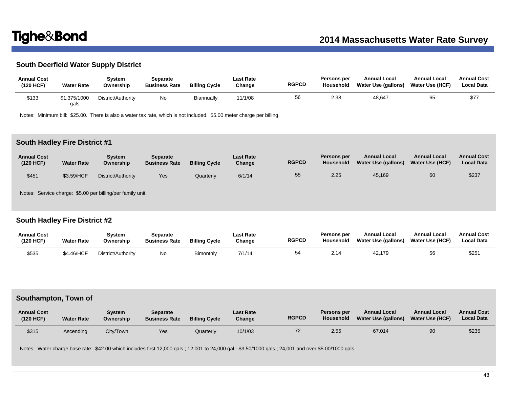# **South Deerfield Water Supply District**

| <b>Annual Cost</b><br>(120 HCF) | <b>Water Rate</b>     | Svstem<br>Ownership | Separate<br><b>Business Rate</b> | <b>Billing Cycle</b> | Last Rate<br>Change | <b>RGPCD</b> | Persons per<br>Household | <b>Annual Local</b><br>Water Use (gallons) | <b>Annual Local</b><br>Water Use (HCF) | <b>Annual Cost</b><br><b>Local Data</b> |
|---------------------------------|-----------------------|---------------------|----------------------------------|----------------------|---------------------|--------------|--------------------------|--------------------------------------------|----------------------------------------|-----------------------------------------|
| \$133                           | \$1.375/1000<br>gals. | District/Authority  | No                               | Biannually           | 11/1/08             | 56           | 2.38                     | 48,647                                     | 65                                     | \$77                                    |

Notes: Minimum bill: \$25.00. There is also a water tax rate, which is not included. \$5.00 meter charge per billing.

# **South Hadley Fire District #1**

| <b>Annual Cost</b><br>(120 HCF) | <b>Water Rate</b> | Svstem<br>Ownership | Separate<br><b>Business Rate</b> | <b>Billing Cycle</b> | <b>Last Rate</b><br>Change | <b>RGPCD</b> | Persons per<br>Household | <b>Annual Local</b><br>Water Use (gallons) | <b>Annual Local</b><br><b>Water Use (HCF)</b> | <b>Annual Cost</b><br><b>Local Data</b> |
|---------------------------------|-------------------|---------------------|----------------------------------|----------------------|----------------------------|--------------|--------------------------|--------------------------------------------|-----------------------------------------------|-----------------------------------------|
| \$451                           | \$3.59/HCF        | District/Authority  | Yes                              | Quarterly            | 6/1/14                     | 55           | 2.25                     | 45,169                                     | 60                                            | \$237                                   |

Notes: Service charge: \$5.00 per billing/per family unit.

# **South Hadley Fire District #2**

| <b>Annual Cost</b><br>(120 HCF) | <b>Water Rate</b> | Svstem<br>Ownership | Separate<br><b>Business Rate</b> | <b>Billing Cycle</b> | <b>Last Rate</b><br>Change | <b>RGPCD</b> | Persons per<br><b>Household</b> | <b>Annual Local</b><br>Water Use (gallons) | <b>Annual Local</b><br><b>Water Use (HCF)</b> | <b>Annual Cost</b><br><b>Local Data</b> |
|---------------------------------|-------------------|---------------------|----------------------------------|----------------------|----------------------------|--------------|---------------------------------|--------------------------------------------|-----------------------------------------------|-----------------------------------------|
| \$535                           | \$4.46/HCF        | District/Authority  | No.                              | Bimonthly            | 7/1/14                     | 54           | 2.14                            | 42.179                                     | 56                                            | \$25'                                   |

## **Southampton, Town of**

| <b>Annual Cost</b><br>(120 HCF) | <b>Water Rate</b> | System<br>Ownership | <b>Separate</b><br><b>Business Rate</b> | <b>Billing Cycle</b> | <b>Last Rate</b><br>Change | <b>RGPCD</b> | Persons per<br>Household | <b>Annual Local</b><br>Water Use (gallons) | <b>Annual Local</b><br><b>Water Use (HCF)</b> | <b>Annual Cost</b><br><b>Local Data</b> |
|---------------------------------|-------------------|---------------------|-----------------------------------------|----------------------|----------------------------|--------------|--------------------------|--------------------------------------------|-----------------------------------------------|-----------------------------------------|
| \$315                           | Ascending         | City/Town           | Yes                                     | Quarterly            | 10/1/03                    | 72           | 2.55                     | 67,014                                     | 90                                            | \$235                                   |

Notes: Water charge base rate: \$42.00 which includes first 12,000 gals.; 12,001 to 24,000 gal - \$3.50/1000 gals.; 24,001 and over \$5.00/1000 gals.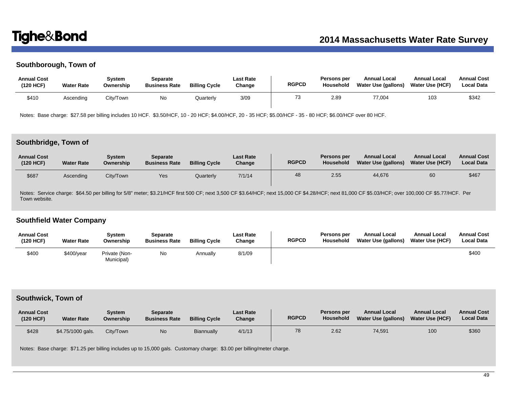# **Southborough, Town of**

| <b>Annual Cost</b><br>(120 HCF) | <b>Water Rate</b> | Svstem<br>Ownership | Separate<br><b>Business Rate</b> | <b>Billing Cycle</b> | Last Rate<br>Change | <b>RGPCD</b> | <b>Persons per</b><br>Household | <b>Annual Local</b><br>Water Use (gallons) | <b>Annual Local</b><br><b>Water Use (HCF)</b> | <b>Annual Cost</b><br><b>Local Data</b> |
|---------------------------------|-------------------|---------------------|----------------------------------|----------------------|---------------------|--------------|---------------------------------|--------------------------------------------|-----------------------------------------------|-----------------------------------------|
| \$410                           | Ascending         | City/Town           | No                               | <b>Juarterly</b>     | 3/09                |              | 2.89                            | 77.004                                     | 103                                           | \$342                                   |

Notes: Base charge: \$27.58 per billing includes 10 HCF. \$3.50/HCF, 10 - 20 HCF; \$4.00/HCF, 20 - 35 HCF; \$5.00/HCF - 35 - 80 HCF; \$6.00/HCF over 80 HCF.

# **Southbridge, Town of**

| <b>Annual Cost</b><br>(120 HCF) | <b>Water Rate</b> | Svstem<br>Ownership | Separate<br><b>Business Rate</b> | <b>Billing Cycle</b> | <b>Last Rate</b><br>Change | <b>RGPCD</b> | Persons per<br>Household | <b>Annual Local</b><br>Water Use (gallons) | <b>Annual Local</b><br><b>Water Use (HCF)</b> | <b>Annual Cost</b><br><b>Local Data</b> |
|---------------------------------|-------------------|---------------------|----------------------------------|----------------------|----------------------------|--------------|--------------------------|--------------------------------------------|-----------------------------------------------|-----------------------------------------|
| \$687                           | Ascendina         | City/Town           | Yes                              | Quarterly            | 7/1/14                     | 48           | 2.55                     | 44,676                                     | 60                                            | \$467                                   |

Notes: Service charge: \$64.50 per billing for 5/8" meter; \$3.21/HCF first 500 CF; next 3,500 CF \$3.64/HCF; next 15,000 CF \$4.28/HCF; next 81,000 CF \$5.03/HCF; over 100,000 CF \$5.77/HCF. Per Town website.

# **Southfield Water Company**

| <b>Annual Cost</b><br>(120 HCF) | <b>Water Rate</b> | Svstem<br>Ownership         | Separate<br><b>Business Rate</b> | <b>Billing Cycle</b> | Last Rate<br>Change | <b>RGPCD</b> | Persons per<br><b>Household</b> | <b>Annual Local</b><br>Water Use (gallons) | <b>Annual Local</b><br><b>Water Use (HCF)</b> | <b>Annual Cost</b><br><b>Local Data</b> |
|---------------------------------|-------------------|-----------------------------|----------------------------------|----------------------|---------------------|--------------|---------------------------------|--------------------------------------------|-----------------------------------------------|-----------------------------------------|
| \$400                           | $$400$ /year      | Private (Non-<br>Municipal) | No                               | Annually             | 8/1/09              |              |                                 |                                            |                                               | \$400                                   |

# **Southwick, Town of**

| <b>Annual Cost</b><br>(120 HCF) | <b>Water Rate</b> | Svstem<br>Ownership | Separate<br><b>Business Rate</b> | <b>Billing Cycle</b> | <b>Last Rate</b><br>Change | <b>RGPCD</b> | <b>Persons per</b><br><b>Household</b> | <b>Annual Local</b><br>Water Use (gallons) | <b>Annual Local</b><br><b>Water Use (HCF)</b> | <b>Annual Cost</b><br><b>Local Data</b> |
|---------------------------------|-------------------|---------------------|----------------------------------|----------------------|----------------------------|--------------|----------------------------------------|--------------------------------------------|-----------------------------------------------|-----------------------------------------|
| \$428                           | \$4.75/1000 gals. | City/Town           | No                               | Biannually           | 4/1/13                     | 78           | 2.62                                   | 74,591                                     | 100                                           | \$360                                   |

Notes: Base charge: \$71.25 per billing includes up to 15,000 gals. Customary charge: \$3.00 per billing/meter charge.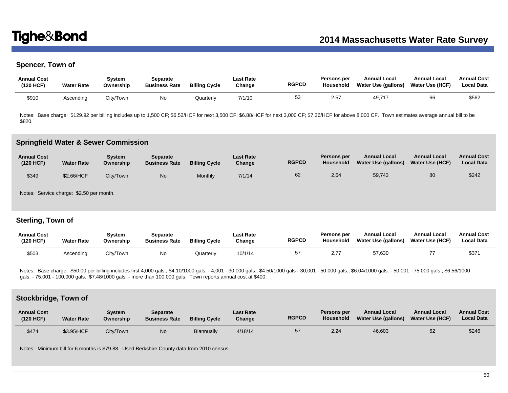# **Spencer, Town of**

| <b>Annual Cost</b><br>(120 HCF) | <b>Water Rate</b> | Svstem<br>Ownership | Separate<br><b>Business Rate</b> | <b>Billing Cycle</b> | <b>Last Rate</b><br>Change | <b>RGPCD</b> | Persons per<br>Household | <b>Annual Local</b><br>Water Use (gallons) | <b>Annual Local</b><br>Water Use (HCF) | <b>Annual Cost</b><br><b>Local Data</b> |
|---------------------------------|-------------------|---------------------|----------------------------------|----------------------|----------------------------|--------------|--------------------------|--------------------------------------------|----------------------------------------|-----------------------------------------|
| \$910                           | Ascendina         | City/Town           | No                               | Quarterly            | 7/1/10                     | 53           | 2.57                     | 49,717                                     | 66                                     | \$562                                   |

Notes: Base charge: \$129.92 per billing includes up to 1,500 CF; \$6.52/HCF for next 3,500 CF; \$6.88/HCF for next 3,000 CF; \$7.36/HCF for above 8,000 CF. Town estimates average annual bill to be \$820.

### **Springfield Water & Sewer Commission**

| <b>Annual Cost</b><br>(120 HCF) | <b>Water Rate</b> | Svstem<br>Ownership | Separate<br><b>Business Rate</b> | <b>Billing Cycle</b> | <b>Last Rate</b><br>Change | <b>RGPCD</b> | Persons per<br>Household | <b>Annual Local</b><br>Water Use (gallons) | <b>Annual Local</b><br><b>Water Use (HCF)</b> | <b>Annual Cost</b><br><b>Local Data</b> |
|---------------------------------|-------------------|---------------------|----------------------------------|----------------------|----------------------------|--------------|--------------------------|--------------------------------------------|-----------------------------------------------|-----------------------------------------|
| \$349                           | \$2.66/HCF        | City/Town           | No                               | Monthly              | 7/1/14                     | 62           | 2.64                     | 59,743                                     | 80                                            | \$242                                   |

Notes: Service charge: \$2.50 per month.

# **Sterling, Town of**

| <b>Annual Cost</b><br>(120 HCF) | <b>Water Rate</b> | Svstem<br>Ownership | Separate<br><b>Business Rate</b> | <b>Billing Cycle</b> | <b>Last Rate</b><br>Change | <b>RGPCD</b> | <b>Persons per</b><br>Household | <b>Annual Local</b><br>Water Use (gallons) | <b>Annual Local</b><br><b>Water Use (HCF)</b> | <b>Annual Cost</b><br>Local Data |
|---------------------------------|-------------------|---------------------|----------------------------------|----------------------|----------------------------|--------------|---------------------------------|--------------------------------------------|-----------------------------------------------|----------------------------------|
| \$503                           | Ascending         | City/Town           | N0                               | Quarterly            | 10/1/14                    | 57           | 2.77                            | 57,630                                     |                                               | \$37'                            |

Notes: Base charge: \$50.00 per billing includes first 4,000 gals.; \$4.10/1000 gals. - 4,001 - 30,000 gals.; \$4.50/1000 gals.; \$4.50/1000 gals - 30,000 gals.; \$6.56/1000 gals.; \$6.04/1000 gals.; \$6.04/1000 gals.; \$6.56/1000 gals. - 75,001 - 100,000 gals.; \$7.48/1000 gals. - more than 100,000 gals. Town reports annual cost at \$400.

### **Stockbridge, Town of**

| <b>Annual Cost</b><br>(120 HCF) | <b>Water Rate</b> | Svstem<br>Ownership | <b>Separate</b><br><b>Business Rate</b> | <b>Billing Cycle</b> | <b>Last Rate</b><br>Change | <b>RGPCD</b> | Persons per<br><b>Household</b> | <b>Annual Local</b><br>Water Use (gallons) | <b>Annual Local</b><br><b>Water Use (HCF)</b> | <b>Annual Cost</b><br><b>Local Data</b> |
|---------------------------------|-------------------|---------------------|-----------------------------------------|----------------------|----------------------------|--------------|---------------------------------|--------------------------------------------|-----------------------------------------------|-----------------------------------------|
| \$474                           | \$3.95/HCF        | Citv/Town           | N <sub>o</sub>                          | <b>Biannually</b>    | 4/18/14                    | 57           | 2.24                            | 46,603                                     | 62                                            | \$246                                   |

Notes: Minimum bill for 6 months is \$79.88. Used Berkshire County data from 2010 census.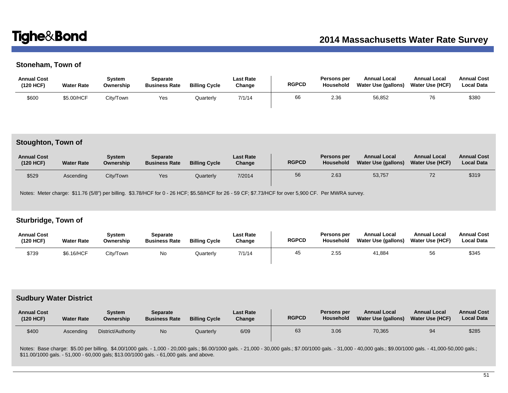# **Stoneham, Town of**

| <b>Annual Cost</b><br>(120 HCF) | <b>Water Rate</b> | Svstem<br>Ownership | Separate<br><b>Business Rate</b> | <b>Billing Cycle</b> | Last Rate<br>Change | <b>RGPCD</b> | Persons per<br><b>Household</b> | <b>Annual Local</b><br>Water Use (gallons) | <b>Annual Local</b><br><b>Water Use (HCF)</b> | <b>Annual Cost</b><br><b>Local Data</b> |
|---------------------------------|-------------------|---------------------|----------------------------------|----------------------|---------------------|--------------|---------------------------------|--------------------------------------------|-----------------------------------------------|-----------------------------------------|
| \$600                           | \$5.00/HCF        | City/Town           | Yes                              | <b>Quarterly</b>     | 7/1/14              | 66           | 2.36                            | 56,852                                     | 76                                            | \$380                                   |

### **Stoughton, Town of**

| <b>Annual Cost</b><br>(120 HCF) | <b>Water Rate</b> | Svstem<br>Ownership | <b>Separate</b><br><b>Business Rate</b> | <b>Billing Cycle</b> | <b>Last Rate</b><br>Change | <b>RGPCD</b> | Persons per<br>Household | <b>Annual Local</b><br>Water Use (gallons) | <b>Annual Local</b><br><b>Water Use (HCF)</b> | <b>Annual Cost</b><br><b>Local Data</b> |
|---------------------------------|-------------------|---------------------|-----------------------------------------|----------------------|----------------------------|--------------|--------------------------|--------------------------------------------|-----------------------------------------------|-----------------------------------------|
| \$529                           | Ascending         | City/Town           | Yes                                     | Quarterly            | 7/2014                     | 56           | 2.63                     | 53,757                                     | 72                                            | \$319                                   |

Notes: Meter charge: \$11.76 (5/8") per billing. \$3.78/HCF for 0 - 26 HCF; \$5.58/HCF for 26 - 59 CF; \$7.73/HCF for over 5,900 CF. Per MWRA survey.

# **Sturbridge, Town of**

| <b>Annual Cost</b><br>(120 HCF) | <b>Water Rate</b> | System<br>Ownership | Separate<br><b>Business Rate</b> | <b>Billing Cycle</b> | Last Rate<br>Change | <b>RGPCD</b> | Persons per<br><b>Household</b> | <b>Annual Local</b><br>Water Use (gallons) | <b>Annual Local</b><br><b>Water Use (HCF)</b> | <b>Annual Cost</b><br><b>Local Data</b> |
|---------------------------------|-------------------|---------------------|----------------------------------|----------------------|---------------------|--------------|---------------------------------|--------------------------------------------|-----------------------------------------------|-----------------------------------------|
| \$739                           | \$6.16/HCF        | Citv/Town           | No                               | Quarterly            | 7/1/14              | 45           | 2.55                            | 41,884                                     | 56                                            | \$345                                   |

## **Sudbury Water District**

| <b>Annual Cost</b><br>(120 HCF) | <b>Water Rate</b> | System<br>Ownership | <b>Separate</b><br><b>Business Rate</b> | <b>Billing Cycle</b> | <b>Last Rate</b><br>Change | <b>RGPCD</b> | Persons per<br><b>Household</b> | <b>Annual Local</b><br>Water Use (gallons) | <b>Annual Local</b><br><b>Water Use (HCF)</b> | <b>Annual Cost</b><br><b>Local Data</b> |
|---------------------------------|-------------------|---------------------|-----------------------------------------|----------------------|----------------------------|--------------|---------------------------------|--------------------------------------------|-----------------------------------------------|-----------------------------------------|
| \$400                           | Ascendina         | District/Authority  | No.                                     | Quarterly            | 6/09                       | 63           | 3.06                            | 70,365                                     | 94                                            | \$285                                   |

Notes: Base charge: \$5.00 per billing. \$4.00/1000 gals. - 1,000 - 20,000 gals.; \$6.00/1000 gals. - 21,000 - 30,000 gals.; \$7.00/1000 gals. - 31,000 - 40,000 gals.; \$9.00/1000 gals. - 41,000-50,000 gals.; \$9.00/1000 gals. -\$11.00/1000 gals. - 51,000 - 60,000 gals; \$13.00/1000 gals. - 61,000 gals. and above.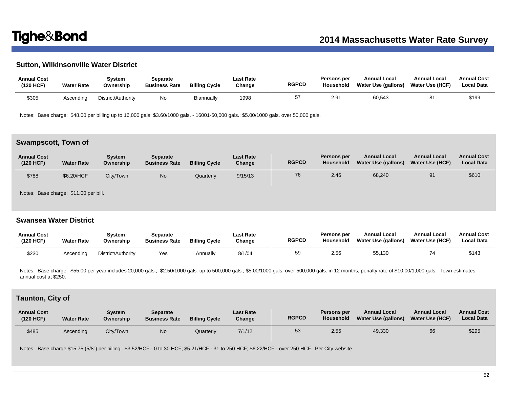# **Sutton, Wilkinsonville Water District**

| <b>Annual Cost</b><br>(120 HCF) | <b>Water Rate</b> | Svstem<br>Ownership | Separate<br><b>Business Rate</b> | <b>Billing Cycle</b> | Last Rate<br>Change | <b>RGPCD</b> | <b>Persons per</b><br>Household | <b>Annual Local</b><br>Water Use (gallons) | <b>Annual Local</b><br><b>Water Use (HCF)</b> | <b>Annual Cost</b><br><b>Local Data</b> |
|---------------------------------|-------------------|---------------------|----------------------------------|----------------------|---------------------|--------------|---------------------------------|--------------------------------------------|-----------------------------------------------|-----------------------------------------|
| \$305                           | Ascendina         | District/Authority  | No                               | Biannually           | 1998                | 57           | 2.9'                            | 60,543                                     |                                               | \$199                                   |

Notes: Base charge: \$48.00 per billing up to 16,000 gals; \$3.60/1000 gals. - 16001-50,000 gals.; \$5.00/1000 gals. over 50,000 gals.

### **Swampscott, Town of**

| <b>Annual Cost</b><br>(120 HCF) | <b>Water Rate</b> | Svstem<br>Ownership | Separate<br><b>Business Rate</b> | <b>Billing Cycle</b> | <b>Last Rate</b><br>Change | <b>RGPCD</b> | Persons per<br>Household | <b>Annual Local</b><br>Water Use (gallons) | <b>Annual Local</b><br>Water Use (HCF) | <b>Annual Cost</b><br><b>Local Data</b> |
|---------------------------------|-------------------|---------------------|----------------------------------|----------------------|----------------------------|--------------|--------------------------|--------------------------------------------|----------------------------------------|-----------------------------------------|
| \$788                           | \$6.20/HCF        | City/Town           | No                               | Quarterly            | 9/15/13                    | 76           | 2.46                     | 68,240                                     | 91                                     | \$610                                   |

Notes: Base charge: \$11.00 per bill.

## **Swansea Water District**

| <b>Annual Cost</b><br>(120 HCF) | <b>Water Rate</b> | Svstem<br>Ownership | Separate<br><b>Business Rate</b> | <b>Billing Cycle</b> | Last Rate<br>Change | <b>RGPCD</b> | Persons per<br>Household | <b>Annual Local</b><br>Water Use (gallons) | <b>Annual Local</b><br><b>Water Use (HCF)</b> | <b>Annual Cost</b><br><b>Local Data</b> |
|---------------------------------|-------------------|---------------------|----------------------------------|----------------------|---------------------|--------------|--------------------------|--------------------------------------------|-----------------------------------------------|-----------------------------------------|
| \$230                           | Ascendina         | District/Authority  | Yes                              | Annually             | 8/1/04              | 59           | 2.56                     | 55,130                                     |                                               | \$143                                   |

Notes: Base charge: \$55.00 per year includes 20,000 gals.; \$2.50/1000 gals. up to 500,000 gals.; \$5.00/1000 gals. over 500,000 gals. in 12 months; penalty rate of \$10.00/1,000 gals. Town estimates annual cost at \$250.

## **Taunton, City of**

| <b>Annual Cost</b><br>(120 HCF) | <b>Water Rate</b> | System<br>Ownership | Separate<br><b>Business Rate</b> | <b>Billing Cycle</b> | <b>Last Rate</b><br>Change | <b>RGPCD</b> | Persons per<br><b>Household</b> | <b>Annual Local</b><br>Water Use (gallons) | <b>Annual Local</b><br><b>Water Use (HCF)</b> | <b>Annual Cost</b><br><b>Local Data</b> |
|---------------------------------|-------------------|---------------------|----------------------------------|----------------------|----------------------------|--------------|---------------------------------|--------------------------------------------|-----------------------------------------------|-----------------------------------------|
| \$485                           | Ascending         | Citv/Town           | <b>No</b>                        | Quarterly            | 7/1/12                     | 53           | 2.55                            | 49,330                                     | 66                                            | \$295                                   |

Notes: Base charge \$15.75 (5/8") per billing. \$3.52/HCF - 0 to 30 HCF; \$5.21/HCF - 31 to 250 HCF; \$6.22/HCF - over 250 HCF. Per City website.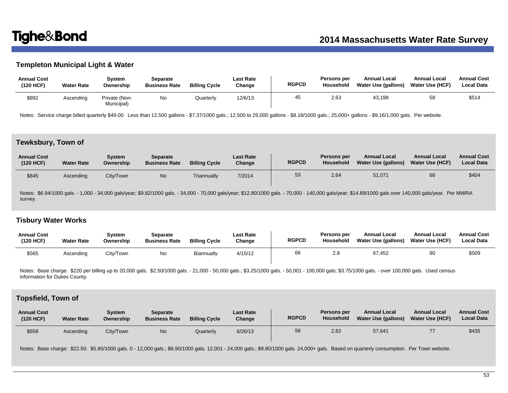# **Templeton Municipal Light & Water**

| <b>Annual Cost</b><br>(120 HCF) | <b>Water Rate</b> | Svstem<br>Ownership         | Separate<br><b>Business Rate</b> | <b>Billing Cycle</b> | <b>Last Rate</b><br>Change | <b>RGPCD</b> | Persons per<br>Household | <b>Annual Local</b><br>Water Use (gallons) | <b>Annual Local</b><br>Water Use (HCF) | <b>Annual Cost</b><br><b>Local Data</b> |
|---------------------------------|-------------------|-----------------------------|----------------------------------|----------------------|----------------------------|--------------|--------------------------|--------------------------------------------|----------------------------------------|-----------------------------------------|
| \$892                           | Ascending         | Private (Non-<br>Municipal) | <b>No</b>                        | Quarterly            | 12/6/13                    | 45           | 2.63                     | 43,198                                     | 58                                     | \$514                                   |

Notes: Service charge billed quarterly \$49.00. Less than 12,500 gallons - \$7.37/1000 gals.; 12,500 to 25,000 gallons - \$8.18/1000 gals.; 25,000+ gallons - \$9.16/1,000 gals. Per website.

## **Tewksbury, Town of**

| <b>Annual Cost</b><br>(120 HCF) | <b>Water Rate</b> | Svstem<br>Ownership | Separate<br><b>Business Rate</b> | <b>Billing Cycle</b> | <b>Last Rate</b><br>Change | <b>RGPCD</b> | Persons per<br>Household | <b>Annual Local</b><br>Water Use (gallons) | <b>Annual Local</b><br><b>Water Use (HCF)</b> | <b>Annual Cost</b><br><b>Local Data</b> |
|---------------------------------|-------------------|---------------------|----------------------------------|----------------------|----------------------------|--------------|--------------------------|--------------------------------------------|-----------------------------------------------|-----------------------------------------|
| \$845                           | Ascending         | City/Town           | No                               | Triannually          | 7/2014                     | 53           | 2.64                     | 51,071                                     | 68                                            | \$404                                   |

Notes: \$6.94/1000 gals. - 1,000 - 34,000 gals/year; \$9.82/1000 gals. - 34,000 - 70,000 gals/year; \$12.80/1000 gals. - 70,000 - 140,000 gals/year; \$14.89/1000 gals over 140,000 gals/year. Per MWRA survey.

# **Tisbury Water Works**

| <b>Annual Cost</b><br>(120 HCF) | <b>Water Rate</b> | System<br>Ownership | Separate<br><b>Business Rate</b> | <b>Billing Cycle</b> | <b>Last Rate</b><br>Change | <b>RGPCD</b> | <b>Persons per</b><br>Household | <b>Annual Local</b><br>Water Use (gallons) | <b>Annual Local</b><br><b>Water Use (HCF)</b> | <b>Annual Cost</b><br>Local Data |
|---------------------------------|-------------------|---------------------|----------------------------------|----------------------|----------------------------|--------------|---------------------------------|--------------------------------------------|-----------------------------------------------|----------------------------------|
| \$565                           | Ascending         | City/Town           | No                               | Biannually           | 4/15/12                    | 66           | 2.8                             | 67.452                                     | 90                                            | \$509                            |

Notes: Base charge: \$220 per billing up to 20,000 gals. \$2.50/1000 gals. - 21,000 - 50,000 gals.; \$3.25/1000 gals. - 50,001 - 100,000 gals: \$3.75/1000 gals. - over 100,000 gals. Used census information for Dukes County.

## **Topsfield, Town of**

| <b>Annual Cost</b><br>(120 HCF) | <b>Water Rate</b> | Svstem<br>Ownership | Separate<br><b>Business Rate</b> | <b>Billing Cycle</b> | <b>Last Rate</b><br>Change | <b>RGPCD</b> | Persons per<br>Household | <b>Annual Local</b><br><b>Water Use (gallons)</b> | <b>Annual Local</b><br><b>Water Use (HCF)</b> | <b>Annual Cost</b><br><b>Local Data</b> |
|---------------------------------|-------------------|---------------------|----------------------------------|----------------------|----------------------------|--------------|--------------------------|---------------------------------------------------|-----------------------------------------------|-----------------------------------------|
| \$658                           | Ascending         | City/Town           | No.                              | Quarterly            | 6/26/13                    | 56           | 2.82                     | 57,641                                            |                                               | \$435                                   |

Notes: Base charge: \$22.50. \$5.80/1000 gals. 0 - 12,000 gals.; \$6.90/1000 gals. 12,001 - 24,000 gals.; \$9.80/1000 gals. 24,000+ gals. Based on quarterly consumption. Per Town website.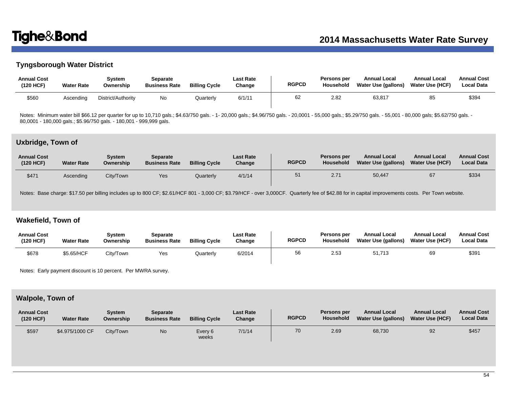# **Tyngsborough Water District**

| <b>Annual Cost</b><br>(120 HCF) | <b>Water Rate</b> | Svstem<br>Ownership | Separate<br><b>Business Rate</b> | <b>Billing Cycle</b> | <b>Last Rate</b><br>Change | <b>RGPCD</b> | Persons per<br>Household | <b>Annual Local</b><br>Water Use (gallons) | Annual Local<br><b>Water Use (HCF)</b> | <b>Annual Cost</b><br><b>Local Data</b> |
|---------------------------------|-------------------|---------------------|----------------------------------|----------------------|----------------------------|--------------|--------------------------|--------------------------------------------|----------------------------------------|-----------------------------------------|
| \$560                           | Ascending         | District/Authority  | No                               | Quarterly            | 6/1/11                     | 62           | 2.82                     | 63,817                                     | 85                                     | \$394                                   |

Notes: Minimum water bill \$66.12 per quarter for up to 10,710 gals.; \$4.63/750 gals. - 1- 20,000 gals.; \$4.96/750 gals. - 20,0001 - 55,000 gals.; \$5.29/750 gals. - 55,001 - 80,000 gals; \$5.62/750 gals. 80,0001 - 180,000 gals.; \$5.96/750 gals. - 180,001 - 999,999 gals.

# **Uxbridge, Town of**

| <b>Annual Cost</b><br>(120 HCF) | <b>Water Rate</b> | System<br>Ownership | Separate<br><b>Business Rate</b> | <b>Billing Cycle</b> | <b>Last Rate</b><br>Change | <b>RGPCD</b> | Persons per<br>Household | <b>Annual Local</b><br>Water Use (gallons) | <b>Annual Local</b><br><b>Water Use (HCF)</b> | <b>Annual Cost</b><br><b>Local Data</b> |
|---------------------------------|-------------------|---------------------|----------------------------------|----------------------|----------------------------|--------------|--------------------------|--------------------------------------------|-----------------------------------------------|-----------------------------------------|
| \$471                           | Ascending         | City/Town           | Yes                              | Quarterly            | 4/1/14                     | 51           | 2.71                     | 50,447                                     | 67                                            | \$334                                   |

Notes: Base charge: \$17.50 per billing includes up to 800 CF; \$2.61/HCF 801 - 3,000 CF; \$3.79/HCF - over 3,000 CF. Quarterly fee of \$42.88 for in capital improvements costs. Per Town website.

## **Wakefield, Town of**

| <b>Annual Cost</b><br>(120 HCF) | <b>Water Rate</b> | System<br>Ownership | Separate<br><b>Business Rate</b> | <b>Billing Cycle</b> | Last Rate<br>Change | <b>RGPCD</b> | Persons per<br>Household | <b>Annual Local</b><br>Water Use (gallons) | <b>Annual Local</b><br>Water Use (HCF) | <b>Annual Cost</b><br><b>Local Data</b> |
|---------------------------------|-------------------|---------------------|----------------------------------|----------------------|---------------------|--------------|--------------------------|--------------------------------------------|----------------------------------------|-----------------------------------------|
| \$678                           | \$5.65/HCF        | City/Town           | Yes                              | Quarterly            | 6/2014              | 56           | 2.53                     | 51.713                                     | 69                                     | \$39'                                   |

Notes: Early payment discount is 10 percent. Per MWRA survey.

# **Walpole, Town of**

| <b>Annual Cost</b><br>(120 HCF) | <b>Water Rate</b> | Svstem<br>Ownership | Separate<br><b>Business Rate</b> | <b>Billing Cycle</b> | Last Rate<br>Change | <b>RGPCD</b> | <b>Persons per</b><br>Household | <b>Annual Local</b><br><b>Water Use (gallons)</b> | <b>Annual Local</b><br><b>Water Use (HCF)</b> | <b>Annual Cost</b><br><b>Local Data</b> |
|---------------------------------|-------------------|---------------------|----------------------------------|----------------------|---------------------|--------------|---------------------------------|---------------------------------------------------|-----------------------------------------------|-----------------------------------------|
| \$597                           | \$4.975/1000 CF   | City/Town           | No                               | Every 6<br>weeks     | 7/1/14              | 70           | 2.69                            | 68,730                                            | 92                                            | \$457                                   |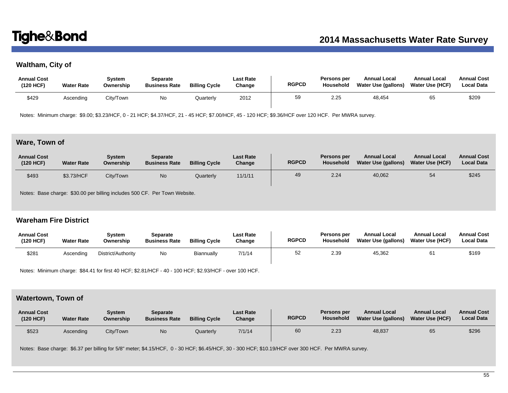# **Waltham, City of**

| <b>Annual Cost</b><br>(120 HCF) | <b>Water Rate</b> | Svstem<br>Ownership | Separate<br><b>Business Rate</b> | <b>Billing Cycle</b> | Last Rate<br>Change | <b>RGPCD</b> | Persons per<br>Household | <b>Annual Local</b><br>Water Use (gallons) | <b>Annual Local</b><br><b>Water Use (HCF)</b> | <b>Annual Cost</b><br><b>Local Data</b> |
|---------------------------------|-------------------|---------------------|----------------------------------|----------------------|---------------------|--------------|--------------------------|--------------------------------------------|-----------------------------------------------|-----------------------------------------|
| \$429                           | Ascending         | City/Town           | No                               | Quarterly            | 2012                | 59           | 2.25                     | 48,454                                     | 65                                            | \$209                                   |

Notes: Minimum charge: \$9.00; \$3.23/HCF, 0 - 21 HCF; \$4.37/HCF, 21 - 45 HCF; \$7.00/HCF, 45 - 120 HCF; \$9.36/HCF over 120 HCF. Per MWRA survey.

# **Ware, Town of**

| <b>Annual Cost</b><br>(120 HCF) | <b>Water Rate</b> | System<br>Ownership | Separate<br><b>Business Rate</b> | <b>Billing Cycle</b> | <b>Last Rate</b><br>Change | <b>RGPCD</b> | Persons per<br>Household | <b>Annual Local</b><br>Water Use (gallons) | <b>Annual Local</b><br>Water Use (HCF) | <b>Annual Cost</b><br><b>Local Data</b> |
|---------------------------------|-------------------|---------------------|----------------------------------|----------------------|----------------------------|--------------|--------------------------|--------------------------------------------|----------------------------------------|-----------------------------------------|
| \$493                           | \$3.73/HCF        | City/Town           | No.                              | Quarterly            | 11/1/11                    | 49           | 2.24                     | 40,062                                     | 54                                     | \$245                                   |

Notes: Base charge: \$30.00 per billing includes 500 CF. Per Town Website.

# **Wareham Fire District**

| <b>Annual Cost</b><br>(120 HCF) | <b>Water Rate</b> | Svstem<br>Ownership | Separate<br><b>Business Rate</b> | <b>Billing Cycle</b> | <b>Last Rate</b><br>Change | <b>RGPCD</b> | Persons per<br><b>Household</b> | <b>Annual Local</b><br>Water Use (gallons) | <b>Annual Local</b><br><b>Water Use (HCF)</b> | <b>Annual Cost</b><br><b>Local Data</b> |
|---------------------------------|-------------------|---------------------|----------------------------------|----------------------|----------------------------|--------------|---------------------------------|--------------------------------------------|-----------------------------------------------|-----------------------------------------|
| \$281                           | Ascendina         | District/Authority  | No                               | Biannually           | 7/1/14                     | 52           | 2.39                            | 45,362                                     | 61                                            | \$169                                   |

Notes: Minimum charge: \$84.41 for first 40 HCF; \$2.81/HCF - 40 - 100 HCF; \$2.93/HCF - over 100 HCF.

# **Watertown, Town of**

| <b>Annual Cost</b><br>(120 HCF) | <b>Water Rate</b> | Svstem<br>Ownership | Separate<br><b>Business Rate</b> | <b>Billing Cycle</b> | <b>Last Rate</b><br>Change | <b>RGPCD</b> | Persons per<br><b>Household</b> | <b>Annual Local</b><br>Water Use (gallons) | <b>Annual Local</b><br><b>Water Use (HCF)</b> | <b>Annual Cost</b><br><b>Local Data</b> |
|---------------------------------|-------------------|---------------------|----------------------------------|----------------------|----------------------------|--------------|---------------------------------|--------------------------------------------|-----------------------------------------------|-----------------------------------------|
| \$523                           | Ascending         | City/Town           | N <sub>o</sub>                   | Quarterly            | 7/1/14                     | 60           | 2.23                            | 48,837                                     | 65                                            | \$296                                   |

Notes: Base charge: \$6.37 per billing for 5/8" meter; \$4.15/HCF, 0 - 30 HCF; \$6.45/HCF, 30 - 300 HCF; \$10.19/HCF over 300 HCF. Per MWRA survey.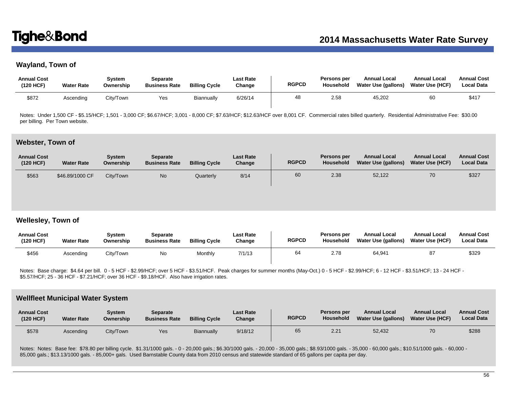# **Wayland, Town of**

| <b>Annual Cost</b><br>(120 HCF) | <b>Water Rate</b> | Svstem<br>Ownership | Separate<br><b>Business Rate</b> | <b>Billing Cycle</b> | Last Rate<br>Change | <b>RGPCD</b> | Persons per<br>Household | <b>Annual Local</b><br>Water Use (gallons) | <b>Annual Local</b><br>Water Use (HCF) | <b>Annual Cost</b><br><b>Local Data</b> |
|---------------------------------|-------------------|---------------------|----------------------------------|----------------------|---------------------|--------------|--------------------------|--------------------------------------------|----------------------------------------|-----------------------------------------|
| \$872                           | Ascending         | City/Town           | Yes                              | Biannually           | 6/26/14             | 48           | 2.58                     | 45,202                                     | 60                                     | \$417                                   |

Notes: Under 1,500 CF - \$5.15/HCF; 1,501 - 3,000 CF; \$6.67/HCF; 3,001 - 8,000 CF; \$7.63/HCF; \$12.63/HCF over 8,001 CF. Commercial rates billed quarterly. Residential Administrative Fee: \$30.00 per billing. Per Town website.

### **Webster, Town of**

| <b>Annual Cost</b><br>(120 HCF) | <b>Water Rate</b> | Svstem<br>Ownership | Separate<br><b>Business Rate</b> | <b>Billing Cycle</b> | <b>Last Rate</b><br>Change | <b>RGPCD</b> | Persons per<br><b>Household</b> | <b>Annual Local</b><br>Water Use (gallons) | <b>Annual Local</b><br><b>Water Use (HCF)</b> | <b>Annual Cost</b><br><b>Local Data</b> |
|---------------------------------|-------------------|---------------------|----------------------------------|----------------------|----------------------------|--------------|---------------------------------|--------------------------------------------|-----------------------------------------------|-----------------------------------------|
| \$563                           | \$46,89/1000 CF   | City/Town           | No                               | Quarterly            | 8/14                       | 60           | 2.38                            | 52,122                                     | 70                                            | \$327                                   |

# **Wellesley, Town of**

| <b>Annual Cost</b><br>(120 HCF) | <b>Water Rate</b> | Svstem<br>Ownership | Separate<br><b>Business Rate</b> | <b>Billing Cycle</b> | Last Rate<br>Change | <b>RGPCD</b> | <b>Persons per</b><br>Household | <b>Annual Local</b><br>Water Use (gallons) | <b>Annual Local</b><br><b>Water Use (HCF)</b> | <b>Annual Cost</b><br><b>Local Data</b> |
|---------------------------------|-------------------|---------------------|----------------------------------|----------------------|---------------------|--------------|---------------------------------|--------------------------------------------|-----------------------------------------------|-----------------------------------------|
| \$456                           | Ascending         | City/Town           | No                               | Monthly              | 7/1/13              | 64           | 2.78                            | 64.941                                     | 87                                            | \$329                                   |

Notes: Base charge: \$4.64 per bill. 0 - 5 HCF - \$2.99/HCF; over 5 HCF - \$3.51/HCF. Peak charges for summer months (May-Oct.) 0 - 5 HCF - \$2.99/HCF; 6 - 12 HCF - \$3.51/HCF; 13 - 24 HCF - \$5.57/HCF; 25 - 36 HCF - \$7.21/HCF; over 36 HCF - \$9.18/HCF. Also have irrigation rates.

### **Wellfleet Municipal Water System**

| <b>Annual Cost</b><br>(120 HCF) | <b>Water Rate</b> | Svstem<br>Ownership | Separate<br><b>Business Rate</b> | <b>Billing Cycle</b> | <b>Last Rate</b><br>Change | <b>RGPCD</b> | Persons per<br>Household | <b>Annual Local</b><br><b>Water Use (gallons)</b> | <b>Annual Local</b><br><b>Water Use (HCF)</b> | <b>Annual Cost</b><br><b>Local Data</b> |
|---------------------------------|-------------------|---------------------|----------------------------------|----------------------|----------------------------|--------------|--------------------------|---------------------------------------------------|-----------------------------------------------|-----------------------------------------|
| \$578                           | Ascending         | City/Town           | Yes                              | Biannually           | 9/18/12                    | 65           | 2.21                     | 52,432                                            | 70                                            | \$288                                   |

Notes: Notes: Base fee: \$78.80 per billing cycle. \$1.31/1000 gals. - 0 - 20,000 gals.; \$6.30/1000 gals. - 20,000 - 35,000 gals.; \$8.93/1000 gals. - 35,000 - 60,000 gals.; \$10.51/1000 gals. - 60,000 -85,000 gals.; \$13.13/1000 gals. - 85,000+ gals. Used Barnstable County data from 2010 census and statewide standard of 65 gallons per capita per day.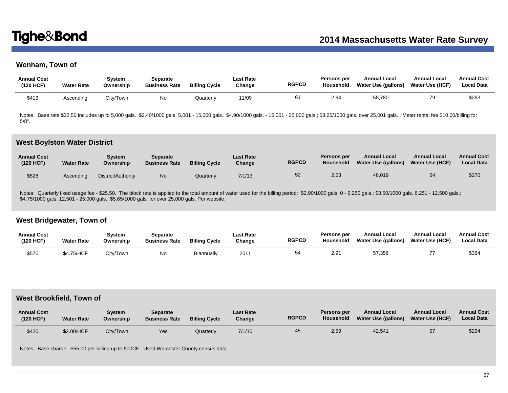# **Wenham, Town of**

| <b>Annual Cost</b><br>(120 HCF) | <b>Water Rate</b> | Svstem<br>Ownership | Separate<br><b>Business Rate</b> | <b>Billing Cycle</b> | <b>Last Rate</b><br>Change | <b>RGPCD</b> | Persons per<br>Household | <b>Annual Local</b><br>Water Use (gallons) | <b>Annual Local</b><br>Water Use (HCF) | <b>Annual Cost</b><br><b>Local Data</b> |
|---------------------------------|-------------------|---------------------|----------------------------------|----------------------|----------------------------|--------------|--------------------------|--------------------------------------------|----------------------------------------|-----------------------------------------|
| \$413                           | Ascendina         | City/Town           | No                               | Quarterlv            | 11/09                      | 61           | 2.64                     | 58,780                                     | 79                                     | \$263                                   |

Notes: Base rate \$32.50 includes up to 5,000 gals. \$2.40/1000 gals. 5,001 - 15,000 gals.; \$4.90/1000 gals. - 15,001 - 25,000 gals.; \$8.25/1000 gals. over 25,001 gals. Meter rental fee \$10.00/billing for 5/8".

## **West Boylston Water District**

| <b>Annual Cost</b><br>(120 HCF) | <b>Water Rate</b> | Svstem<br>Ownership | Separate<br><b>Business Rate</b> | <b>Billing Cycle</b> | <b>Last Rate</b><br>Change | <b>RGPCD</b> | Persons per<br>Household | <b>Annual Local</b><br>Water Use (gallons) | <b>Annual Local</b><br><b>Water Use (HCF)</b> | <b>Annual Cost</b><br><b>Local Data</b> |
|---------------------------------|-------------------|---------------------|----------------------------------|----------------------|----------------------------|--------------|--------------------------|--------------------------------------------|-----------------------------------------------|-----------------------------------------|
| \$528                           | Ascendina         | District/Authority  | No.                              | Quarterly            | 7/1/13                     | 52           | 2.53                     | 48,019                                     |                                               | \$270                                   |

Notes: Quarterly fixed usage fee - \$25.50. The block rate is applied to the total amount of water used for the billing period: \$2.90/1000 gals. 6 - 6,250 gals.; \$3.50/1000 gals. 6,251 - 12,500 gals.; \$4.75/1000 gals. 12,501 - 25,000 gals.; \$5.65/1000 gals. for over 25,000 gals. Per website.

# **West Bridgewater, Town of**

| <b>Annual Cost</b><br>(120 HCF) | <b>Water Rate</b> | Svstem<br>Ownership | Separate<br><b>Business Rate</b> | <b>Billing Cycle</b> | Last Rate<br>Change | <b>RGPCD</b> | Persons per<br><b>Household</b> | <b>Annual Local</b><br><b>Water Use (gallons)</b> | <b>Annual Local</b><br><b>Water Use (HCF)</b> | <b>Annual Cost</b><br><b>Local Data</b> |
|---------------------------------|-------------------|---------------------|----------------------------------|----------------------|---------------------|--------------|---------------------------------|---------------------------------------------------|-----------------------------------------------|-----------------------------------------|
| \$570                           | \$4.75/HCF        | City/Town           | No                               | Biannually           | 2011                | 54           | 2.91                            | 57,356                                            |                                               | \$364                                   |

## **West Brookfield, Town of**

| <b>Annual Cost</b><br>(120 HCF) | <b>Water Rate</b> | Svstem<br>Ownership | Separate<br><b>Business Rate</b> | <b>Billing Cycle</b> | <b>Last Rate</b><br>Change | <b>RGPCD</b> | Persons per<br>Household | <b>Annual Local</b><br>Water Use (gallons) | <b>Annual Local</b><br><b>Water Use (HCF)</b> | <b>Annual Cost</b><br><b>Local Data</b> |
|---------------------------------|-------------------|---------------------|----------------------------------|----------------------|----------------------------|--------------|--------------------------|--------------------------------------------|-----------------------------------------------|-----------------------------------------|
| \$420                           | \$2.00/HCF        | City/Town           | Yes                              | Quarterly            | 7/1/10                     | 45           | 2.59                     | 42,541                                     | 57                                            | \$294                                   |

Notes: Base charge: \$55.00 per billing up to 500CF. Used Worcester County census data.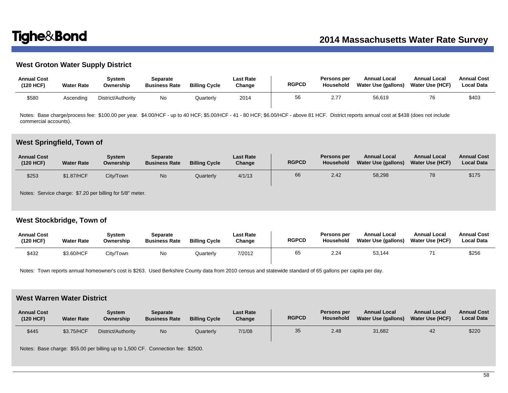# **West Groton Water Supply District**

| <b>Annual Cost</b><br>(120 HCF) | <b>Water Rate</b> | Svstem<br>Ownership | Separate<br><b>Business Rate</b> | <b>Billing Cycle</b> | <b>Last Rate</b><br>Change | <b>RGPCD</b> | <b>Persons per</b><br>Household | <b>Annual Local</b><br>Water Use (gallons) | <b>Annual Local</b><br>Water Use (HCF) | <b>Annual Cost</b><br><b>Local Data</b> |
|---------------------------------|-------------------|---------------------|----------------------------------|----------------------|----------------------------|--------------|---------------------------------|--------------------------------------------|----------------------------------------|-----------------------------------------|
| \$580                           | Ascending         | District/Authority  | Νo                               | Quarterly            | 2014                       | 56           | 277                             | 56,619                                     |                                        | \$403                                   |

Notes: Base charge/process fee: \$100.00 per year. \$4.00/HCF - up to 40 HCF; \$5.00/HCF - 41 - 80 HCF; \$6.00/HCF - above 81 HCF. District reports annual cost at \$438 (does not include commercial accounts).

### **West Springfield, Town of**

| <b>Annual Cost</b><br>(120 HCF) | <b>Water Rate</b> | Svstem<br>Ownership | Separate<br><b>Business Rate</b> | <b>Billing Cycle</b> | <b>Last Rate</b><br>Change | <b>RGPCD</b> | Persons per<br>Household | <b>Annual Local</b><br>Water Use (gallons) | <b>Annual Local</b><br>Water Use (HCF) | <b>Annual Cost</b><br><b>Local Data</b> |
|---------------------------------|-------------------|---------------------|----------------------------------|----------------------|----------------------------|--------------|--------------------------|--------------------------------------------|----------------------------------------|-----------------------------------------|
| \$253                           | \$1.87/HCF        | City/Town           | <b>No</b>                        | Quarterly            | 4/1/13                     | 66           | 2.42                     | 58,298                                     | 78                                     | \$175                                   |

Notes: Service charge: \$7.20 per billing for 5/8" meter.

# **West Stockbridge, Town of**

| <b>Annual Cost</b><br>(120 HCF) | <b>Water Rate</b> | Svstem<br>Ownership | Separate<br><b>Business Rate</b> | <b>Billing Cycle</b> | <b>Last Rate</b><br>Change | <b>RGPCD</b> | Persons per<br><b>Household</b> | <b>Annual Local</b><br>Water Use (gallons) | <b>Annual Local</b><br><b>Water Use (HCF)</b> | <b>Annual Cost</b><br><b>Local Data</b> |
|---------------------------------|-------------------|---------------------|----------------------------------|----------------------|----------------------------|--------------|---------------------------------|--------------------------------------------|-----------------------------------------------|-----------------------------------------|
| \$432                           | \$3.60/HCF        | City/Town           | No                               | Quarterly            | 7/2012                     | 65           | 2.24                            | 53.144                                     |                                               | \$256                                   |

Notes: Town reports annual homeowner's cost is \$263. Used Berkshire County data from 2010 census and statewide standard of 65 gallons per capita per day.

# **West Warren Water District**

| <b>Annual Cost</b><br>(120 HCF) | <b>Water Rate</b> | Svstem<br>Ownership | <b>Separate</b><br><b>Business Rate</b> | <b>Billing Cycle</b> | <b>Last Rate</b><br>Change | <b>RGPCD</b> | <b>Persons per</b><br><b>Household</b> | <b>Annual Local</b><br>Water Use (gallons) | <b>Annual Local</b><br><b>Water Use (HCF)</b> | <b>Annual Cost</b><br><b>Local Data</b> |
|---------------------------------|-------------------|---------------------|-----------------------------------------|----------------------|----------------------------|--------------|----------------------------------------|--------------------------------------------|-----------------------------------------------|-----------------------------------------|
| \$445                           | \$3.75/HCF        | District/Authority  | No                                      | Quarterly            | 7/1/08                     | 35           | 2.48                                   | 31,682                                     | 42                                            | \$220                                   |

Notes: Base charge: \$55.00 per billing up to 1,500 CF. Connection fee: \$2500.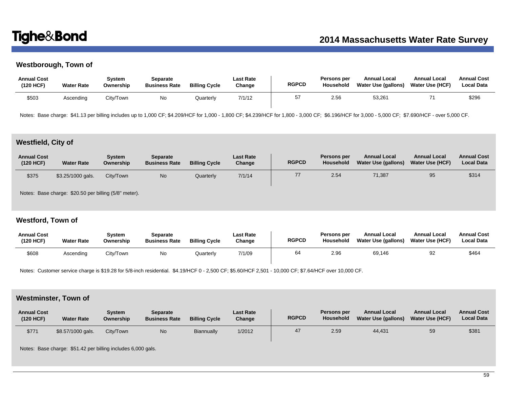# **Westborough, Town of**

| <b>Annual Cost</b><br>(120 HCF) | <b>Water Rate</b> | Svstem<br>Ownership | Separate<br><b>Business Rate</b> | <b>Billing Cycle</b> | Last Rate<br>Change | <b>RGPCD</b> | <b>Persons per</b><br>Household | <b>Annual Local</b><br>Water Use (gallons) | <b>Annual Local</b><br>Water Use (HCF) | <b>Annual Cost</b><br>Local Data |
|---------------------------------|-------------------|---------------------|----------------------------------|----------------------|---------------------|--------------|---------------------------------|--------------------------------------------|----------------------------------------|----------------------------------|
| \$503                           | Ascending         | City/Town           | No                               | Quarterly            | 7/1/12              |              | 2.56                            | 53,261                                     |                                        | \$296                            |

Notes: Base charge: \$41.13 per billing includes up to 1,000 CF; \$4.209/HCF for 1,000 - 1,800 CF; \$4.239/HCF for 1,800 - 3,000 CF; \$6.196/HCF for 3,000 - 5,000 CF; \$7.690/HCF - over 5,000 CF.

# **Westfield, City of**

| <b>Annual Cost</b><br>(120 HCF) | <b>Water Rate</b> | System<br>Ownership | <b>Separate</b><br><b>Business Rate</b> | <b>Billing Cycle</b> | <b>Last Rate</b><br>Change | <b>RGPCD</b> | Persons per<br>Household | <b>Annual Local</b><br>Water Use (gallons) | <b>Annual Local</b><br><b>Water Use (HCF)</b> | <b>Annual Cost</b><br><b>Local Data</b> |
|---------------------------------|-------------------|---------------------|-----------------------------------------|----------------------|----------------------------|--------------|--------------------------|--------------------------------------------|-----------------------------------------------|-----------------------------------------|
| \$375                           | \$3.25/1000 gals. | City/Town           | N <sub>o</sub>                          | Quarterly            | 7/1/14                     | 77           | 2.54                     | 71,387                                     | 95                                            | \$314                                   |

Notes: Base charge: \$20.50 per billing (5/8" meter).

# **Westford, Town of**

| <b>Annual Cost</b><br>(120 HCF) | <b>Water Rate</b> | Svstem<br>Ownership | Separate<br><b>Business Rate</b> | <b>Billing Cycle</b> | <b>Last Rate</b><br>Change | <b>RGPCD</b> | <b>Persons per</b><br><b>Household</b> | <b>Annual Local</b><br>Water Use (gallons) | <b>Annual Local</b><br><b>Water Use (HCF)</b> | <b>Annual Cost</b><br><b>Local Data</b> |
|---------------------------------|-------------------|---------------------|----------------------------------|----------------------|----------------------------|--------------|----------------------------------------|--------------------------------------------|-----------------------------------------------|-----------------------------------------|
| \$608                           | Ascending         | City/Town           | No                               | Quarterly            | 7/1/09                     | 64           | 2.96                                   | 69,146                                     | 92                                            | \$464                                   |

Notes: Customer service charge is \$19.28 for 5/8-inch residential. \$4.19/HCF 0 - 2,500 CF; \$5.60/HCF 2,501 - 10,000 CF; \$7.64/HCF over 10,000 CF.

# **Westminster, Town of**

| <b>Annual Cost</b><br>(120 HCF) | <b>Water Rate</b> | Svstem<br>Ownership | Separate<br><b>Business Rate</b> | <b>Billing Cycle</b> | <b>Last Rate</b><br>Change | <b>RGPCD</b> | Persons per<br><b>Household</b> | <b>Annual Local</b><br><b>Water Use (gallons)</b> | <b>Annual Local</b><br><b>Water Use (HCF)</b> | <b>Annual Cost</b><br><b>Local Data</b> |
|---------------------------------|-------------------|---------------------|----------------------------------|----------------------|----------------------------|--------------|---------------------------------|---------------------------------------------------|-----------------------------------------------|-----------------------------------------|
| \$771                           | \$8.57/1000 gals. | City/Town           | No                               | Biannually           | 1/2012                     | 47           | 2.59                            | 44.431                                            | 59                                            | \$381                                   |

Notes: Base charge: \$51.42 per billing includes 6,000 gals.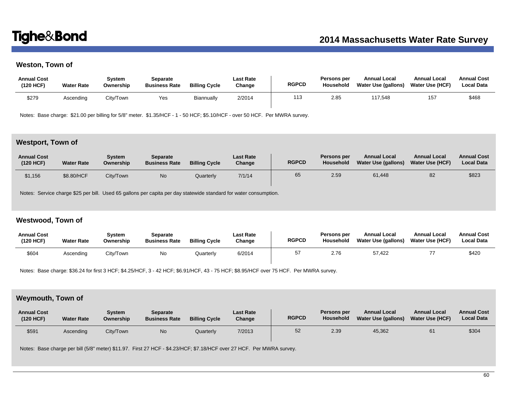# **Weston, Town of**

| <b>Annual Cost</b><br>(120 HCF) | <b>Water Rate</b> | Svstem<br>Ownership | Separate<br><b>Business Rate</b> | <b>Billing Cycle</b> | <b>Last Rate</b><br>Change | <b>RGPCD</b> | Persons per<br>Household | <b>Annual Local</b><br>Water Use (gallons) | <b>Annual Local</b><br>Water Use (HCF) | <b>Annual Cost</b><br><b>Local Data</b> |
|---------------------------------|-------------------|---------------------|----------------------------------|----------------------|----------------------------|--------------|--------------------------|--------------------------------------------|----------------------------------------|-----------------------------------------|
| \$279                           | Ascending         | City/Town           | Yes                              | Biannually           | 2/2014                     | 113          | 2.85                     | 117.548                                    | 157                                    | \$468                                   |

Notes: Base charge: \$21.00 per billing for 5/8" meter. \$1.35/HCF - 1 - 50 HCF; \$5.10/HCF - over 50 HCF. Per MWRA survey.

# **Westport, Town of**

| <b>Annual Cost</b><br>(120 HCF) | <b>Water Rate</b> | Svstem<br>Ownership | <b>Separate</b><br><b>Business Rate</b> | <b>Billing Cycle</b> | <b>Last Rate</b><br>Change | <b>RGPCD</b> | Persons per<br>Household | <b>Annual Local</b><br>Water Use (gallons) | <b>Annual Local</b><br><b>Water Use (HCF)</b> | <b>Annual Cost</b><br><b>Local Data</b> |
|---------------------------------|-------------------|---------------------|-----------------------------------------|----------------------|----------------------------|--------------|--------------------------|--------------------------------------------|-----------------------------------------------|-----------------------------------------|
| \$1,156                         | \$8.80/HCF        | City/Town           | No                                      | Quarterly            | 7/1/14                     | 65           | 2.59                     | 61,448                                     | 82                                            | \$823                                   |

Notes: Service charge \$25 per bill. Used 65 gallons per capita per day statewide standard for water consumption.

## **Westwood, Town of**

| <b>Annual Cost</b><br>(120 HCF) | <b>Water Rate</b> | Svstem<br>Ownership | Separate<br><b>Business Rate</b> | <b>Billing Cycle</b> | <b>Last Rate</b><br>Change | <b>RGPCD</b> | Persons per<br><b>Household</b> | <b>Annual Local</b><br>Water Use (gallons) | <b>Annual Local</b><br><b>Water Use (HCF)</b> | <b>Annual Cost</b><br><b>Local Data</b> |
|---------------------------------|-------------------|---------------------|----------------------------------|----------------------|----------------------------|--------------|---------------------------------|--------------------------------------------|-----------------------------------------------|-----------------------------------------|
| \$604                           | Ascending         | City/Town           | No                               | Quarterlv            | 6/2014                     |              | 2.76                            | 57.422                                     |                                               | \$420                                   |

Notes: Base charge: \$36.24 for first 3 HCF; \$4.25/HCF, 3 - 42 HCF; \$6.91/HCF, 43 - 75 HCF; \$8.95/HCF over 75 HCF. Per MWRA survey.

# **Weymouth, Town of**

| <b>Annual Cost</b><br>(120 HCF) | <b>Water Rate</b> | Svstem<br>Ownership | <b>Separate</b><br><b>Business Rate</b> | <b>Billing Cycle</b> | <b>Last Rate</b><br>Change | <b>RGPCD</b> | <b>Persons per</b><br><b>Household</b> | <b>Annual Local</b><br><b>Water Use (gallons)</b> | <b>Annual Local</b><br><b>Water Use (HCF)</b> | <b>Annual Cost</b><br><b>Local Data</b> |
|---------------------------------|-------------------|---------------------|-----------------------------------------|----------------------|----------------------------|--------------|----------------------------------------|---------------------------------------------------|-----------------------------------------------|-----------------------------------------|
| \$591                           | Ascending         | City/Town           | No                                      | Quarterly            | 7/2013                     | 52           | 2.39                                   | 45,362                                            | 61                                            | \$304                                   |

Notes: Base charge per bill (5/8" meter) \$11.97. First 27 HCF - \$4.23/HCF; \$7.18/HCF over 27 HCF. Per MWRA survey.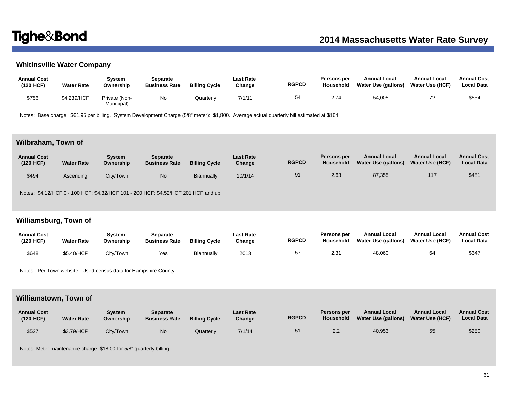# **Whitinsville Water Company**

| <b>Annual Cost</b><br>(120 HCF) | <b>Water Rate</b> | Svstem<br>Ownership         | Separate<br><b>Business Rate</b> | <b>Billing Cycle</b> | <b>Last Rate</b><br>Change | <b>RGPCD</b> | Persons per<br>Household | <b>Annual Local</b><br>Water Use (gallons) | <b>Annual Local</b><br>Water Use (HCF) | <b>Annual Cost</b><br><b>Local Data</b> |
|---------------------------------|-------------------|-----------------------------|----------------------------------|----------------------|----------------------------|--------------|--------------------------|--------------------------------------------|----------------------------------------|-----------------------------------------|
| \$756                           | \$4.239/HCF       | Private (Non-<br>Municipal) | No                               | Quarterly            | 7/1/11                     | 54           | 2.74                     | 54,005                                     |                                        | \$554                                   |

Notes: Base charge: \$61.95 per billing. System Development Charge (5/8" meter): \$1,800. Average actual quarterly bill estimated at \$164.

# **Wilbraham, Town of**

| <b>Annual Cost</b><br>(120 HCF) | <b>Water Rate</b> | Svstem<br>Ownership | <b>Separate</b><br><b>Business Rate</b> | <b>Billing Cycle</b> | <b>Last Rate</b><br>Change | <b>RGPCD</b> | Persons per<br>Household | <b>Annual Local</b><br>Water Use (gallons) | <b>Annual Local</b><br><b>Water Use (HCF)</b> | <b>Annual Cost</b><br><b>Local Data</b> |
|---------------------------------|-------------------|---------------------|-----------------------------------------|----------------------|----------------------------|--------------|--------------------------|--------------------------------------------|-----------------------------------------------|-----------------------------------------|
| \$494                           | Ascending         | City/Town           | No                                      | Biannually           | 10/1/14                    | 91           | 2.63                     | 87,355                                     | 117                                           | \$481                                   |

Notes: \$4.12/HCF 0 - 100 HCF; \$4.32/HCF 101 - 200 HCF; \$4.52/HCF 201 HCF and up.

# **Williamsburg, Town of**

| <b>Annual Cost</b><br>(120 HCF) | <b>Water Rate</b> | Svstem<br>Ownership | Separate<br><b>Business Rate</b> | <b>Billing Cycle</b> | Last Rate<br>Change | <b>RGPCD</b> | Persons per<br>Household | <b>Annual Local</b><br>Water Use (gallons) | <b>Annual Local</b><br><b>Water Use (HCF)</b> | <b>Annual Cost</b><br><b>Local Data</b> |
|---------------------------------|-------------------|---------------------|----------------------------------|----------------------|---------------------|--------------|--------------------------|--------------------------------------------|-----------------------------------------------|-----------------------------------------|
| \$648                           | \$5.40/HCF        | City/Town           | Yes                              | Biannually           | 2013                | 57           | 2.31                     | 48,060                                     | 64                                            | \$347                                   |

Notes: Per Town website. Used census data for Hampshire County.

## **Williamstown, Town of**

| <b>Annual Cost</b><br>(120 HCF) | <b>Water Rate</b> | Svstem<br>Ownership | Separate<br><b>Business Rate</b> | <b>Billing Cycle</b> | <b>Last Rate</b><br>Change | <b>RGPCD</b> | Persons per<br>Household | <b>Annual Local</b><br>Water Use (gallons) | <b>Annual Local</b><br><b>Water Use (HCF)</b> | <b>Annual Cost</b><br><b>Local Data</b> |
|---------------------------------|-------------------|---------------------|----------------------------------|----------------------|----------------------------|--------------|--------------------------|--------------------------------------------|-----------------------------------------------|-----------------------------------------|
| \$527                           | \$3.79/HCF        | City/Town           | No                               | Quarterly            | 7/1/14                     | 51           | 2.2                      | 40,953                                     | 55                                            | \$280                                   |

Notes: Meter maintenance charge: \$18.00 for 5/8" quarterly billing.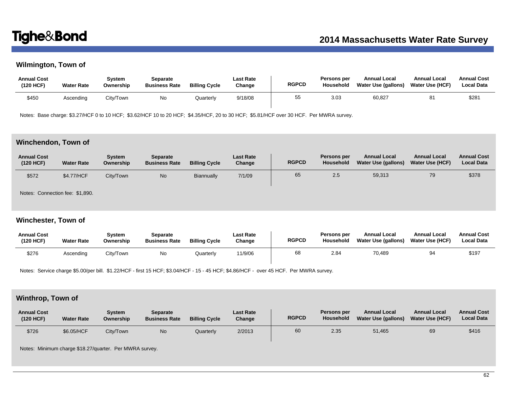# **Wilmington, Town of**

| <b>Annual Cost</b><br>(120 HCF) | <b>Water Rate</b> | Svstem<br>Ownership | Separate<br><b>Business Rate</b> | <b>Billing Cycle</b> | <b>Last Rate</b><br>Change | <b>RGPCD</b> | Persons per<br>Household | <b>Annual Local</b><br><b>Water Use (gallons)</b> | <b>Annual Local</b><br><b>Water Use (HCF)</b> | <b>Annual Cost</b><br><b>Local Data</b> |
|---------------------------------|-------------------|---------------------|----------------------------------|----------------------|----------------------------|--------------|--------------------------|---------------------------------------------------|-----------------------------------------------|-----------------------------------------|
| \$450                           | Ascending         | Citv/Town           | No                               | Quarterlv            | 9/18/08                    | 55           | 3.03                     | 60,827                                            |                                               | \$281                                   |

Notes: Base charge: \$3.27/HCF 0 to 10 HCF; \$3.62/HCF 10 to 20 HCF; \$4.35/HCF, 20 to 30 HCF; \$5.81/HCF over 30 HCF. Per MWRA survey.

# **Winchendon, Town of**

| <b>Annual Cost</b><br>(120 HCF) | <b>Water Rate</b> | Svstem<br>Ownership | <b>Separate</b><br><b>Business Rate</b> | <b>Billing Cycle</b> | <b>Last Rate</b><br>Change | <b>RGPCD</b> | Persons per<br>Household | <b>Annual Local</b><br>Water Use (gallons) | <b>Annual Local</b><br>Water Use (HCF) | <b>Annual Cost</b><br><b>Local Data</b> |
|---------------------------------|-------------------|---------------------|-----------------------------------------|----------------------|----------------------------|--------------|--------------------------|--------------------------------------------|----------------------------------------|-----------------------------------------|
| \$572                           | \$4.77/HCF        | City/Town           | No                                      | Biannually           | 7/1/09                     | 65           | 2.5                      | 59,313                                     | 79                                     | \$378                                   |

Notes: Connection fee: \$1,890.

# **Winchester, Town of**

| <b>Annual Cost</b><br>(120 HCF) | <b>Water Rate</b> | Svstem<br>Ownership | Separate<br><b>Business Rate</b> | <b>Billing Cycle</b> | Last Rate<br>Change | <b>RGPCD</b> | Persons per<br>Household | <b>Annual Local</b><br>Water Use (gallons) | <b>Annual Local</b><br>Water Use (HCF) | <b>Annual Cost</b><br><b>Local Data</b> |
|---------------------------------|-------------------|---------------------|----------------------------------|----------------------|---------------------|--------------|--------------------------|--------------------------------------------|----------------------------------------|-----------------------------------------|
| \$276                           | Ascending         | City/Town           | No                               | Quarterly            | 11/9/06             | 68           | 2.84                     | 70,489                                     | 94                                     | \$197                                   |

Notes: Service charge \$5.00/per bill. \$1.22/HCF - first 15 HCF; \$3.04/HCF - 15 - 45 HCF; \$4.86/HCF - over 45 HCF. Per MWRA survey.

# **Winthrop, Town of**

| <b>Annual Cost</b><br>(120 HCF) | <b>Water Rate</b> | Svstem<br>Ownership | Separate<br><b>Business Rate</b> | <b>Billing Cycle</b> | <b>Last Rate</b><br>Change | <b>RGPCD</b> | Persons per<br>Household | <b>Annual Local</b><br>Water Use (gallons) | <b>Annual Local</b><br><b>Water Use (HCF)</b> | <b>Annual Cost</b><br><b>Local Data</b> |
|---------------------------------|-------------------|---------------------|----------------------------------|----------------------|----------------------------|--------------|--------------------------|--------------------------------------------|-----------------------------------------------|-----------------------------------------|
| \$726                           | \$6.05/HCF        | City/Town           | No                               | Quarterly            | 2/2013                     | 60           | 2.35                     | 51,465                                     | 69                                            | \$416                                   |

Notes: Minimum charge \$18.27/quarter. Per MWRA survey.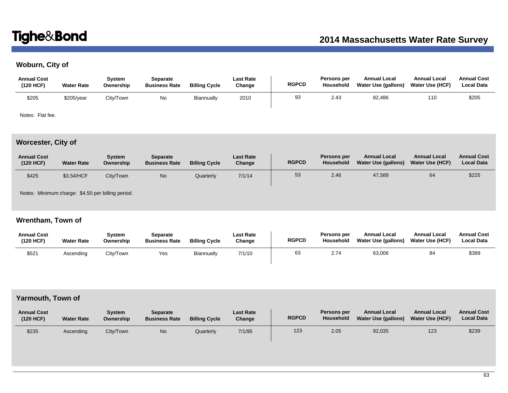# **Woburn, City of**

| <b>Annual Cost</b><br>(120 HCF) | <b>Water Rate</b> | System<br>Ownership | Separate<br><b>Business Rate</b> | <b>Billing Cycle</b> | Last Rate<br>Change | <b>RGPCD</b> | Persons per<br><b>Household</b> | <b>Annual Local</b><br>Water Use (gallons) | <b>Annual Local</b><br><b>Water Use (HCF)</b> | <b>Annual Cost</b><br><b>Local Data</b> |
|---------------------------------|-------------------|---------------------|----------------------------------|----------------------|---------------------|--------------|---------------------------------|--------------------------------------------|-----------------------------------------------|-----------------------------------------|
| \$205                           | \$205/year        | City/Town           | No                               | Biannually           | 2010                | 93           | 2.43                            | 82,486                                     | 110                                           | \$205                                   |

Notes: Flat fee.

# **Worcester, City of**

| <b>Annual Cost</b><br>(120 HCF) | <b>Water Rate</b> | Svstem<br>Ownership | Separate<br><b>Business Rate</b> | <b>Billing Cycle</b> | <b>Last Rate</b><br>Change | <b>RGPCD</b> | Persons per<br>Household | <b>Annual Local</b><br>Water Use (gallons) | <b>Annual Local</b><br><b>Water Use (HCF)</b> | <b>Annual Cost</b><br><b>Local Data</b> |
|---------------------------------|-------------------|---------------------|----------------------------------|----------------------|----------------------------|--------------|--------------------------|--------------------------------------------|-----------------------------------------------|-----------------------------------------|
| \$425                           | \$3.54/HCF        | City/Town           | No                               | Quarterly            | 7/1/14                     | 53           | 2.46                     | 47,589                                     | 64                                            | \$225                                   |

Notes: Minimum charge: \$4.50 per billing period.

# **Wrentham, Town of**

| <b>Annual Cost</b><br>(120 HCF) | <b>Water Rate</b> | Svstem<br>Ownership | Separate<br><b>Business Rate</b> | <b>Billing Cycle</b> | Last Rate<br>Change | <b>RGPCD</b> | Persons per<br>Household | <b>Annual Local</b><br>Water Use (gallons) | <b>Annual Local</b><br><b>Water Use (HCF)</b> | <b>Annual Cost</b><br><b>Local Data</b> |
|---------------------------------|-------------------|---------------------|----------------------------------|----------------------|---------------------|--------------|--------------------------|--------------------------------------------|-----------------------------------------------|-----------------------------------------|
| \$521                           | Ascending         | City/Town           | Yes                              | Biannually           | 7/1/10              | 63           | 2.74                     | 63,006                                     | 84                                            | \$389                                   |

# **Yarmouth, Town of**

| <b>Annual Cost</b><br>(120 HCF) | <b>Water Rate</b> | Svstem<br>Ownership | Separate<br><b>Business Rate</b> | <b>Billing Cycle</b> | <b>Last Rate</b><br>Change | <b>RGPCD</b> | <b>Persons per</b><br>Household | <b>Annual Local</b><br><b>Water Use (gallons)</b> | <b>Annual Local</b><br>Water Use (HCF) | <b>Annual Cost</b><br><b>Local Data</b> |
|---------------------------------|-------------------|---------------------|----------------------------------|----------------------|----------------------------|--------------|---------------------------------|---------------------------------------------------|----------------------------------------|-----------------------------------------|
| \$235                           | Ascendina         | City/Town           | No                               | Quarterly            | 7/1/95                     | 123          | 2.05                            | 92,035                                            | 123                                    | \$239                                   |